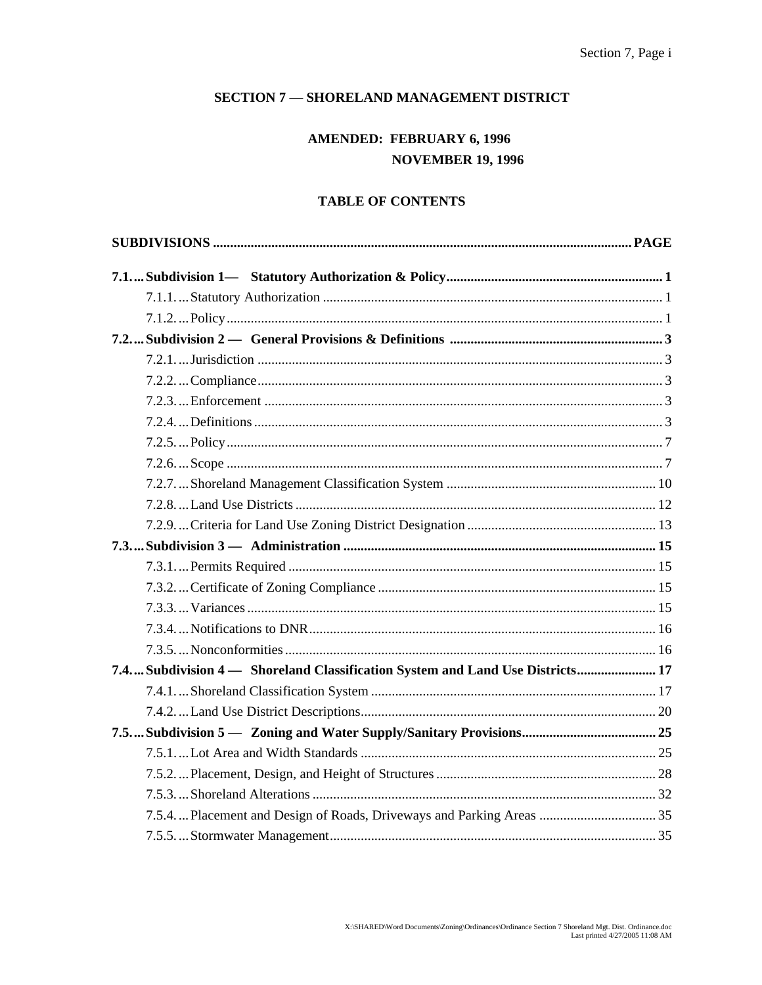# **SECTION 7 - SHORELAND MANAGEMENT DISTRICT**

# **AMENDED: FEBRUARY 6, 1996 NOVEMBER 19, 1996**

# **TABLE OF CONTENTS**

| 7.4 Subdivision 4 — Shoreland Classification System and Land Use Districts 17 |
|-------------------------------------------------------------------------------|
|                                                                               |
|                                                                               |
|                                                                               |
|                                                                               |
|                                                                               |
|                                                                               |
|                                                                               |
|                                                                               |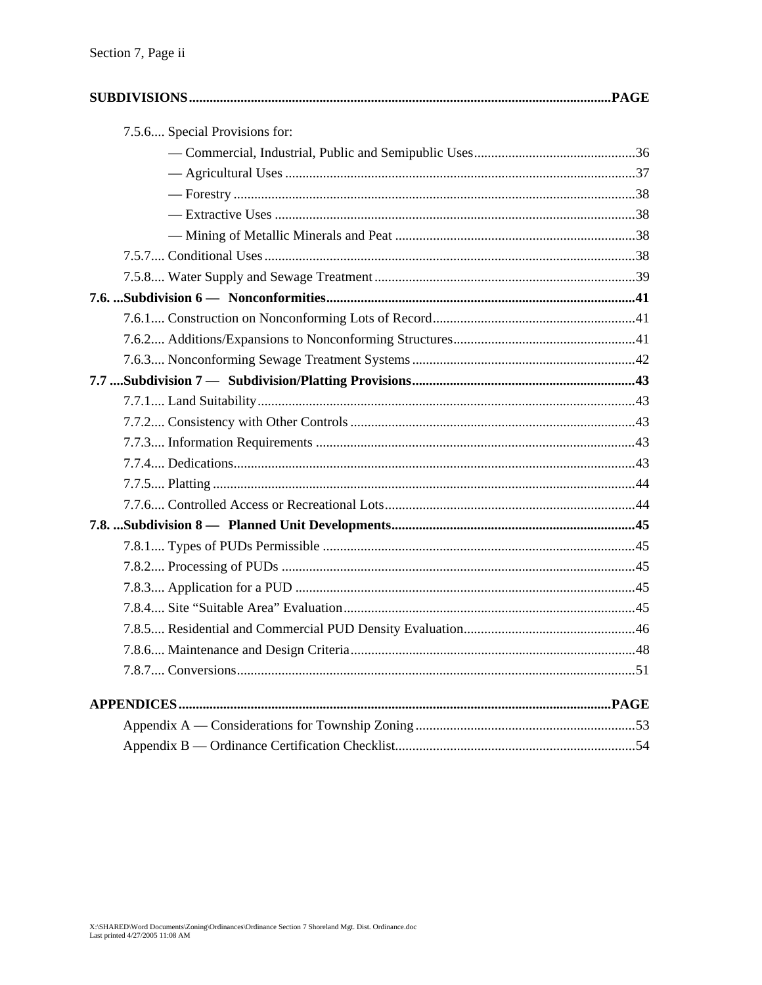| 7.5.6 Special Provisions for: |  |
|-------------------------------|--|
|                               |  |
|                               |  |
|                               |  |
|                               |  |
|                               |  |
|                               |  |
|                               |  |
|                               |  |
|                               |  |
|                               |  |
|                               |  |
|                               |  |
|                               |  |
|                               |  |
|                               |  |
|                               |  |
|                               |  |
|                               |  |
|                               |  |
|                               |  |
|                               |  |
|                               |  |
|                               |  |
|                               |  |
|                               |  |
|                               |  |
|                               |  |
|                               |  |
|                               |  |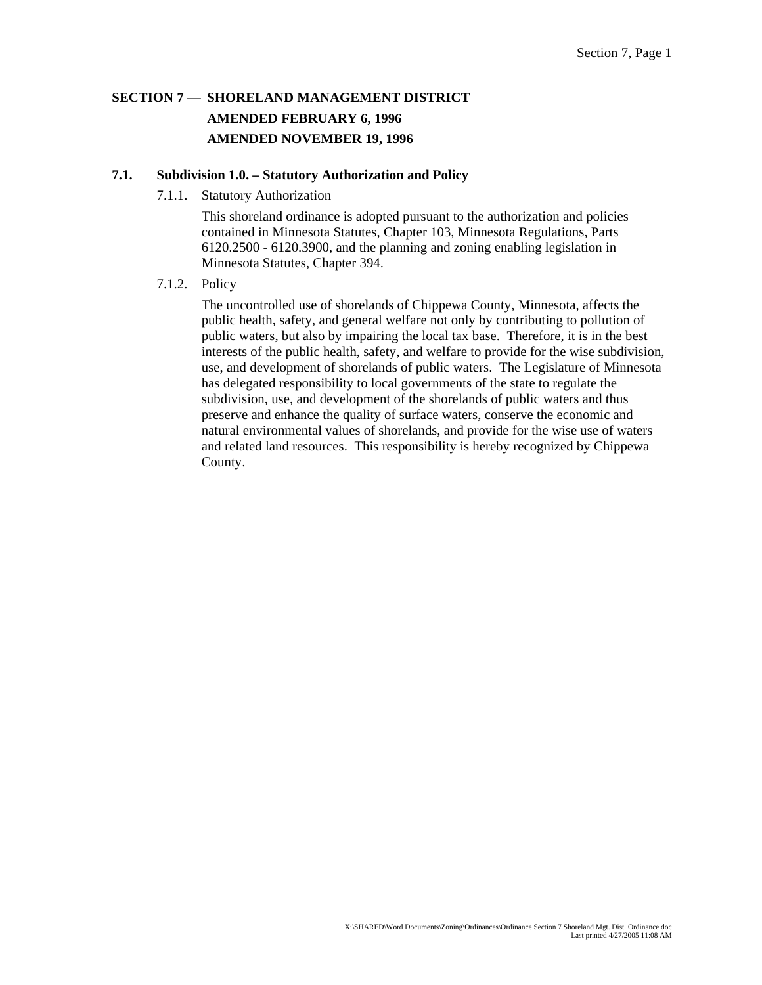# **SECTION 7 — SHORELAND MANAGEMENT DISTRICT AMENDED FEBRUARY 6, 1996 AMENDED NOVEMBER 19, 1996**

### **7.1. Subdivision 1.0. – Statutory Authorization and Policy**

### 7.1.1. Statutory Authorization

 This shoreland ordinance is adopted pursuant to the authorization and policies contained in Minnesota Statutes, Chapter 103, Minnesota Regulations, Parts 6120.2500 - 6120.3900, and the planning and zoning enabling legislation in Minnesota Statutes, Chapter 394.

### 7.1.2. Policy

The uncontrolled use of shorelands of Chippewa County, Minnesota, affects the public health, safety, and general welfare not only by contributing to pollution of public waters, but also by impairing the local tax base. Therefore, it is in the best interests of the public health, safety, and welfare to provide for the wise subdivision, use, and development of shorelands of public waters. The Legislature of Minnesota has delegated responsibility to local governments of the state to regulate the subdivision, use, and development of the shorelands of public waters and thus preserve and enhance the quality of surface waters, conserve the economic and natural environmental values of shorelands, and provide for the wise use of waters and related land resources. This responsibility is hereby recognized by Chippewa County.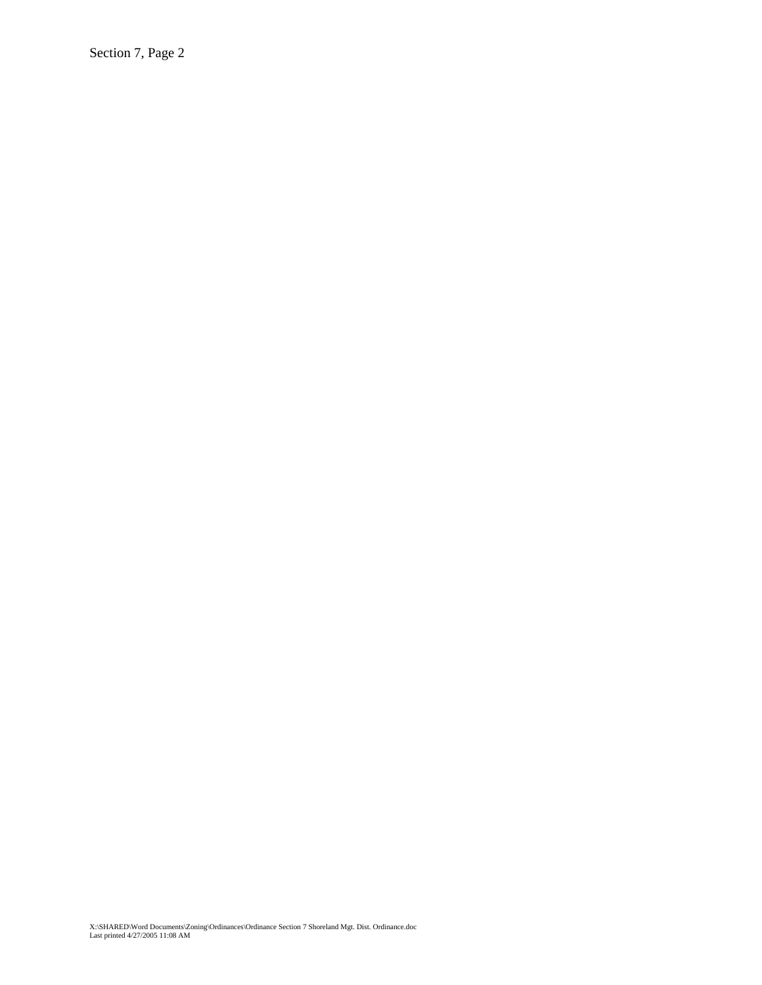Section 7, Page 2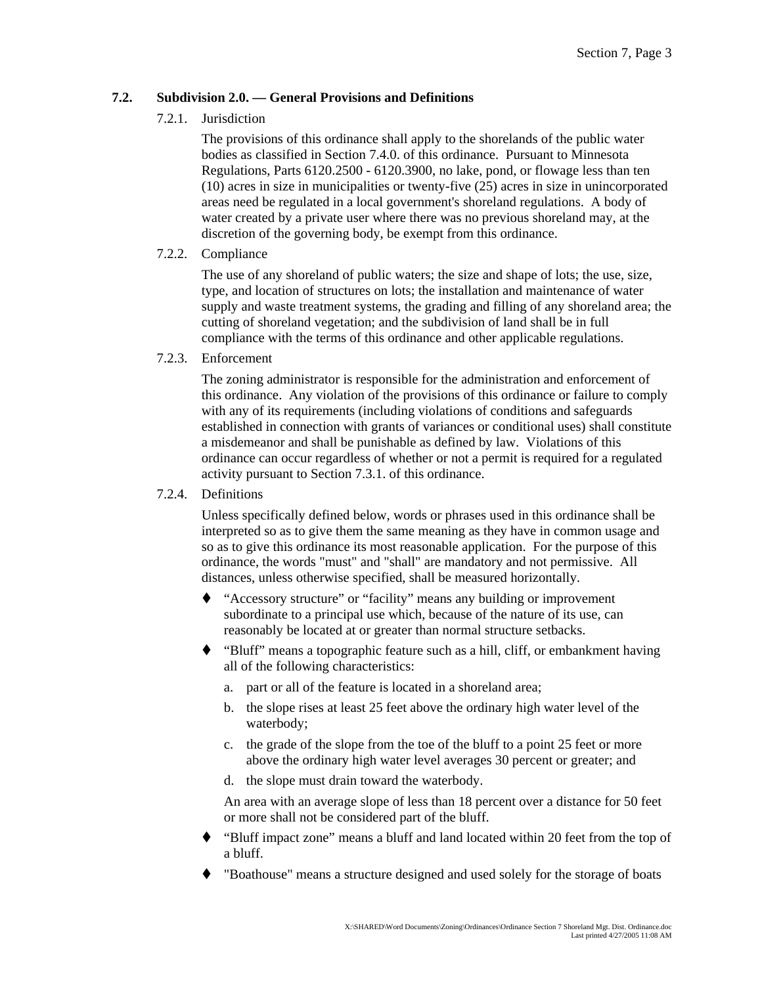# **7.2. Subdivision 2.0. — General Provisions and Definitions**

7.2.1. Jurisdiction

 The provisions of this ordinance shall apply to the shorelands of the public water bodies as classified in Section 7.4.0. of this ordinance. Pursuant to Minnesota Regulations, Parts 6120.2500 - 6120.3900, no lake, pond, or flowage less than ten (10) acres in size in municipalities or twenty-five (25) acres in size in unincorporated areas need be regulated in a local government's shoreland regulations. A body of water created by a private user where there was no previous shoreland may, at the discretion of the governing body, be exempt from this ordinance.

### 7.2.2. Compliance

 The use of any shoreland of public waters; the size and shape of lots; the use, size, type, and location of structures on lots; the installation and maintenance of water supply and waste treatment systems, the grading and filling of any shoreland area; the cutting of shoreland vegetation; and the subdivision of land shall be in full compliance with the terms of this ordinance and other applicable regulations.

### 7.2.3. Enforcement

 The zoning administrator is responsible for the administration and enforcement of this ordinance. Any violation of the provisions of this ordinance or failure to comply with any of its requirements (including violations of conditions and safeguards established in connection with grants of variances or conditional uses) shall constitute a misdemeanor and shall be punishable as defined by law. Violations of this ordinance can occur regardless of whether or not a permit is required for a regulated activity pursuant to Section 7.3.1. of this ordinance.

### 7.2.4. Definitions

 Unless specifically defined below, words or phrases used in this ordinance shall be interpreted so as to give them the same meaning as they have in common usage and so as to give this ordinance its most reasonable application. For the purpose of this ordinance, the words "must" and "shall" are mandatory and not permissive. All distances, unless otherwise specified, shall be measured horizontally.

- "Accessory structure" or "facility" means any building or improvement subordinate to a principal use which, because of the nature of its use, can reasonably be located at or greater than normal structure setbacks.
- "Bluff" means a topographic feature such as a hill, cliff, or embankment having all of the following characteristics:
	- a. part or all of the feature is located in a shoreland area;
	- b. the slope rises at least 25 feet above the ordinary high water level of the waterbody;
	- c. the grade of the slope from the toe of the bluff to a point 25 feet or more above the ordinary high water level averages 30 percent or greater; and
	- d. the slope must drain toward the waterbody.

An area with an average slope of less than 18 percent over a distance for 50 feet or more shall not be considered part of the bluff.

- "Bluff impact zone" means a bluff and land located within 20 feet from the top of a bluff.
- "Boathouse" means a structure designed and used solely for the storage of boats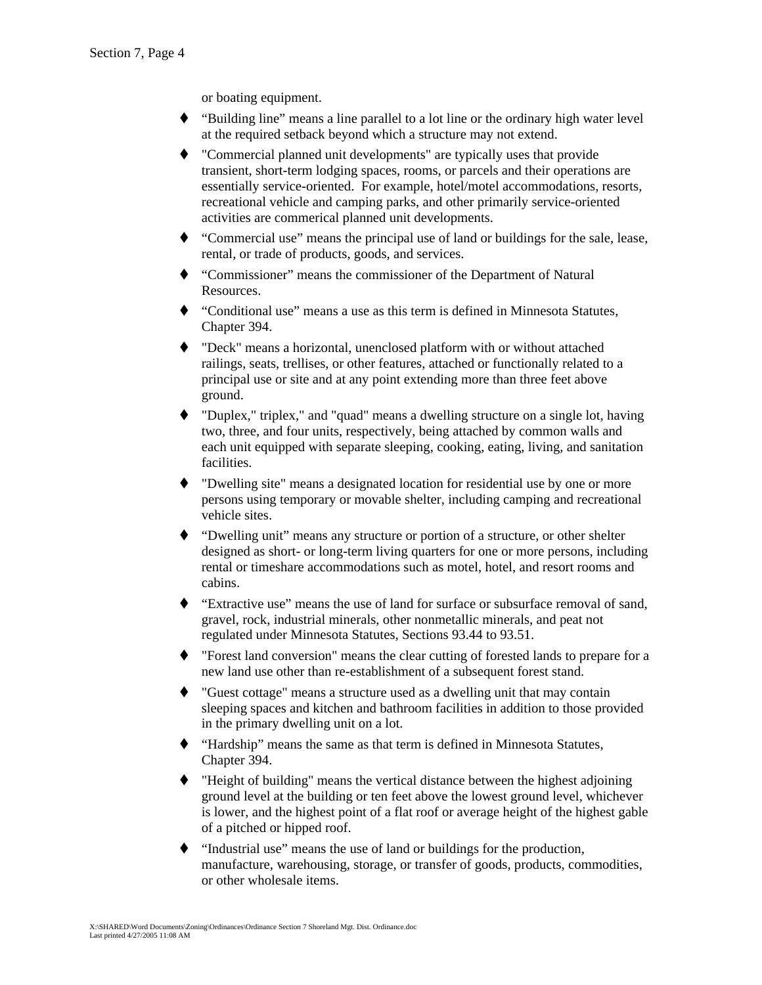or boating equipment.

- "Building line" means a line parallel to a lot line or the ordinary high water level at the required setback beyond which a structure may not extend.
- "Commercial planned unit developments" are typically uses that provide transient, short-term lodging spaces, rooms, or parcels and their operations are essentially service-oriented. For example, hotel/motel accommodations, resorts, recreational vehicle and camping parks, and other primarily service-oriented activities are commerical planned unit developments.
- "Commercial use" means the principal use of land or buildings for the sale, lease, rental, or trade of products, goods, and services.
- "Commissioner" means the commissioner of the Department of Natural Resources.
- "Conditional use" means a use as this term is defined in Minnesota Statutes, Chapter 394.
- "Deck" means a horizontal, unenclosed platform with or without attached railings, seats, trellises, or other features, attached or functionally related to a principal use or site and at any point extending more than three feet above ground.
- "Duplex," triplex," and "quad" means a dwelling structure on a single lot, having two, three, and four units, respectively, being attached by common walls and each unit equipped with separate sleeping, cooking, eating, living, and sanitation facilities.
- "Dwelling site" means a designated location for residential use by one or more persons using temporary or movable shelter, including camping and recreational vehicle sites.
- "Dwelling unit" means any structure or portion of a structure, or other shelter designed as short- or long-term living quarters for one or more persons, including rental or timeshare accommodations such as motel, hotel, and resort rooms and cabins.
- $\blacklozenge$  "Extractive use" means the use of land for surface or subsurface removal of sand, gravel, rock, industrial minerals, other nonmetallic minerals, and peat not regulated under Minnesota Statutes, Sections 93.44 to 93.51.
- "Forest land conversion" means the clear cutting of forested lands to prepare for a new land use other than re-establishment of a subsequent forest stand.
- "Guest cottage" means a structure used as a dwelling unit that may contain sleeping spaces and kitchen and bathroom facilities in addition to those provided in the primary dwelling unit on a lot.
- "Hardship" means the same as that term is defined in Minnesota Statutes, Chapter 394.
- "Height of building" means the vertical distance between the highest adjoining ground level at the building or ten feet above the lowest ground level, whichever is lower, and the highest point of a flat roof or average height of the highest gable of a pitched or hipped roof.
- "Industrial use" means the use of land or buildings for the production, manufacture, warehousing, storage, or transfer of goods, products, commodities, or other wholesale items.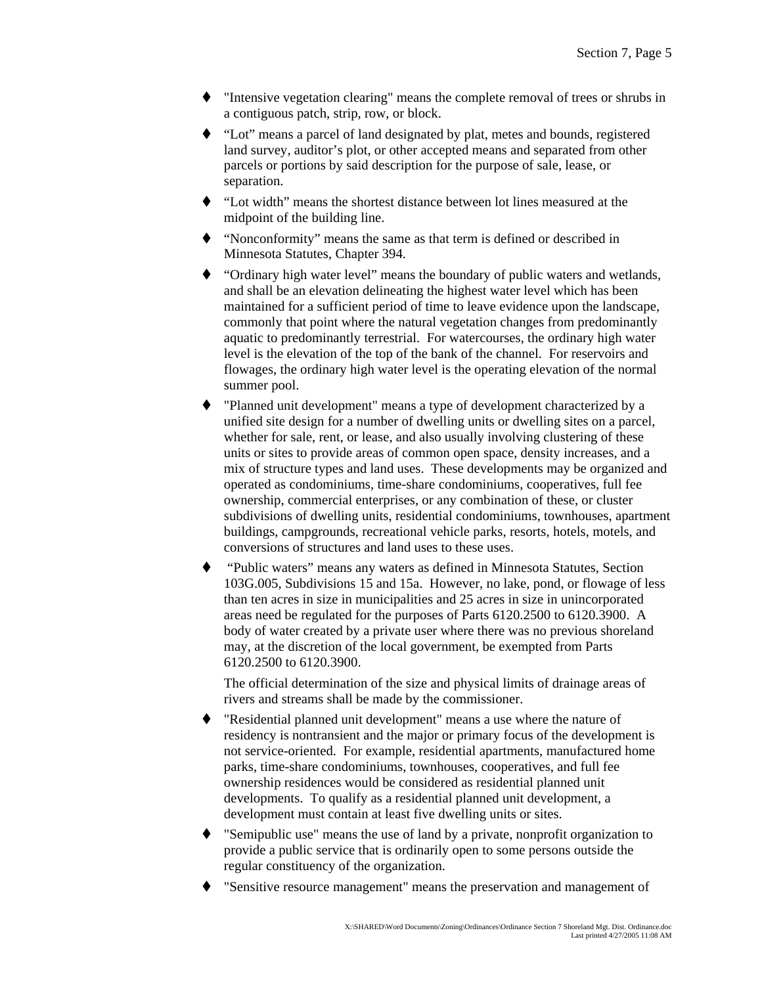- "Intensive vegetation clearing" means the complete removal of trees or shrubs in a contiguous patch, strip, row, or block.
- "Lot" means a parcel of land designated by plat, metes and bounds, registered land survey, auditor's plot, or other accepted means and separated from other parcels or portions by said description for the purpose of sale, lease, or separation.
- "Lot width" means the shortest distance between lot lines measured at the midpoint of the building line.
- "Nonconformity" means the same as that term is defined or described in Minnesota Statutes, Chapter 394.
- "Ordinary high water level" means the boundary of public waters and wetlands, and shall be an elevation delineating the highest water level which has been maintained for a sufficient period of time to leave evidence upon the landscape, commonly that point where the natural vegetation changes from predominantly aquatic to predominantly terrestrial. For watercourses, the ordinary high water level is the elevation of the top of the bank of the channel. For reservoirs and flowages, the ordinary high water level is the operating elevation of the normal summer pool.
- "Planned unit development" means a type of development characterized by a unified site design for a number of dwelling units or dwelling sites on a parcel, whether for sale, rent, or lease, and also usually involving clustering of these units or sites to provide areas of common open space, density increases, and a mix of structure types and land uses. These developments may be organized and operated as condominiums, time-share condominiums, cooperatives, full fee ownership, commercial enterprises, or any combination of these, or cluster subdivisions of dwelling units, residential condominiums, townhouses, apartment buildings, campgrounds, recreational vehicle parks, resorts, hotels, motels, and conversions of structures and land uses to these uses.
- "Public waters" means any waters as defined in Minnesota Statutes, Section 103G.005, Subdivisions 15 and 15a. However, no lake, pond, or flowage of less than ten acres in size in municipalities and 25 acres in size in unincorporated areas need be regulated for the purposes of Parts 6120.2500 to 6120.3900. A body of water created by a private user where there was no previous shoreland may, at the discretion of the local government, be exempted from Parts 6120.2500 to 6120.3900.

The official determination of the size and physical limits of drainage areas of rivers and streams shall be made by the commissioner.

- "Residential planned unit development" means a use where the nature of residency is nontransient and the major or primary focus of the development is not service-oriented. For example, residential apartments, manufactured home parks, time-share condominiums, townhouses, cooperatives, and full fee ownership residences would be considered as residential planned unit developments. To qualify as a residential planned unit development, a development must contain at least five dwelling units or sites.
- "Semipublic use" means the use of land by a private, nonprofit organization to provide a public service that is ordinarily open to some persons outside the regular constituency of the organization.
- "Sensitive resource management" means the preservation and management of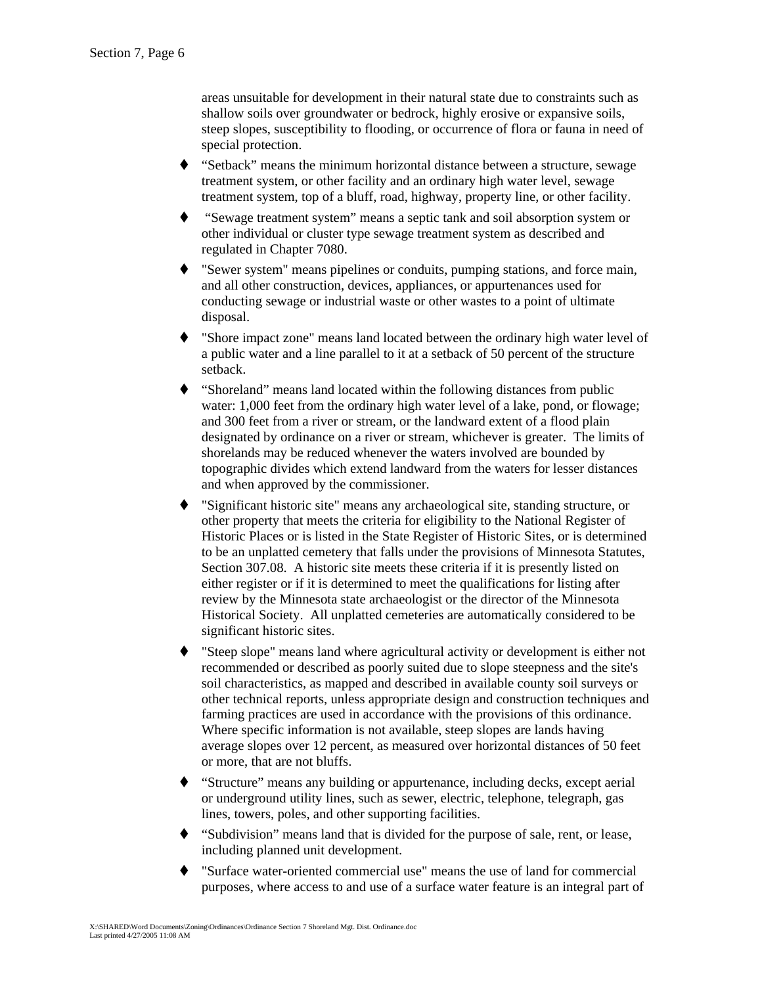areas unsuitable for development in their natural state due to constraints such as shallow soils over groundwater or bedrock, highly erosive or expansive soils, steep slopes, susceptibility to flooding, or occurrence of flora or fauna in need of special protection.

- "Setback" means the minimum horizontal distance between a structure, sewage treatment system, or other facility and an ordinary high water level, sewage treatment system, top of a bluff, road, highway, property line, or other facility.
- "Sewage treatment system" means a septic tank and soil absorption system or other individual or cluster type sewage treatment system as described and regulated in Chapter 7080.
- "Sewer system" means pipelines or conduits, pumping stations, and force main, and all other construction, devices, appliances, or appurtenances used for conducting sewage or industrial waste or other wastes to a point of ultimate disposal.
- "Shore impact zone" means land located between the ordinary high water level of a public water and a line parallel to it at a setback of 50 percent of the structure setback.
- "Shoreland" means land located within the following distances from public water: 1,000 feet from the ordinary high water level of a lake, pond, or flowage; and 300 feet from a river or stream, or the landward extent of a flood plain designated by ordinance on a river or stream, whichever is greater. The limits of shorelands may be reduced whenever the waters involved are bounded by topographic divides which extend landward from the waters for lesser distances and when approved by the commissioner.
- "Significant historic site" means any archaeological site, standing structure, or other property that meets the criteria for eligibility to the National Register of Historic Places or is listed in the State Register of Historic Sites, or is determined to be an unplatted cemetery that falls under the provisions of Minnesota Statutes, Section 307.08. A historic site meets these criteria if it is presently listed on either register or if it is determined to meet the qualifications for listing after review by the Minnesota state archaeologist or the director of the Minnesota Historical Society. All unplatted cemeteries are automatically considered to be significant historic sites.
- "Steep slope" means land where agricultural activity or development is either not recommended or described as poorly suited due to slope steepness and the site's soil characteristics, as mapped and described in available county soil surveys or other technical reports, unless appropriate design and construction techniques and farming practices are used in accordance with the provisions of this ordinance. Where specific information is not available, steep slopes are lands having average slopes over 12 percent, as measured over horizontal distances of 50 feet or more, that are not bluffs.
- "Structure" means any building or appurtenance, including decks, except aerial or underground utility lines, such as sewer, electric, telephone, telegraph, gas lines, towers, poles, and other supporting facilities.
- "Subdivision" means land that is divided for the purpose of sale, rent, or lease, including planned unit development.
- "Surface water-oriented commercial use" means the use of land for commercial purposes, where access to and use of a surface water feature is an integral part of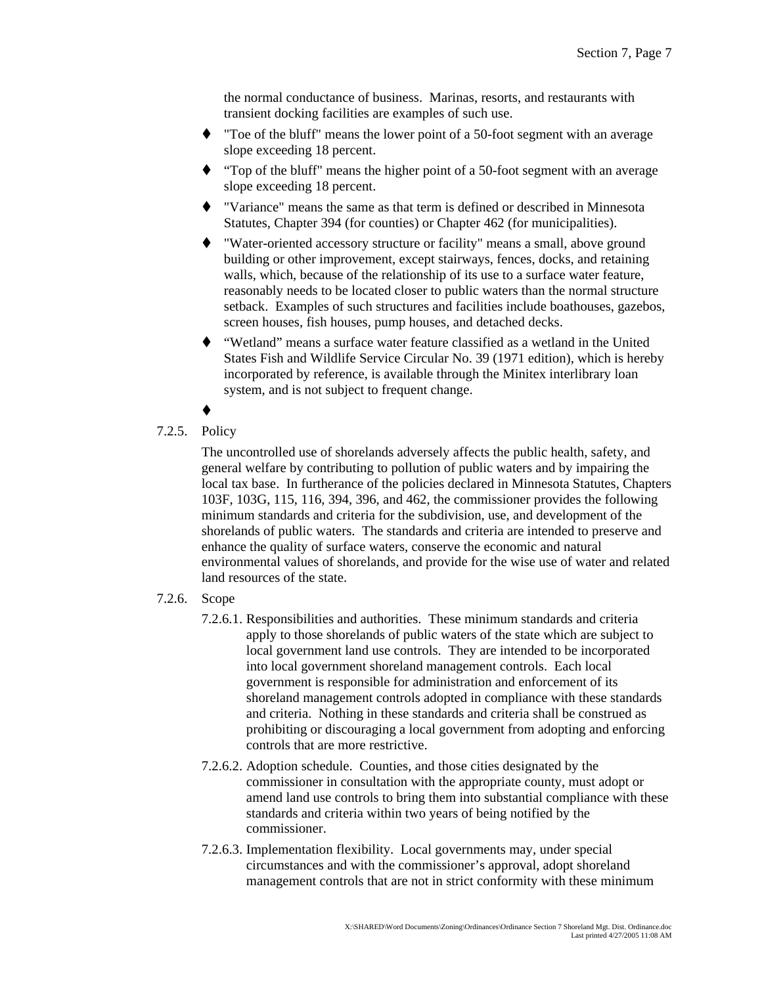the normal conductance of business. Marinas, resorts, and restaurants with transient docking facilities are examples of such use.

- "Toe of the bluff" means the lower point of a 50-foot segment with an average slope exceeding 18 percent.
- "Top of the bluff" means the higher point of a 50-foot segment with an average slope exceeding 18 percent.
- "Variance" means the same as that term is defined or described in Minnesota Statutes, Chapter 394 (for counties) or Chapter 462 (for municipalities).
- "Water-oriented accessory structure or facility" means a small, above ground building or other improvement, except stairways, fences, docks, and retaining walls, which, because of the relationship of its use to a surface water feature, reasonably needs to be located closer to public waters than the normal structure setback. Examples of such structures and facilities include boathouses, gazebos, screen houses, fish houses, pump houses, and detached decks.
- "Wetland" means a surface water feature classified as a wetland in the United States Fish and Wildlife Service Circular No. 39 (1971 edition), which is hereby incorporated by reference, is available through the Minitex interlibrary loan system, and is not subject to frequent change.

# $\bullet$

7.2.5. Policy

 The uncontrolled use of shorelands adversely affects the public health, safety, and general welfare by contributing to pollution of public waters and by impairing the local tax base. In furtherance of the policies declared in Minnesota Statutes, Chapters 103F, 103G, 115, 116, 394, 396, and 462, the commissioner provides the following minimum standards and criteria for the subdivision, use, and development of the shorelands of public waters. The standards and criteria are intended to preserve and enhance the quality of surface waters, conserve the economic and natural environmental values of shorelands, and provide for the wise use of water and related land resources of the state.

- 7.2.6. Scope
	- 7.2.6.1. Responsibilities and authorities. These minimum standards and criteria apply to those shorelands of public waters of the state which are subject to local government land use controls. They are intended to be incorporated into local government shoreland management controls. Each local government is responsible for administration and enforcement of its shoreland management controls adopted in compliance with these standards and criteria. Nothing in these standards and criteria shall be construed as prohibiting or discouraging a local government from adopting and enforcing controls that are more restrictive.
	- 7.2.6.2. Adoption schedule. Counties, and those cities designated by the commissioner in consultation with the appropriate county, must adopt or amend land use controls to bring them into substantial compliance with these standards and criteria within two years of being notified by the commissioner.
	- 7.2.6.3. Implementation flexibility. Local governments may, under special circumstances and with the commissioner's approval, adopt shoreland management controls that are not in strict conformity with these minimum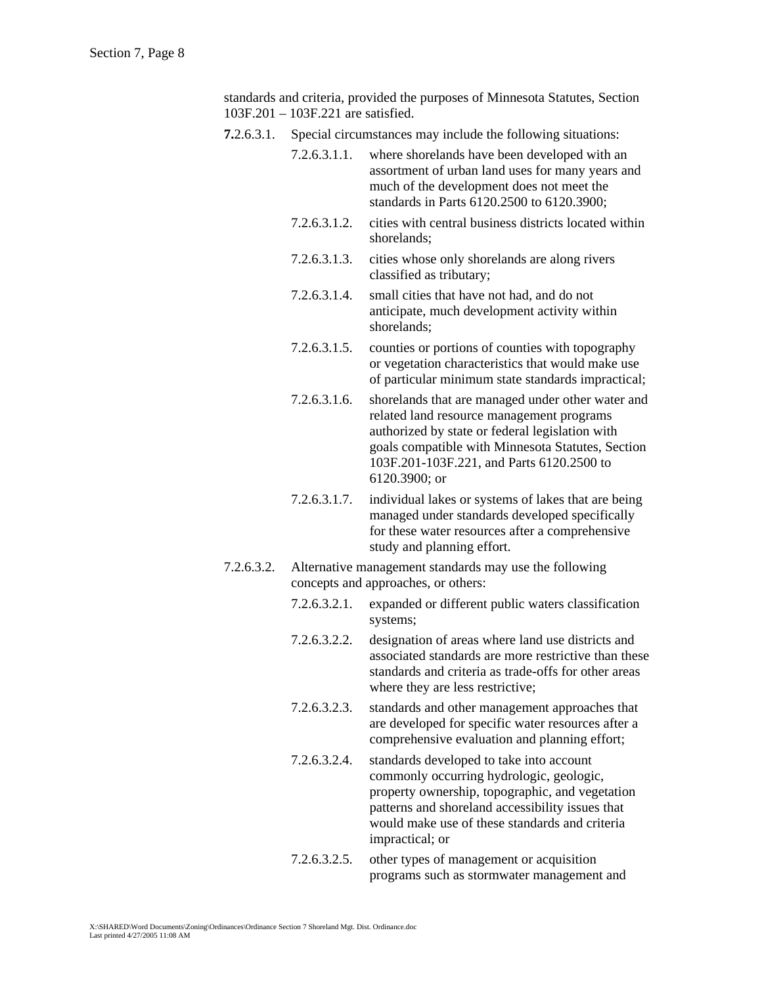standards and criteria, provided the purposes of Minnesota Statutes, Section 103F.201 – 103F.221 are satisfied.

- **7.**2.6.3.1. Special circumstances may include the following situations:
	- 7.2.6.3.1.1. where shorelands have been developed with an assortment of urban land uses for many years and much of the development does not meet the standards in Parts 6120.2500 to 6120.3900;
	- 7.2.6.3.1.2. cities with central business districts located within shorelands;
	- 7.2.6.3.1.3. cities whose only shorelands are along rivers classified as tributary;
	- 7.2.6.3.1.4. small cities that have not had, and do not anticipate, much development activity within shorelands;
	- 7.2.6.3.1.5. counties or portions of counties with topography or vegetation characteristics that would make use of particular minimum state standards impractical;
	- 7.2.6.3.1.6. shorelands that are managed under other water and related land resource management programs authorized by state or federal legislation with goals compatible with Minnesota Statutes, Section 103F.201-103F.221, and Parts 6120.2500 to 6120.3900; or
	- 7.2.6.3.1.7. individual lakes or systems of lakes that are being managed under standards developed specifically for these water resources after a comprehensive study and planning effort.
- 7.2.6.3.2. Alternative management standards may use the following concepts and approaches, or others:
	- 7.2.6.3.2.1. expanded or different public waters classification systems;
	- 7.2.6.3.2.2. designation of areas where land use districts and associated standards are more restrictive than these standards and criteria as trade-offs for other areas where they are less restrictive;
	- 7.2.6.3.2.3. standards and other management approaches that are developed for specific water resources after a comprehensive evaluation and planning effort;
	- 7.2.6.3.2.4. standards developed to take into account commonly occurring hydrologic, geologic, property ownership, topographic, and vegetation patterns and shoreland accessibility issues that would make use of these standards and criteria impractical; or
	- 7.2.6.3.2.5. other types of management or acquisition programs such as stormwater management and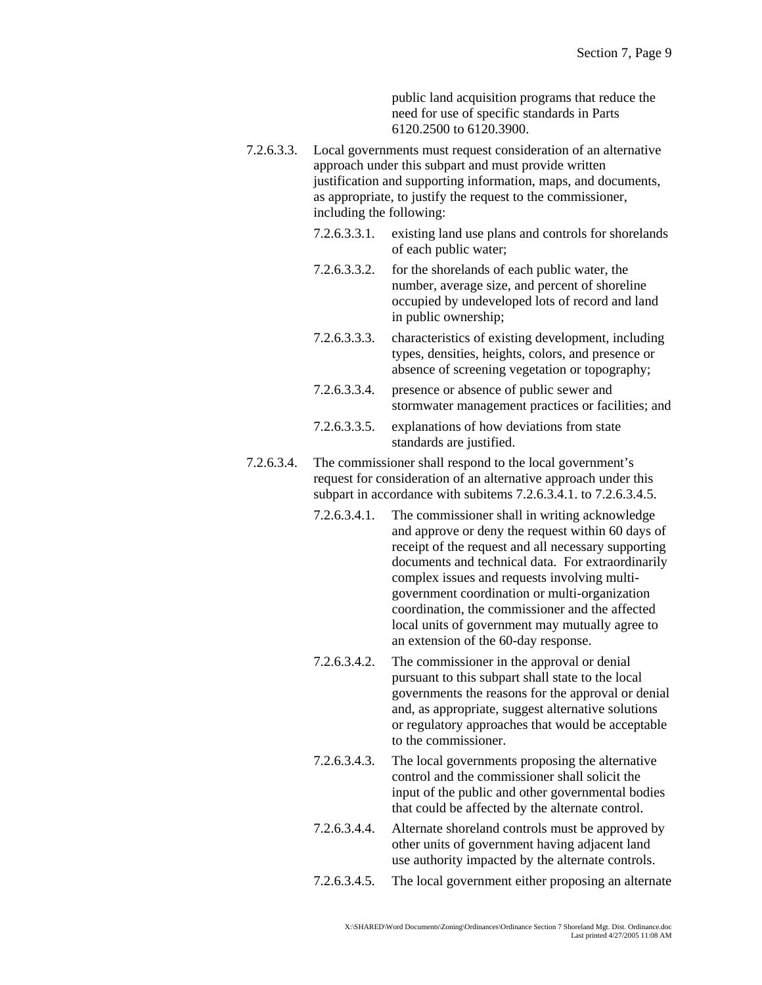public land acquisition programs that reduce the need for use of specific standards in Parts 6120.2500 to 6120.3900.

- 7.2.6.3.3. Local governments must request consideration of an alternative approach under this subpart and must provide written justification and supporting information, maps, and documents, as appropriate, to justify the request to the commissioner, including the following:
	- 7.2.6.3.3.1. existing land use plans and controls for shorelands of each public water;
	- 7.2.6.3.3.2. for the shorelands of each public water, the number, average size, and percent of shoreline occupied by undeveloped lots of record and land in public ownership;
	- 7.2.6.3.3.3. characteristics of existing development, including types, densities, heights, colors, and presence or absence of screening vegetation or topography;
	- 7.2.6.3.3.4. presence or absence of public sewer and stormwater management practices or facilities; and
	- 7.2.6.3.3.5. explanations of how deviations from state standards are justified.
- 7.2.6.3.4. The commissioner shall respond to the local government's request for consideration of an alternative approach under this subpart in accordance with subitems 7.2.6.3.4.1. to 7.2.6.3.4.5.
	- 7.2.6.3.4.1. The commissioner shall in writing acknowledge and approve or deny the request within 60 days of receipt of the request and all necessary supporting documents and technical data. For extraordinarily complex issues and requests involving multigovernment coordination or multi-organization coordination, the commissioner and the affected local units of government may mutually agree to an extension of the 60-day response.
	- 7.2.6.3.4.2. The commissioner in the approval or denial pursuant to this subpart shall state to the local governments the reasons for the approval or denial and, as appropriate, suggest alternative solutions or regulatory approaches that would be acceptable to the commissioner.
	- 7.2.6.3.4.3. The local governments proposing the alternative control and the commissioner shall solicit the input of the public and other governmental bodies that could be affected by the alternate control.
	- 7.2.6.3.4.4. Alternate shoreland controls must be approved by other units of government having adjacent land use authority impacted by the alternate controls.
	- 7.2.6.3.4.5. The local government either proposing an alternate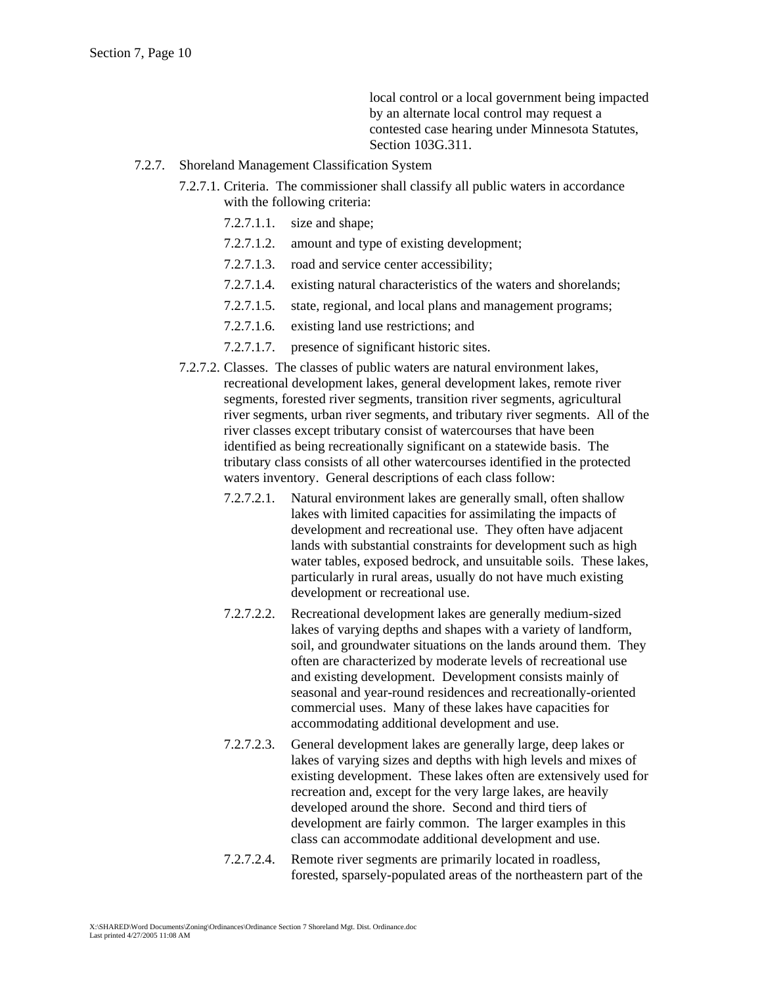local control or a local government being impacted by an alternate local control may request a contested case hearing under Minnesota Statutes, Section 103G.311.

- 7.2.7. Shoreland Management Classification System
	- 7.2.7.1. Criteria. The commissioner shall classify all public waters in accordance with the following criteria:
		- 7.2.7.1.1. size and shape;
		- 7.2.7.1.2. amount and type of existing development;
		- 7.2.7.1.3. road and service center accessibility;
		- 7.2.7.1.4. existing natural characteristics of the waters and shorelands;
		- 7.2.7.1.5. state, regional, and local plans and management programs;
		- 7.2.7.1.6. existing land use restrictions; and
		- 7.2.7.1.7. presence of significant historic sites.
	- 7.2.7.2. Classes. The classes of public waters are natural environment lakes, recreational development lakes, general development lakes, remote river segments, forested river segments, transition river segments, agricultural river segments, urban river segments, and tributary river segments. All of the river classes except tributary consist of watercourses that have been identified as being recreationally significant on a statewide basis. The tributary class consists of all other watercourses identified in the protected waters inventory. General descriptions of each class follow:
		- 7.2.7.2.1. Natural environment lakes are generally small, often shallow lakes with limited capacities for assimilating the impacts of development and recreational use. They often have adjacent lands with substantial constraints for development such as high water tables, exposed bedrock, and unsuitable soils. These lakes, particularly in rural areas, usually do not have much existing development or recreational use.
		- 7.2.7.2.2. Recreational development lakes are generally medium-sized lakes of varying depths and shapes with a variety of landform, soil, and groundwater situations on the lands around them. They often are characterized by moderate levels of recreational use and existing development. Development consists mainly of seasonal and year-round residences and recreationally-oriented commercial uses. Many of these lakes have capacities for accommodating additional development and use.
		- 7.2.7.2.3. General development lakes are generally large, deep lakes or lakes of varying sizes and depths with high levels and mixes of existing development. These lakes often are extensively used for recreation and, except for the very large lakes, are heavily developed around the shore. Second and third tiers of development are fairly common. The larger examples in this class can accommodate additional development and use.
		- 7.2.7.2.4. Remote river segments are primarily located in roadless, forested, sparsely-populated areas of the northeastern part of the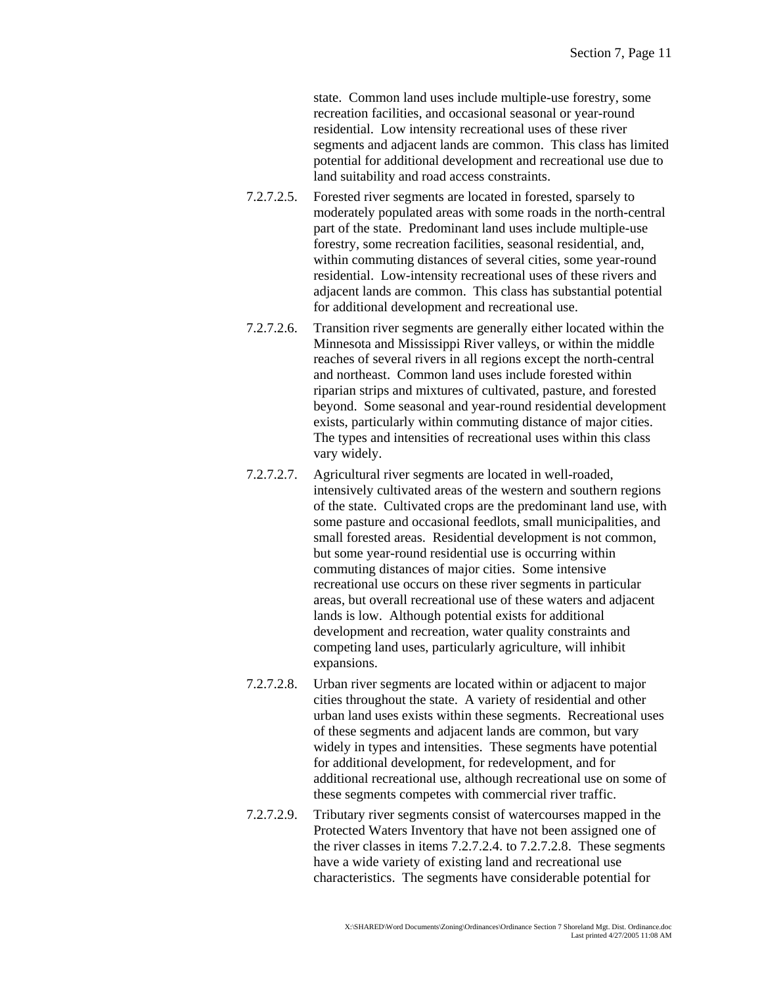state. Common land uses include multiple-use forestry, some recreation facilities, and occasional seasonal or year-round residential. Low intensity recreational uses of these river segments and adjacent lands are common. This class has limited potential for additional development and recreational use due to land suitability and road access constraints.

- 7.2.7.2.5. Forested river segments are located in forested, sparsely to moderately populated areas with some roads in the north-central part of the state. Predominant land uses include multiple-use forestry, some recreation facilities, seasonal residential, and, within commuting distances of several cities, some year-round residential. Low-intensity recreational uses of these rivers and adjacent lands are common. This class has substantial potential for additional development and recreational use.
- 7.2.7.2.6. Transition river segments are generally either located within the Minnesota and Mississippi River valleys, or within the middle reaches of several rivers in all regions except the north-central and northeast. Common land uses include forested within riparian strips and mixtures of cultivated, pasture, and forested beyond. Some seasonal and year-round residential development exists, particularly within commuting distance of major cities. The types and intensities of recreational uses within this class vary widely.
- 7.2.7.2.7. Agricultural river segments are located in well-roaded, intensively cultivated areas of the western and southern regions of the state. Cultivated crops are the predominant land use, with some pasture and occasional feedlots, small municipalities, and small forested areas. Residential development is not common, but some year-round residential use is occurring within commuting distances of major cities. Some intensive recreational use occurs on these river segments in particular areas, but overall recreational use of these waters and adjacent lands is low. Although potential exists for additional development and recreation, water quality constraints and competing land uses, particularly agriculture, will inhibit expansions.
- 7.2.7.2.8. Urban river segments are located within or adjacent to major cities throughout the state. A variety of residential and other urban land uses exists within these segments. Recreational uses of these segments and adjacent lands are common, but vary widely in types and intensities. These segments have potential for additional development, for redevelopment, and for additional recreational use, although recreational use on some of these segments competes with commercial river traffic.
- 7.2.7.2.9. Tributary river segments consist of watercourses mapped in the Protected Waters Inventory that have not been assigned one of the river classes in items 7.2.7.2.4. to 7.2.7.2.8. These segments have a wide variety of existing land and recreational use characteristics. The segments have considerable potential for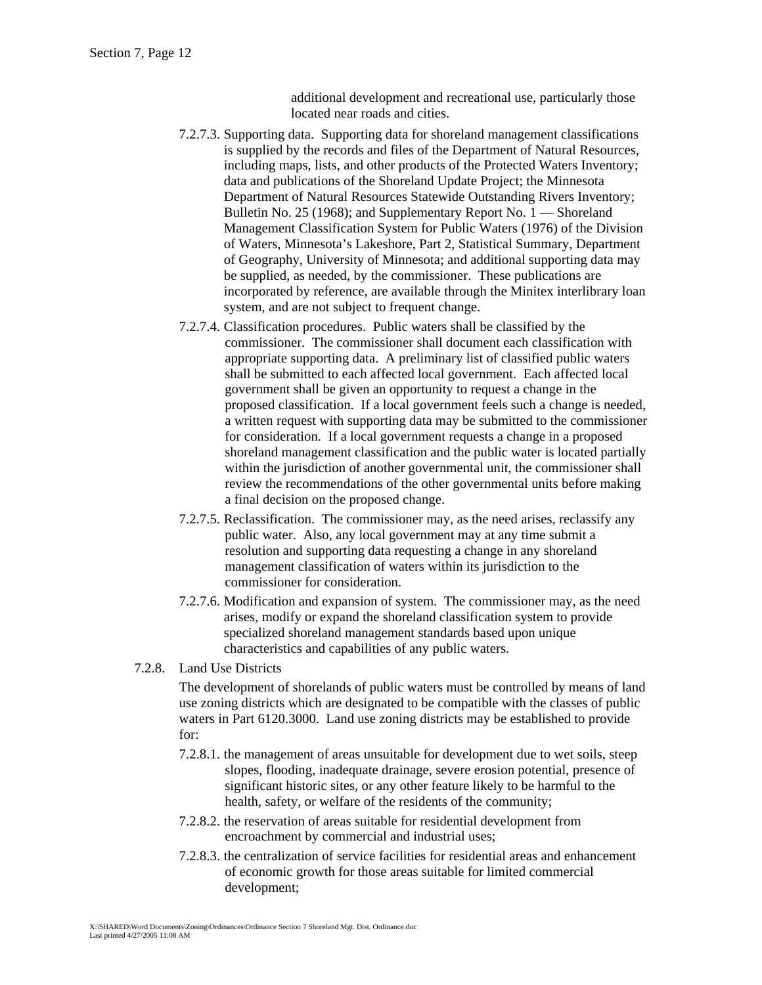additional development and recreational use, particularly those located near roads and cities.

- 7.2.7.3. Supporting data. Supporting data for shoreland management classifications is supplied by the records and files of the Department of Natural Resources, including maps, lists, and other products of the Protected Waters Inventory; data and publications of the Shoreland Update Project; the Minnesota Department of Natural Resources Statewide Outstanding Rivers Inventory; Bulletin No. 25 (1968); and Supplementary Report No. 1 — Shoreland Management Classification System for Public Waters (1976) of the Division of Waters, Minnesota's Lakeshore, Part 2, Statistical Summary, Department of Geography, University of Minnesota; and additional supporting data may be supplied, as needed, by the commissioner. These publications are incorporated by reference, are available through the Minitex interlibrary loan system, and are not subject to frequent change.
- 7.2.7.4. Classification procedures. Public waters shall be classified by the commissioner. The commissioner shall document each classification with appropriate supporting data. A preliminary list of classified public waters shall be submitted to each affected local government. Each affected local government shall be given an opportunity to request a change in the proposed classification. If a local government feels such a change is needed, a written request with supporting data may be submitted to the commissioner for consideration. If a local government requests a change in a proposed shoreland management classification and the public water is located partially within the jurisdiction of another governmental unit, the commissioner shall review the recommendations of the other governmental units before making a final decision on the proposed change.
- 7.2.7.5. Reclassification. The commissioner may, as the need arises, reclassify any public water. Also, any local government may at any time submit a resolution and supporting data requesting a change in any shoreland management classification of waters within its jurisdiction to the commissioner for consideration.
- 7.2.7.6. Modification and expansion of system. The commissioner may, as the need arises, modify or expand the shoreland classification system to provide specialized shoreland management standards based upon unique characteristics and capabilities of any public waters.
- 7.2.8. Land Use Districts

 The development of shorelands of public waters must be controlled by means of land use zoning districts which are designated to be compatible with the classes of public waters in Part 6120.3000. Land use zoning districts may be established to provide for:

- 7.2.8.1. the management of areas unsuitable for development due to wet soils, steep slopes, flooding, inadequate drainage, severe erosion potential, presence of significant historic sites, or any other feature likely to be harmful to the health, safety, or welfare of the residents of the community;
- 7.2.8.2. the reservation of areas suitable for residential development from encroachment by commercial and industrial uses;
- 7.2.8.3. the centralization of service facilities for residential areas and enhancement of economic growth for those areas suitable for limited commercial development;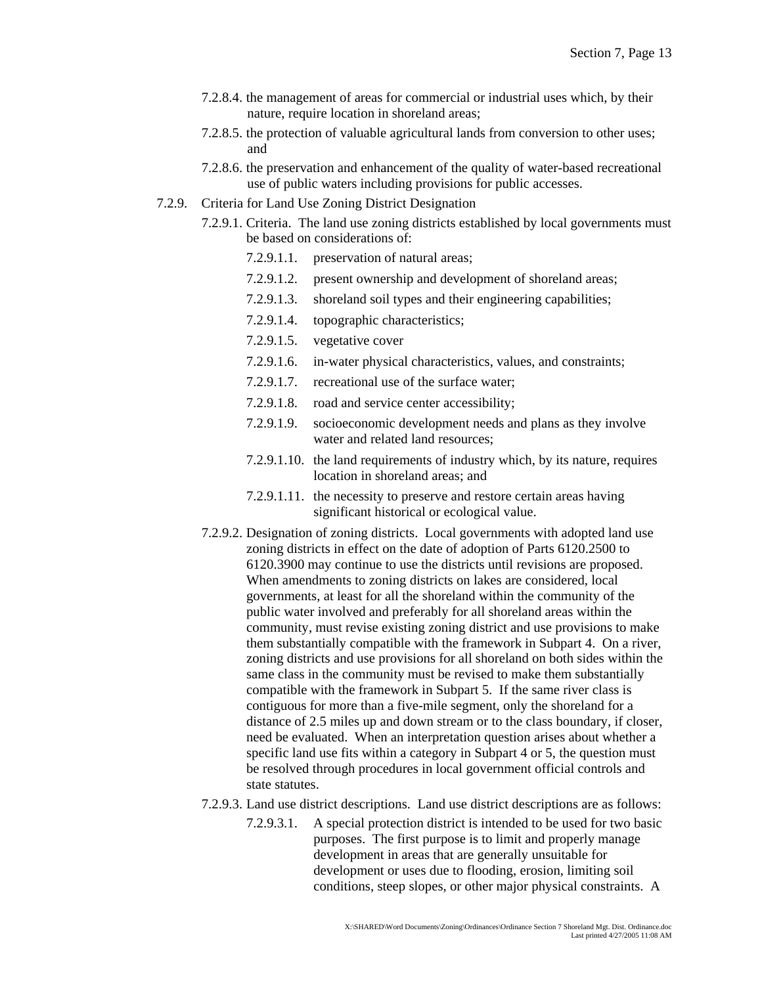- 7.2.8.4. the management of areas for commercial or industrial uses which, by their nature, require location in shoreland areas;
- 7.2.8.5. the protection of valuable agricultural lands from conversion to other uses; and
- 7.2.8.6. the preservation and enhancement of the quality of water-based recreational use of public waters including provisions for public accesses.
- 7.2.9. Criteria for Land Use Zoning District Designation
	- 7.2.9.1. Criteria. The land use zoning districts established by local governments must be based on considerations of:
		- 7.2.9.1.1. preservation of natural areas;
		- 7.2.9.1.2. present ownership and development of shoreland areas;
		- 7.2.9.1.3. shoreland soil types and their engineering capabilities;
		- 7.2.9.1.4. topographic characteristics;
		- 7.2.9.1.5. vegetative cover
		- 7.2.9.1.6. in-water physical characteristics, values, and constraints;
		- 7.2.9.1.7. recreational use of the surface water;
		- 7.2.9.1.8. road and service center accessibility;
		- 7.2.9.1.9. socioeconomic development needs and plans as they involve water and related land resources;
		- 7.2.9.1.10. the land requirements of industry which, by its nature, requires location in shoreland areas; and
		- 7.2.9.1.11. the necessity to preserve and restore certain areas having significant historical or ecological value.
	- 7.2.9.2. Designation of zoning districts. Local governments with adopted land use zoning districts in effect on the date of adoption of Parts 6120.2500 to 6120.3900 may continue to use the districts until revisions are proposed. When amendments to zoning districts on lakes are considered, local governments, at least for all the shoreland within the community of the public water involved and preferably for all shoreland areas within the community, must revise existing zoning district and use provisions to make them substantially compatible with the framework in Subpart 4. On a river, zoning districts and use provisions for all shoreland on both sides within the same class in the community must be revised to make them substantially compatible with the framework in Subpart 5. If the same river class is contiguous for more than a five-mile segment, only the shoreland for a distance of 2.5 miles up and down stream or to the class boundary, if closer, need be evaluated. When an interpretation question arises about whether a specific land use fits within a category in Subpart 4 or 5, the question must be resolved through procedures in local government official controls and state statutes.
	- 7.2.9.3. Land use district descriptions. Land use district descriptions are as follows:
		- 7.2.9.3.1. A special protection district is intended to be used for two basic purposes. The first purpose is to limit and properly manage development in areas that are generally unsuitable for development or uses due to flooding, erosion, limiting soil conditions, steep slopes, or other major physical constraints. A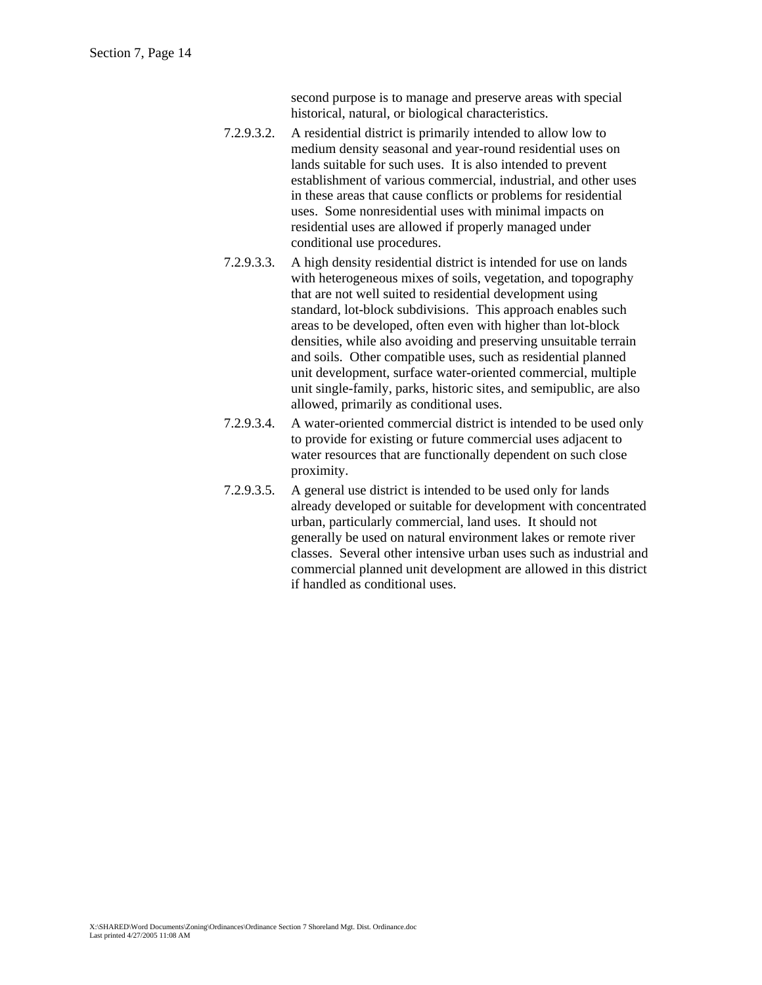second purpose is to manage and preserve areas with special historical, natural, or biological characteristics.

- 7.2.9.3.2. A residential district is primarily intended to allow low to medium density seasonal and year-round residential uses on lands suitable for such uses. It is also intended to prevent establishment of various commercial, industrial, and other uses in these areas that cause conflicts or problems for residential uses. Some nonresidential uses with minimal impacts on residential uses are allowed if properly managed under conditional use procedures.
- 7.2.9.3.3. A high density residential district is intended for use on lands with heterogeneous mixes of soils, vegetation, and topography that are not well suited to residential development using standard, lot-block subdivisions. This approach enables such areas to be developed, often even with higher than lot-block densities, while also avoiding and preserving unsuitable terrain and soils. Other compatible uses, such as residential planned unit development, surface water-oriented commercial, multiple unit single-family, parks, historic sites, and semipublic, are also allowed, primarily as conditional uses.
- 7.2.9.3.4. A water-oriented commercial district is intended to be used only to provide for existing or future commercial uses adjacent to water resources that are functionally dependent on such close proximity.
- 7.2.9.3.5. A general use district is intended to be used only for lands already developed or suitable for development with concentrated urban, particularly commercial, land uses. It should not generally be used on natural environment lakes or remote river classes. Several other intensive urban uses such as industrial and commercial planned unit development are allowed in this district if handled as conditional uses.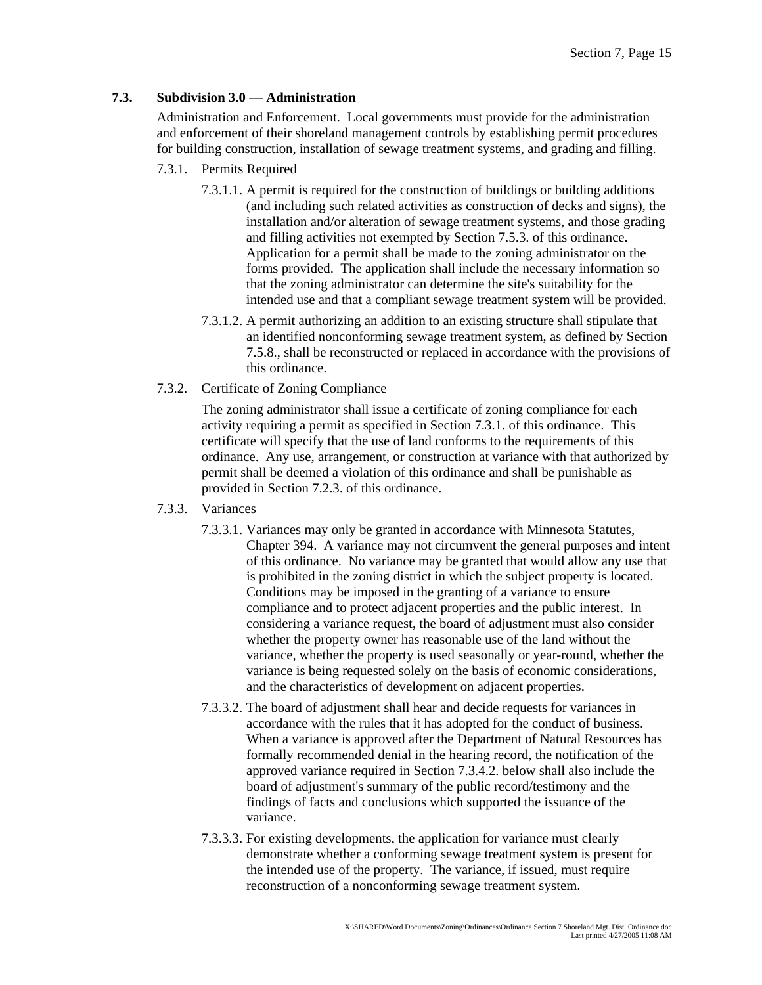### **7.3. Subdivision 3.0 — Administration**

Administration and Enforcement. Local governments must provide for the administration and enforcement of their shoreland management controls by establishing permit procedures for building construction, installation of sewage treatment systems, and grading and filling.

- 7.3.1. Permits Required
	- 7.3.1.1. A permit is required for the construction of buildings or building additions (and including such related activities as construction of decks and signs), the installation and/or alteration of sewage treatment systems, and those grading and filling activities not exempted by Section 7.5.3. of this ordinance. Application for a permit shall be made to the zoning administrator on the forms provided. The application shall include the necessary information so that the zoning administrator can determine the site's suitability for the intended use and that a compliant sewage treatment system will be provided.
	- 7.3.1.2. A permit authorizing an addition to an existing structure shall stipulate that an identified nonconforming sewage treatment system, as defined by Section 7.5.8., shall be reconstructed or replaced in accordance with the provisions of this ordinance.
- 7.3.2. Certificate of Zoning Compliance

The zoning administrator shall issue a certificate of zoning compliance for each activity requiring a permit as specified in Section 7.3.1. of this ordinance. This certificate will specify that the use of land conforms to the requirements of this ordinance. Any use, arrangement, or construction at variance with that authorized by permit shall be deemed a violation of this ordinance and shall be punishable as provided in Section 7.2.3. of this ordinance.

- 7.3.3. Variances
	- 7.3.3.1. Variances may only be granted in accordance with Minnesota Statutes, Chapter 394. A variance may not circumvent the general purposes and intent of this ordinance. No variance may be granted that would allow any use that is prohibited in the zoning district in which the subject property is located. Conditions may be imposed in the granting of a variance to ensure compliance and to protect adjacent properties and the public interest. In considering a variance request, the board of adjustment must also consider whether the property owner has reasonable use of the land without the variance, whether the property is used seasonally or year-round, whether the variance is being requested solely on the basis of economic considerations, and the characteristics of development on adjacent properties.
	- 7.3.3.2. The board of adjustment shall hear and decide requests for variances in accordance with the rules that it has adopted for the conduct of business. When a variance is approved after the Department of Natural Resources has formally recommended denial in the hearing record, the notification of the approved variance required in Section 7.3.4.2. below shall also include the board of adjustment's summary of the public record/testimony and the findings of facts and conclusions which supported the issuance of the variance.
	- 7.3.3.3. For existing developments, the application for variance must clearly demonstrate whether a conforming sewage treatment system is present for the intended use of the property. The variance, if issued, must require reconstruction of a nonconforming sewage treatment system.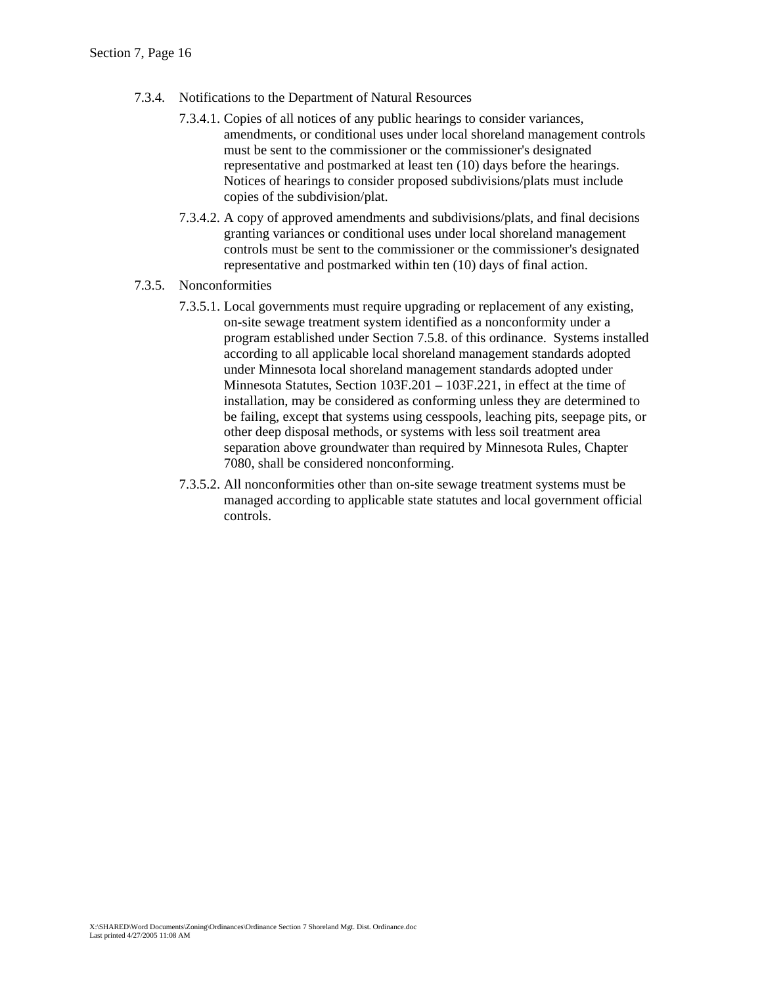- 7.3.4. Notifications to the Department of Natural Resources
	- 7.3.4.1. Copies of all notices of any public hearings to consider variances, amendments, or conditional uses under local shoreland management controls must be sent to the commissioner or the commissioner's designated representative and postmarked at least ten (10) days before the hearings. Notices of hearings to consider proposed subdivisions/plats must include copies of the subdivision/plat.
	- 7.3.4.2. A copy of approved amendments and subdivisions/plats, and final decisions granting variances or conditional uses under local shoreland management controls must be sent to the commissioner or the commissioner's designated representative and postmarked within ten (10) days of final action.
- 7.3.5. Nonconformities
	- 7.3.5.1. Local governments must require upgrading or replacement of any existing, on-site sewage treatment system identified as a nonconformity under a program established under Section 7.5.8. of this ordinance. Systems installed according to all applicable local shoreland management standards adopted under Minnesota local shoreland management standards adopted under Minnesota Statutes, Section 103F.201 – 103F.221, in effect at the time of installation, may be considered as conforming unless they are determined to be failing, except that systems using cesspools, leaching pits, seepage pits, or other deep disposal methods, or systems with less soil treatment area separation above groundwater than required by Minnesota Rules, Chapter 7080, shall be considered nonconforming.
	- 7.3.5.2. All nonconformities other than on-site sewage treatment systems must be managed according to applicable state statutes and local government official controls.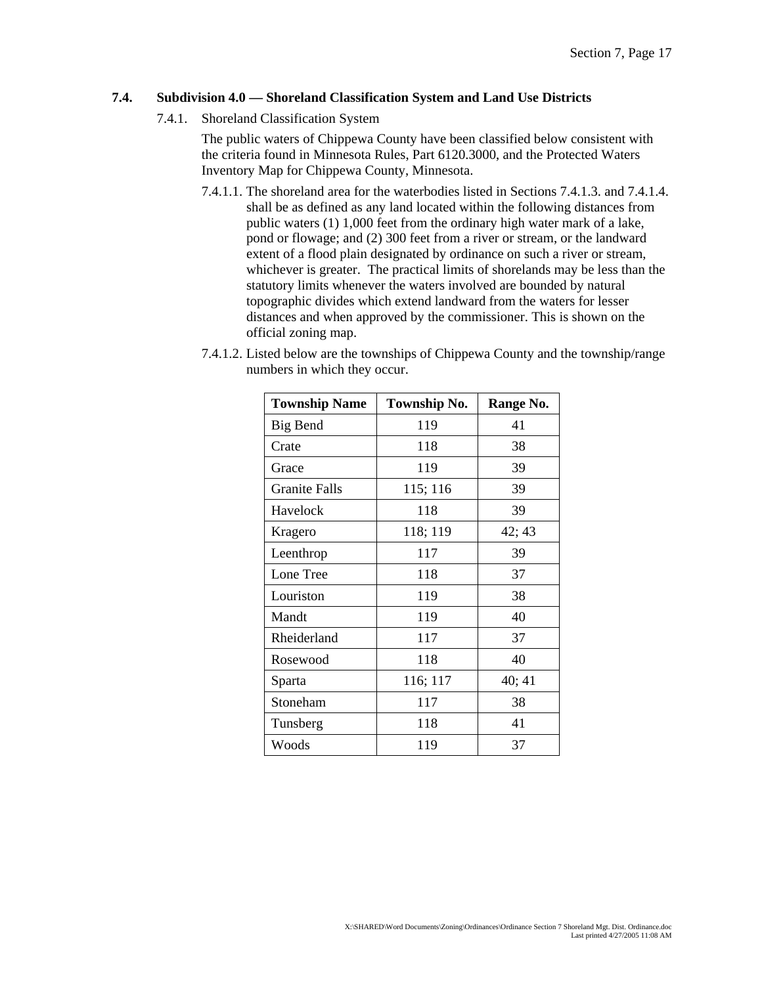# **7.4. Subdivision 4.0 — Shoreland Classification System and Land Use Districts**

7.4.1. Shoreland Classification System

 The public waters of Chippewa County have been classified below consistent with the criteria found in Minnesota Rules, Part 6120.3000, and the Protected Waters Inventory Map for Chippewa County, Minnesota.

7.4.1.1. The shoreland area for the waterbodies listed in Sections 7.4.1.3. and 7.4.1.4. shall be as defined as any land located within the following distances from public waters (1) 1,000 feet from the ordinary high water mark of a lake, pond or flowage; and (2) 300 feet from a river or stream, or the landward extent of a flood plain designated by ordinance on such a river or stream, whichever is greater. The practical limits of shorelands may be less than the statutory limits whenever the waters involved are bounded by natural topographic divides which extend landward from the waters for lesser distances and when approved by the commissioner. This is shown on the official zoning map.

| <b>Township Name</b> | Township No. | Range No. |
|----------------------|--------------|-----------|
| Big Bend             | 119          | 41        |
| Crate                | 118          | 38        |
| Grace                | 119          | 39        |
| Granite Falls        | 115; 116     | 39        |
| Havelock             | 118          | 39        |
| Kragero              | 118; 119     | 42; 43    |
| Leenthrop            | 117          | 39        |
| Lone Tree            | 118          | 37        |
| Louriston            | 119          | 38        |
| Mandt                | 119          | 40        |
| Rheiderland          | 117          | 37        |
| Rosewood             | 118          | 40        |
| Sparta               | 116; 117     | 40; 41    |
| Stoneham             | 117          | 38        |
| Tunsberg             | 118          | 41        |
| Woods                | 119          | 37        |

7.4.1.2. Listed below are the townships of Chippewa County and the township/range numbers in which they occur.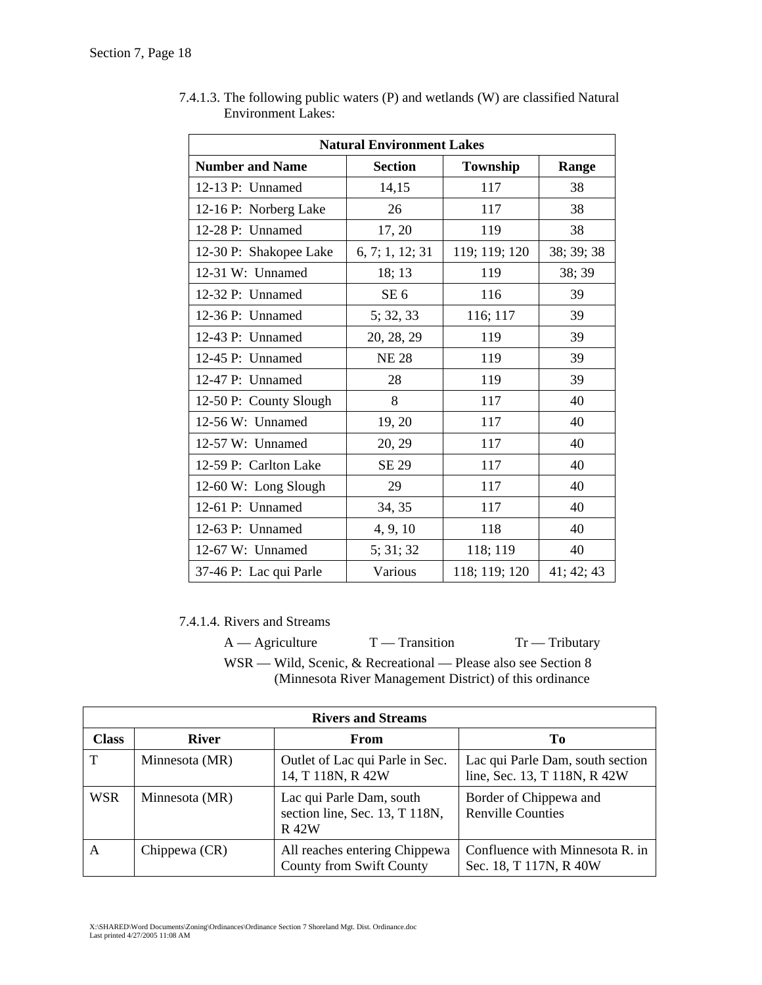| <b>Natural Environment Lakes</b> |                                     |               |            |  |  |
|----------------------------------|-------------------------------------|---------------|------------|--|--|
| <b>Number and Name</b>           | <b>Section</b><br>Range<br>Township |               |            |  |  |
| $12-13$ P: Unnamed               | 14,15                               | 117           | 38         |  |  |
| 12-16 P: Norberg Lake            | 26                                  | 117           | 38         |  |  |
| 12-28 P: Unnamed                 | 17, 20                              | 119           | 38         |  |  |
| 12-30 P: Shakopee Lake           | 6, 7; 1, 12; 31                     | 119; 119; 120 | 38; 39; 38 |  |  |
| 12-31 W: Unnamed                 | 18; 13                              | 119           | 38; 39     |  |  |
| 12-32 P: Unnamed                 | SE <sub>6</sub>                     | 116           | 39         |  |  |
| 12-36 P: Unnamed                 | 5; 32, 33                           | 116; 117      | 39         |  |  |
| 12-43 P: Unnamed                 | 20, 28, 29                          | 119           | 39         |  |  |
| 12-45 P: Unnamed                 | <b>NE28</b>                         | 119           | 39         |  |  |
| 12-47 P: Unnamed                 | 28                                  | 119           | 39         |  |  |
| 12-50 P: County Slough           | 8                                   | 117           | 40         |  |  |
| 12-56 W: Unnamed                 | 19, 20                              | 117           | 40         |  |  |
| 12-57 W: Unnamed                 | 20, 29                              | 117           | 40         |  |  |
| 12-59 P: Carlton Lake            | SE 29                               | 117           | 40         |  |  |
| 12-60 W: Long Slough             | 29                                  | 117           | 40         |  |  |
| 12-61 P: Unnamed                 | 34, 35                              | 117           | 40         |  |  |
| 12-63 P: Unnamed                 | 4, 9, 10                            | 118           | 40         |  |  |
| 12-67 W: Unnamed                 | 5; 31; 32                           | 118; 119      | 40         |  |  |
| 37-46 P: Lac qui Parle           | Various                             | 118; 119; 120 | 41; 42; 43 |  |  |

7.4.1.3. The following public waters (P) and wetlands (W) are classified Natural Environment Lakes:

7.4.1.4. Rivers and Streams

 $A - Agriculture$   $T - Transition$  Tr - Tributary WSR — Wild, Scenic, & Recreational — Please also see Section 8 (Minnesota River Management District) of this ordinance

| <b>Rivers and Streams</b> |                |                                                                            |                                                                  |  |
|---------------------------|----------------|----------------------------------------------------------------------------|------------------------------------------------------------------|--|
| <b>Class</b>              | <b>River</b>   | From                                                                       | Tо                                                               |  |
| $\mathbf T$               | Minnesota (MR) | Outlet of Lac qui Parle in Sec.<br>14, T 118N, R 42W                       | Lac qui Parle Dam, south section<br>line, Sec. 13, T 118N, R 42W |  |
| <b>WSR</b>                | Minnesota (MR) | Lac qui Parle Dam, south<br>section line, Sec. 13, T 118N,<br><b>R</b> 42W | Border of Chippewa and<br><b>Renville Counties</b>               |  |
| A                         | Chippewa (CR)  | All reaches entering Chippewa<br>County from Swift County                  | Confluence with Minnesota R. in<br>Sec. 18, T 117N, R 40W        |  |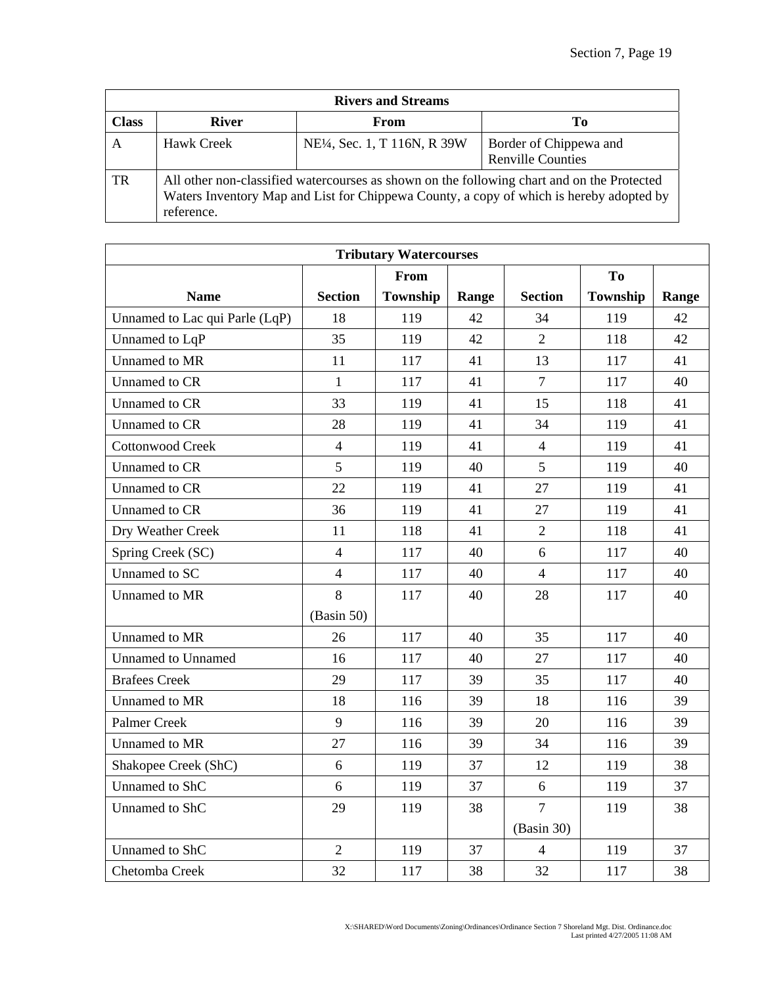| <b>Rivers and Streams</b>                                                                                                                                                                                 |                   |                                           |                                                    |  |
|-----------------------------------------------------------------------------------------------------------------------------------------------------------------------------------------------------------|-------------------|-------------------------------------------|----------------------------------------------------|--|
| <b>Class</b>                                                                                                                                                                                              | <b>River</b>      | From                                      | Tо                                                 |  |
| A                                                                                                                                                                                                         | <b>Hawk Creek</b> | NE <sup>1</sup> /4, Sec. 1, T 116N, R 39W | Border of Chippewa and<br><b>Renville Counties</b> |  |
| TR<br>All other non-classified watercourses as shown on the following chart and on the Protected<br>Waters Inventory Map and List for Chippewa County, a copy of which is hereby adopted by<br>reference. |                   |                                           |                                                    |  |

| <b>Tributary Watercourses</b>  |                |          |       |                |                |       |
|--------------------------------|----------------|----------|-------|----------------|----------------|-------|
|                                |                | From     |       |                | T <sub>0</sub> |       |
| <b>Name</b>                    | <b>Section</b> | Township | Range | <b>Section</b> | Township       | Range |
| Unnamed to Lac qui Parle (LqP) | 18             | 119      | 42    | 34             | 119            | 42    |
| Unnamed to LqP                 | 35             | 119      | 42    | $\overline{2}$ | 118            | 42    |
| Unnamed to MR                  | 11             | 117      | 41    | 13             | 117            | 41    |
| Unnamed to CR                  | $\mathbf{1}$   | 117      | 41    | $\tau$         | 117            | 40    |
| Unnamed to CR                  | 33             | 119      | 41    | 15             | 118            | 41    |
| Unnamed to CR                  | 28             | 119      | 41    | 34             | 119            | 41    |
| <b>Cottonwood Creek</b>        | $\overline{4}$ | 119      | 41    | $\overline{4}$ | 119            | 41    |
| Unnamed to CR                  | 5              | 119      | 40    | 5              | 119            | 40    |
| Unnamed to CR                  | 22             | 119      | 41    | 27             | 119            | 41    |
| Unnamed to CR                  | 36             | 119      | 41    | 27             | 119            | 41    |
| Dry Weather Creek              | 11             | 118      | 41    | $\overline{2}$ | 118            | 41    |
| Spring Creek (SC)              | $\overline{4}$ | 117      | 40    | 6              | 117            | 40    |
| Unnamed to SC                  | $\overline{4}$ | 117      | 40    | $\overline{4}$ | 117            | 40    |
| Unnamed to MR                  | 8              | 117      | 40    | 28             | 117            | 40    |
|                                | (Basin 50)     |          |       |                |                |       |
| Unnamed to MR                  | 26             | 117      | 40    | 35             | 117            | 40    |
| <b>Unnamed to Unnamed</b>      | 16             | 117      | 40    | 27             | 117            | 40    |
| <b>Brafees Creek</b>           | 29             | 117      | 39    | 35             | 117            | 40    |
| Unnamed to MR                  | 18             | 116      | 39    | 18             | 116            | 39    |
| <b>Palmer Creek</b>            | 9              | 116      | 39    | 20             | 116            | 39    |
| Unnamed to MR                  | 27             | 116      | 39    | 34             | 116            | 39    |
| Shakopee Creek (ShC)           | 6              | 119      | 37    | 12             | 119            | 38    |
| Unnamed to ShC                 | 6              | 119      | 37    | 6              | 119            | 37    |
| Unnamed to ShC                 | 29             | 119      | 38    | $\overline{7}$ | 119            | 38    |
|                                |                |          |       | (Basin 30)     |                |       |
| Unnamed to ShC                 | $\overline{2}$ | 119      | 37    | 4              | 119            | 37    |
| Chetomba Creek                 | 32             | 117      | 38    | 32             | 117            | 38    |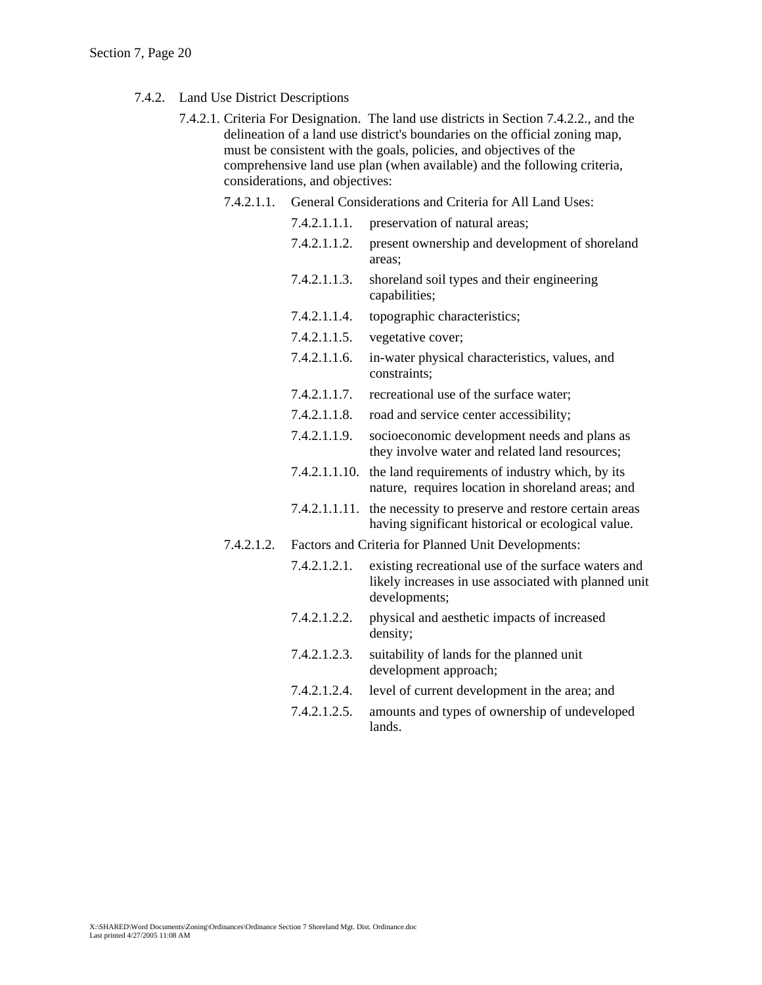- 7.4.2. Land Use District Descriptions
	- 7.4.2.1. Criteria For Designation. The land use districts in Section 7.4.2.2., and the delineation of a land use district's boundaries on the official zoning map, must be consistent with the goals, policies, and objectives of the comprehensive land use plan (when available) and the following criteria, considerations, and objectives:
		- 7.4.2.1.1. General Considerations and Criteria for All Land Uses:
			- 7.4.2.1.1.1. preservation of natural areas;
			- 7.4.2.1.1.2. present ownership and development of shoreland areas;
			- 7.4.2.1.1.3. shoreland soil types and their engineering capabilities;
			- 7.4.2.1.1.4. topographic characteristics;
			- 7.4.2.1.1.5. vegetative cover;
			- 7.4.2.1.1.6. in-water physical characteristics, values, and constraints;
			- 7.4.2.1.1.7. recreational use of the surface water;
			- 7.4.2.1.1.8. road and service center accessibility;
			- 7.4.2.1.1.9. socioeconomic development needs and plans as they involve water and related land resources;
			- 7.4.2.1.1.10. the land requirements of industry which, by its nature, requires location in shoreland areas; and
			- 7.4.2.1.1.11. the necessity to preserve and restore certain areas having significant historical or ecological value.
		- 7.4.2.1.2. Factors and Criteria for Planned Unit Developments:
			- 7.4.2.1.2.1. existing recreational use of the surface waters and likely increases in use associated with planned unit developments;
			- 7.4.2.1.2.2. physical and aesthetic impacts of increased density;
			- 7.4.2.1.2.3. suitability of lands for the planned unit development approach;
			- 7.4.2.1.2.4. level of current development in the area; and
			- 7.4.2.1.2.5. amounts and types of ownership of undeveloped lands.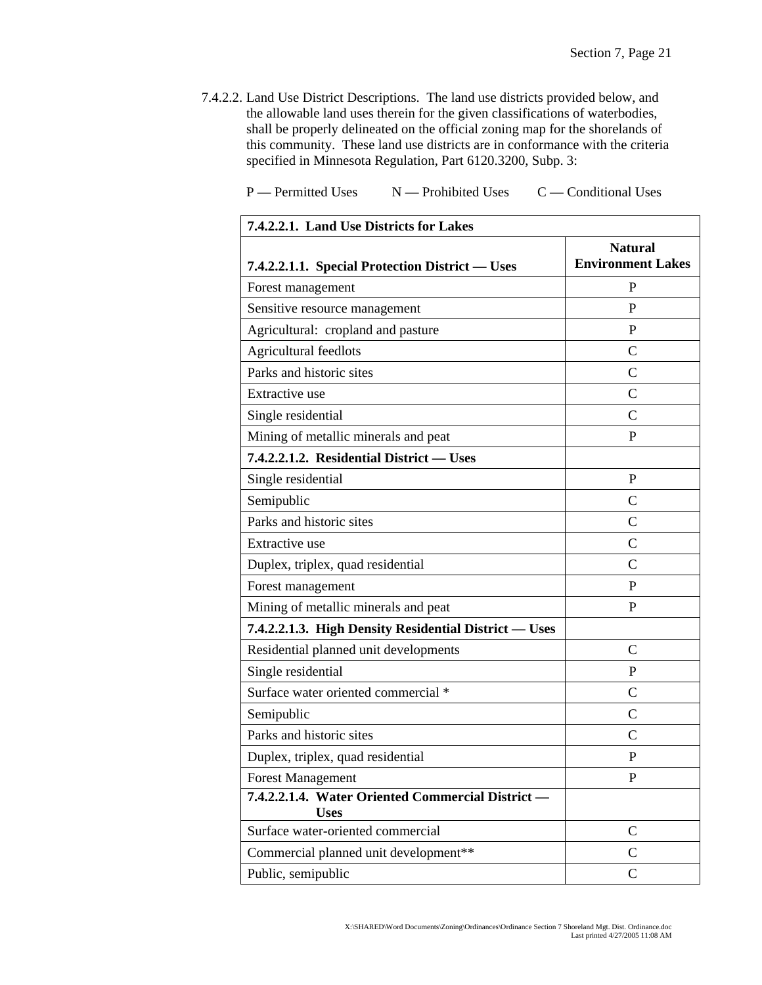7.4.2.2. Land Use District Descriptions. The land use districts provided below, and the allowable land uses therein for the given classifications of waterbodies, shall be properly delineated on the official zoning map for the shorelands of this community. These land use districts are in conformance with the criteria specified in Minnesota Regulation, Part 6120.3200, Subp. 3:

| 7.4.2.2.1. Land Use Districts for Lakes                          |                                            |  |  |
|------------------------------------------------------------------|--------------------------------------------|--|--|
| 7.4.2.2.1.1. Special Protection District — Uses                  | <b>Natural</b><br><b>Environment Lakes</b> |  |  |
| Forest management                                                | P                                          |  |  |
| Sensitive resource management                                    | P                                          |  |  |
| Agricultural: cropland and pasture                               | P                                          |  |  |
| Agricultural feedlots                                            | $\mathcal{C}$                              |  |  |
| Parks and historic sites                                         | $\mathsf{C}$                               |  |  |
| <b>Extractive</b> use                                            | $\mathsf{C}$                               |  |  |
| Single residential                                               | $\mathsf{C}$                               |  |  |
| Mining of metallic minerals and peat                             | P                                          |  |  |
| 7.4.2.2.1.2. Residential District - Uses                         |                                            |  |  |
| Single residential                                               | P                                          |  |  |
| Semipublic                                                       | C                                          |  |  |
| Parks and historic sites                                         | $\mathsf{C}$                               |  |  |
| <b>Extractive</b> use                                            | $\mathsf{C}$                               |  |  |
| Duplex, triplex, quad residential                                | $\mathsf{C}$                               |  |  |
| Forest management                                                | P                                          |  |  |
| Mining of metallic minerals and peat                             | P                                          |  |  |
| 7.4.2.2.1.3. High Density Residential District - Uses            |                                            |  |  |
| Residential planned unit developments                            | $\mathcal{C}$                              |  |  |
| Single residential                                               | P                                          |  |  |
| Surface water oriented commercial *                              | $\mathsf{C}$                               |  |  |
| Semipublic                                                       | $\mathcal{C}$                              |  |  |
| Parks and historic sites                                         | C                                          |  |  |
| Duplex, triplex, quad residential                                | $\mathbf P$                                |  |  |
| <b>Forest Management</b>                                         |                                            |  |  |
| 7.4.2.2.1.4. Water Oriented Commercial District -<br><b>Uses</b> |                                            |  |  |
| Surface water-oriented commercial                                | $\mathbf C$                                |  |  |
| Commercial planned unit development**                            | $\mathsf{C}$                               |  |  |
| Public, semipublic                                               | $\mathsf{C}$                               |  |  |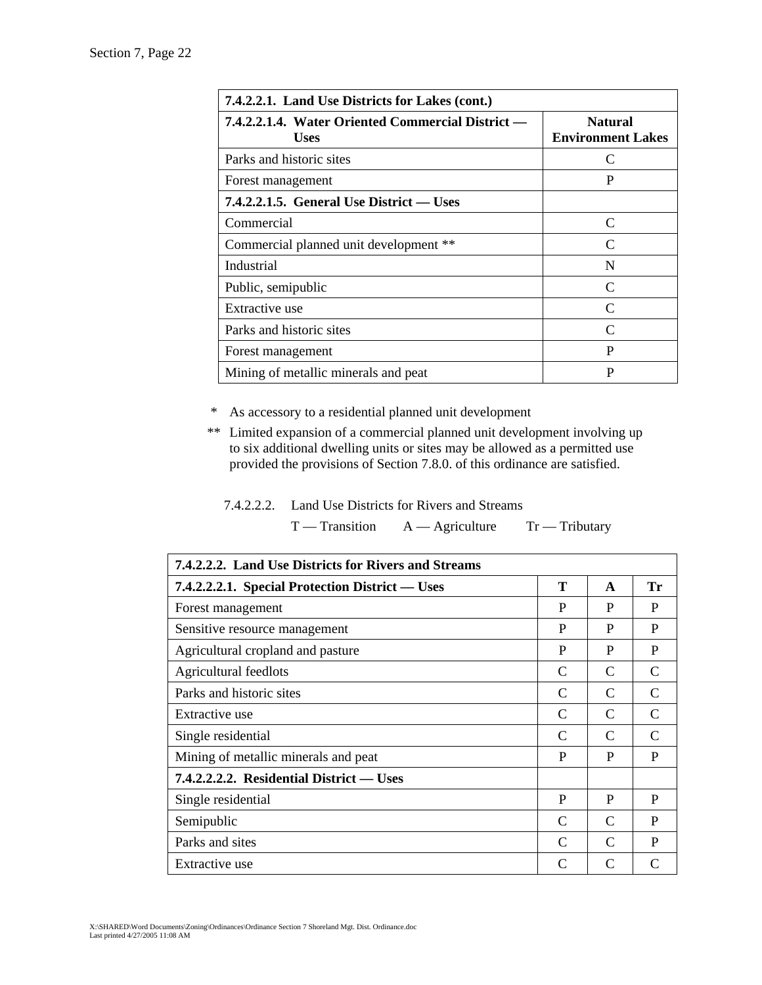| 7.4.2.2.1. Land Use Districts for Lakes (cont.)                  |                                            |  |  |
|------------------------------------------------------------------|--------------------------------------------|--|--|
| 7.4.2.2.1.4. Water Oriented Commercial District —<br><b>Uses</b> | <b>Natural</b><br><b>Environment Lakes</b> |  |  |
| Parks and historic sites                                         | $\subset$                                  |  |  |
| Forest management                                                | P                                          |  |  |
| 7.4.2.2.1.5. General Use District — Uses                         |                                            |  |  |
| Commercial                                                       | C                                          |  |  |
| Commercial planned unit development **                           | $\mathcal{C}_{\mathcal{C}}$                |  |  |
| Industrial                                                       | N                                          |  |  |
| Public, semipublic                                               | $\subset$                                  |  |  |
| Extractive use                                                   | $\mathcal{C}_{\mathcal{C}}$                |  |  |
| Parks and historic sites                                         |                                            |  |  |
| Forest management                                                | P                                          |  |  |
| Mining of metallic minerals and peat                             | P                                          |  |  |

\* As accessory to a residential planned unit development

 \*\* Limited expansion of a commercial planned unit development involving up to six additional dwelling units or sites may be allowed as a permitted use provided the provisions of Section 7.8.0. of this ordinance are satisfied.

# 7.4.2.2.2. Land Use Districts for Rivers and Streams

T — Transition A — Agriculture Tr — Tributary

| 7.4.2.2.2. Land Use Districts for Rivers and Streams |                             |                             |                             |
|------------------------------------------------------|-----------------------------|-----------------------------|-----------------------------|
| 7.4.2.2.2.1. Special Protection District — Uses      | Т                           | $\mathbf{A}$                | Tr                          |
| Forest management                                    | P                           | P                           | P                           |
| Sensitive resource management                        | P                           | P                           | P                           |
| Agricultural cropland and pasture                    | P                           | P                           | P                           |
| Agricultural feedlots                                | $\mathcal{C}_{\mathcal{C}}$ | C                           | $\mathcal{C}_{\mathcal{C}}$ |
| Parks and historic sites                             | C                           | C                           | $\mathsf{C}$                |
| Extractive use                                       | $\mathcal{C}_{\mathcal{C}}$ | $\mathcal{C}$               | $\mathsf{C}$                |
| Single residential                                   | $\mathcal{C}$               | $\mathcal{C}$               | $\mathsf{C}$                |
| Mining of metallic minerals and peat                 | P                           | P                           | P                           |
| 7.4.2.2.2.2. Residential District — Uses             |                             |                             |                             |
| Single residential                                   | P                           | P                           | P                           |
| Semipublic                                           | $\mathcal{C}$               | $\mathcal{C}_{\mathcal{C}}$ | P                           |
| Parks and sites                                      | $\mathcal{C}_{\mathcal{C}}$ | $\subset$                   | P                           |
| Extractive use                                       | C                           | $\mathcal{C}_{\mathcal{C}}$ | $\subset$                   |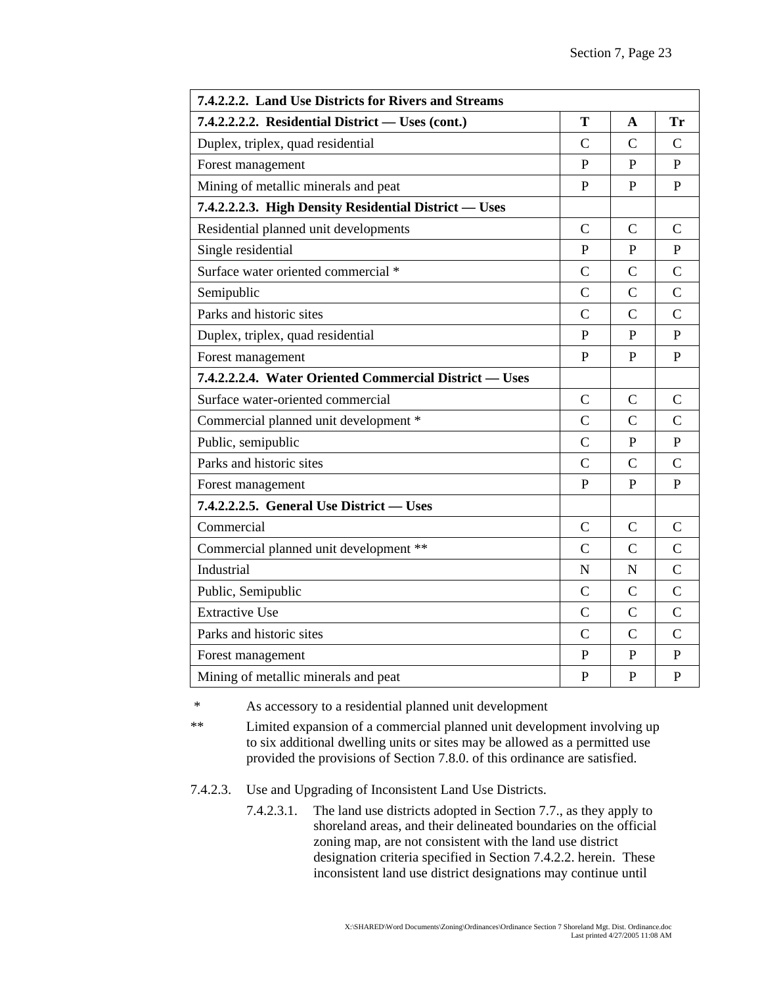| 7.4.2.2.2. Land Use Districts for Rivers and Streams   |                |               |                |  |
|--------------------------------------------------------|----------------|---------------|----------------|--|
| 7.4.2.2.2.2. Residential District — Uses (cont.)       | T              | A             | <b>Tr</b>      |  |
| Duplex, triplex, quad residential                      | $\overline{C}$ | $\mathcal{C}$ | $\mathcal{C}$  |  |
| Forest management                                      | P              | P             | P              |  |
| Mining of metallic minerals and peat                   | $\mathbf{P}$   | P             | P              |  |
| 7.4.2.2.2.3. High Density Residential District - Uses  |                |               |                |  |
| Residential planned unit developments                  | $\mathcal{C}$  | $\mathcal{C}$ | $\mathcal{C}$  |  |
| Single residential                                     | P              | P             | P              |  |
| Surface water oriented commercial *                    | $\overline{C}$ | $\mathcal{C}$ | $\mathcal{C}$  |  |
| Semipublic                                             | $\mathsf{C}$   | $\mathbf C$   | $\mathcal{C}$  |  |
| Parks and historic sites                               | $\mathcal{C}$  | $\mathcal{C}$ | $\overline{C}$ |  |
| Duplex, triplex, quad residential                      | P              | P             | P              |  |
| Forest management                                      | P              | P             | P              |  |
| 7.4.2.2.2.4. Water Oriented Commercial District - Uses |                |               |                |  |
| Surface water-oriented commercial                      | $\mathbf C$    | $\mathbf C$   | $\mathsf{C}$   |  |
| Commercial planned unit development *                  | $\overline{C}$ | $\mathbf C$   | $\overline{C}$ |  |
| Public, semipublic                                     | $\mathcal{C}$  | P             | P              |  |
| Parks and historic sites                               | $\mathsf{C}$   | $\mathcal{C}$ | $\mathcal{C}$  |  |
| Forest management                                      | P              | P             | P              |  |
| 7.4.2.2.2.5. General Use District - Uses               |                |               |                |  |
| Commercial                                             | $\mathbf C$    | $\mathbf C$   | $\mathcal{C}$  |  |
| Commercial planned unit development **                 | $\mathcal{C}$  | $\mathcal{C}$ | $\mathcal{C}$  |  |
| Industrial                                             | $\mathbf N$    | N             | $\mathcal{C}$  |  |
| Public, Semipublic                                     | $\mathcal{C}$  | $\mathcal{C}$ | $\overline{C}$ |  |
| <b>Extractive Use</b>                                  | $\mathcal{C}$  | $\mathcal{C}$ | $\mathbf C$    |  |
| Parks and historic sites                               | $\mathbf C$    | $\mathcal{C}$ | $\mathcal{C}$  |  |
| Forest management                                      | $\mathbf{P}$   | P             | P              |  |
| Mining of metallic minerals and peat                   | $\mathbf P$    | $\mathbf P$   | $\mathbf P$    |  |

\* As accessory to a residential planned unit development

\*\* Limited expansion of a commercial planned unit development involving up to six additional dwelling units or sites may be allowed as a permitted use provided the provisions of Section 7.8.0. of this ordinance are satisfied.

7.4.2.3. Use and Upgrading of Inconsistent Land Use Districts.

7.4.2.3.1. The land use districts adopted in Section 7.7., as they apply to shoreland areas, and their delineated boundaries on the official zoning map, are not consistent with the land use district designation criteria specified in Section 7.4.2.2. herein. These inconsistent land use district designations may continue until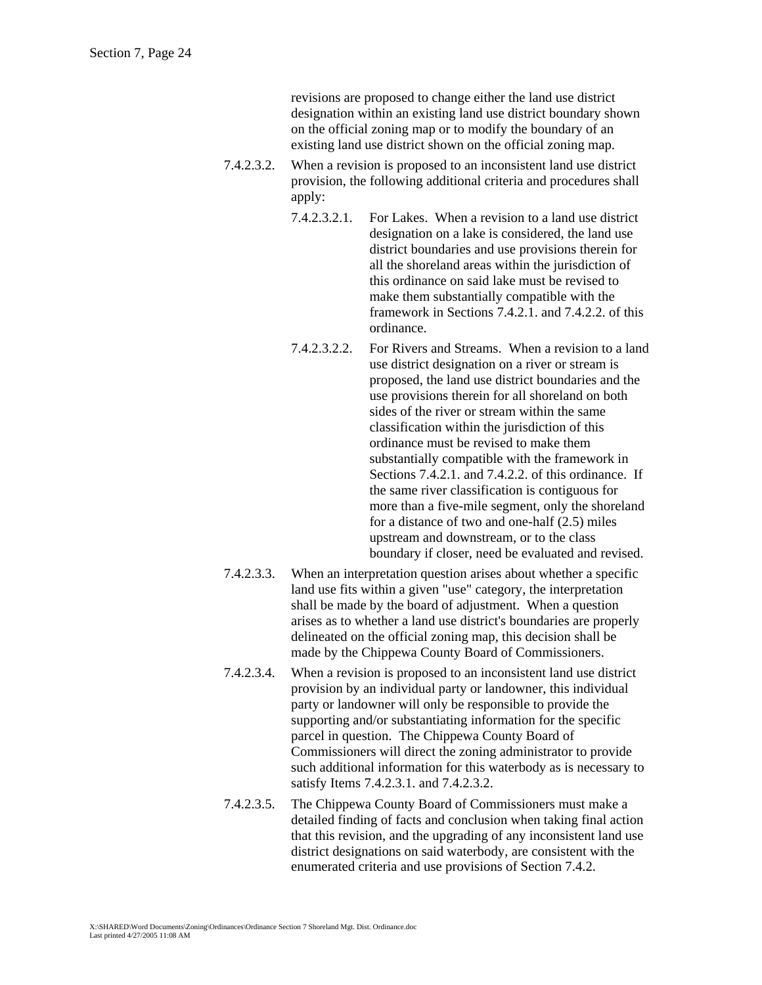revisions are proposed to change either the land use district designation within an existing land use district boundary shown on the official zoning map or to modify the boundary of an existing land use district shown on the official zoning map.

- 7.4.2.3.2. When a revision is proposed to an inconsistent land use district provision, the following additional criteria and procedures shall apply:
	- 7.4.2.3.2.1. For Lakes. When a revision to a land use district designation on a lake is considered, the land use district boundaries and use provisions therein for all the shoreland areas within the jurisdiction of this ordinance on said lake must be revised to make them substantially compatible with the framework in Sections 7.4.2.1. and 7.4.2.2. of this ordinance.
	- 7.4.2.3.2.2. For Rivers and Streams. When a revision to a land use district designation on a river or stream is proposed, the land use district boundaries and the use provisions therein for all shoreland on both sides of the river or stream within the same classification within the jurisdiction of this ordinance must be revised to make them substantially compatible with the framework in Sections 7.4.2.1. and 7.4.2.2. of this ordinance. If the same river classification is contiguous for more than a five-mile segment, only the shoreland for a distance of two and one-half (2.5) miles upstream and downstream, or to the class boundary if closer, need be evaluated and revised.
- 7.4.2.3.3. When an interpretation question arises about whether a specific land use fits within a given "use" category, the interpretation shall be made by the board of adjustment. When a question arises as to whether a land use district's boundaries are properly delineated on the official zoning map, this decision shall be made by the Chippewa County Board of Commissioners.
- 7.4.2.3.4. When a revision is proposed to an inconsistent land use district provision by an individual party or landowner, this individual party or landowner will only be responsible to provide the supporting and/or substantiating information for the specific parcel in question. The Chippewa County Board of Commissioners will direct the zoning administrator to provide such additional information for this waterbody as is necessary to satisfy Items 7.4.2.3.1. and 7.4.2.3.2.
- 7.4.2.3.5. The Chippewa County Board of Commissioners must make a detailed finding of facts and conclusion when taking final action that this revision, and the upgrading of any inconsistent land use district designations on said waterbody, are consistent with the enumerated criteria and use provisions of Section 7.4.2.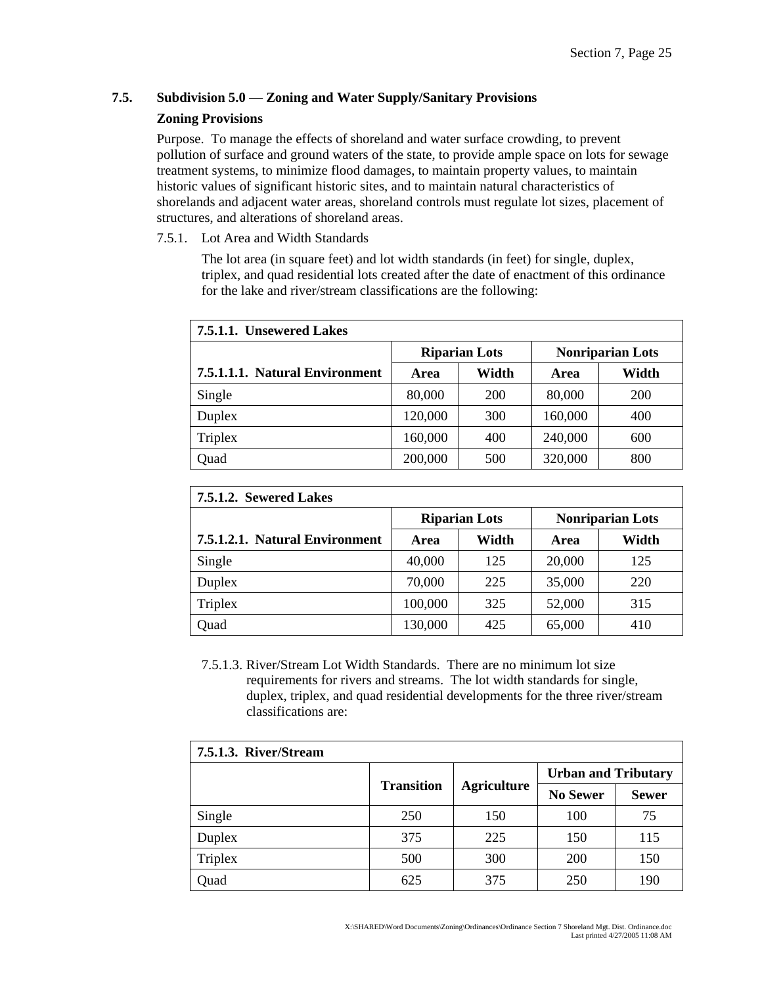# **7.5. Subdivision 5.0 — Zoning and Water Supply/Sanitary Provisions**

### **Zoning Provisions**

Purpose. To manage the effects of shoreland and water surface crowding, to prevent pollution of surface and ground waters of the state, to provide ample space on lots for sewage treatment systems, to minimize flood damages, to maintain property values, to maintain historic values of significant historic sites, and to maintain natural characteristics of shorelands and adjacent water areas, shoreland controls must regulate lot sizes, placement of structures, and alterations of shoreland areas.

### 7.5.1. Lot Area and Width Standards

The lot area (in square feet) and lot width standards (in feet) for single, duplex, triplex, and quad residential lots created after the date of enactment of this ordinance for the lake and river/stream classifications are the following:

| 7.5.1.1. Unsewered Lakes       |                                                 |            |         |            |
|--------------------------------|-------------------------------------------------|------------|---------|------------|
|                                | <b>Riparian Lots</b><br><b>Nonriparian Lots</b> |            |         |            |
| 7.5.1.1.1. Natural Environment | Area                                            | Width      | Area    | Width      |
| Single                         | 80,000                                          | <b>200</b> | 80,000  | <b>200</b> |
| Duplex                         | 120,000                                         | 300        | 160,000 | 400        |
| Triplex                        | 160,000                                         | 400        | 240,000 | 600        |
| Quad                           | 200,000                                         | 500        | 320,000 | 800        |

| 7.5.1.2. Sewered Lakes         |                                                 |       |        |       |
|--------------------------------|-------------------------------------------------|-------|--------|-------|
|                                | <b>Riparian Lots</b><br><b>Nonriparian Lots</b> |       |        |       |
| 7.5.1.2.1. Natural Environment | Area                                            | Width | Area   | Width |
| Single                         | 40,000                                          | 125   | 20,000 | 125   |
| Duplex                         | 70,000                                          | 225   | 35,000 | 220   |
| Triplex                        | 100,000                                         | 325   | 52,000 | 315   |
| Quad                           | 130,000                                         | 425   | 65,000 | 410   |

7.5.1.3. River/Stream Lot Width Standards. There are no minimum lot size requirements for rivers and streams. The lot width standards for single, duplex, triplex, and quad residential developments for the three river/stream classifications are:

| 7.5.1.3. River/Stream |                   |                    |                            |              |  |
|-----------------------|-------------------|--------------------|----------------------------|--------------|--|
|                       |                   |                    | <b>Urban and Tributary</b> |              |  |
|                       | <b>Transition</b> | <b>Agriculture</b> | <b>No Sewer</b>            | <b>Sewer</b> |  |
| Single                | 250               | 150                | 100                        | 75           |  |
| Duplex                | 375               | 225                | 150                        | 115          |  |
| <b>Triplex</b>        | 500               | 300                | <b>200</b>                 | 150          |  |
| Quad                  | 625               | 375                | 250                        | 190          |  |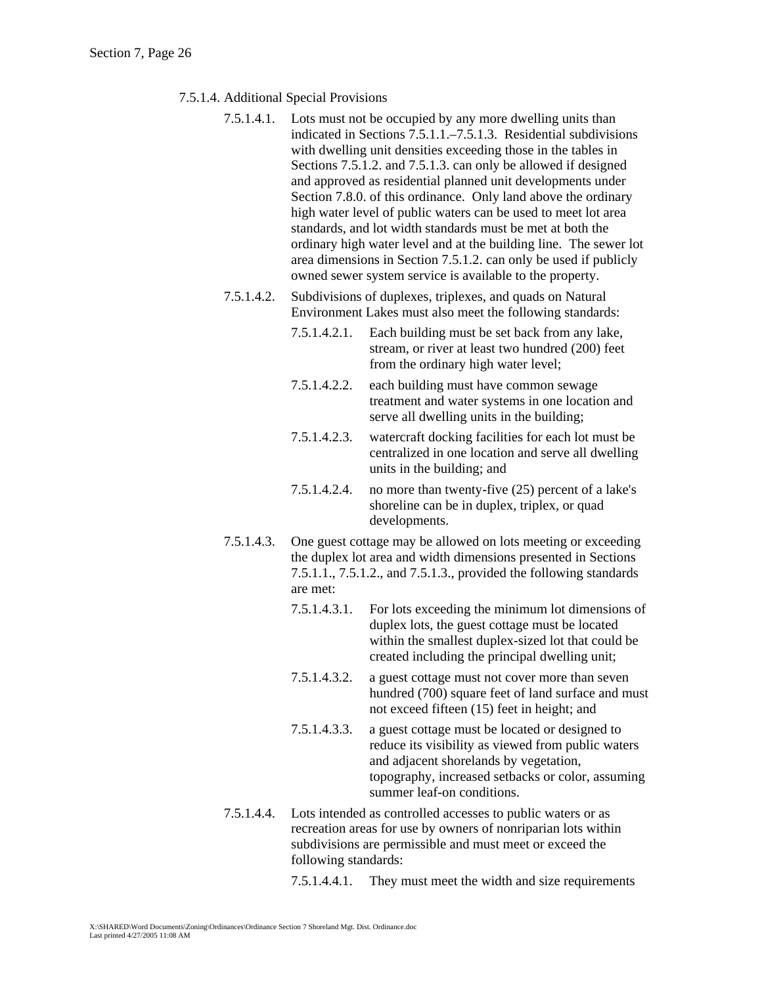- 7.5.1.4. Additional Special Provisions
	- 7.5.1.4.1. Lots must not be occupied by any more dwelling units than indicated in Sections 7.5.1.1.–7.5.1.3. Residential subdivisions with dwelling unit densities exceeding those in the tables in Sections 7.5.1.2. and 7.5.1.3. can only be allowed if designed and approved as residential planned unit developments under Section 7.8.0. of this ordinance. Only land above the ordinary high water level of public waters can be used to meet lot area standards, and lot width standards must be met at both the ordinary high water level and at the building line. The sewer lot area dimensions in Section 7.5.1.2. can only be used if publicly owned sewer system service is available to the property.
	- 7.5.1.4.2. Subdivisions of duplexes, triplexes, and quads on Natural Environment Lakes must also meet the following standards:
		- 7.5.1.4.2.1. Each building must be set back from any lake, stream, or river at least two hundred (200) feet from the ordinary high water level;
		- 7.5.1.4.2.2. each building must have common sewage treatment and water systems in one location and serve all dwelling units in the building;
		- 7.5.1.4.2.3. watercraft docking facilities for each lot must be centralized in one location and serve all dwelling units in the building; and
		- 7.5.1.4.2.4. no more than twenty-five (25) percent of a lake's shoreline can be in duplex, triplex, or quad developments.
	- 7.5.1.4.3. One guest cottage may be allowed on lots meeting or exceeding the duplex lot area and width dimensions presented in Sections 7.5.1.1., 7.5.1.2., and 7.5.1.3., provided the following standards are met:
		- 7.5.1.4.3.1. For lots exceeding the minimum lot dimensions of duplex lots, the guest cottage must be located within the smallest duplex-sized lot that could be created including the principal dwelling unit;
		- 7.5.1.4.3.2. a guest cottage must not cover more than seven hundred (700) square feet of land surface and must not exceed fifteen (15) feet in height; and
		- 7.5.1.4.3.3. a guest cottage must be located or designed to reduce its visibility as viewed from public waters and adjacent shorelands by vegetation, topography, increased setbacks or color, assuming summer leaf-on conditions.
	- 7.5.1.4.4. Lots intended as controlled accesses to public waters or as recreation areas for use by owners of nonriparian lots within subdivisions are permissible and must meet or exceed the following standards:
		- 7.5.1.4.4.1. They must meet the width and size requirements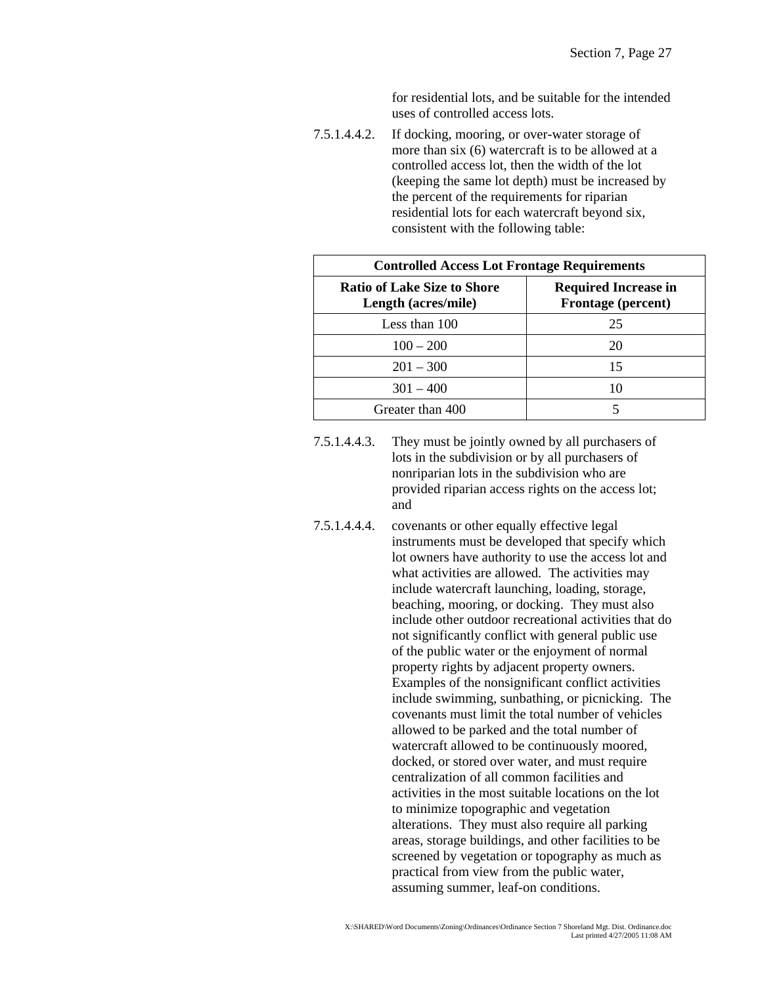for residential lots, and be suitable for the intended uses of controlled access lots.

7.5.1.4.4.2. If docking, mooring, or over-water storage of more than six (6) watercraft is to be allowed at a controlled access lot, then the width of the lot (keeping the same lot depth) must be increased by the percent of the requirements for riparian residential lots for each watercraft beyond six, consistent with the following table:

| <b>Controlled Access Lot Frontage Requirements</b>                                                             |    |  |
|----------------------------------------------------------------------------------------------------------------|----|--|
| Ratio of Lake Size to Shore<br><b>Required Increase in</b><br><b>Frontage</b> (percent)<br>Length (acres/mile) |    |  |
| Less than 100                                                                                                  | 25 |  |
| $100 - 200$                                                                                                    | 20 |  |
| $201 - 300$                                                                                                    | 15 |  |
| $301 - 400$                                                                                                    | 10 |  |
| Greater than 400                                                                                               |    |  |

- 7.5.1.4.4.3. They must be jointly owned by all purchasers of lots in the subdivision or by all purchasers of nonriparian lots in the subdivision who are provided riparian access rights on the access lot; and
- 7.5.1.4.4.4. covenants or other equally effective legal instruments must be developed that specify which lot owners have authority to use the access lot and what activities are allowed. The activities may include watercraft launching, loading, storage, beaching, mooring, or docking. They must also include other outdoor recreational activities that do not significantly conflict with general public use of the public water or the enjoyment of normal property rights by adjacent property owners. Examples of the nonsignificant conflict activities include swimming, sunbathing, or picnicking. The covenants must limit the total number of vehicles allowed to be parked and the total number of watercraft allowed to be continuously moored, docked, or stored over water, and must require centralization of all common facilities and activities in the most suitable locations on the lot to minimize topographic and vegetation alterations. They must also require all parking areas, storage buildings, and other facilities to be screened by vegetation or topography as much as practical from view from the public water, assuming summer, leaf-on conditions.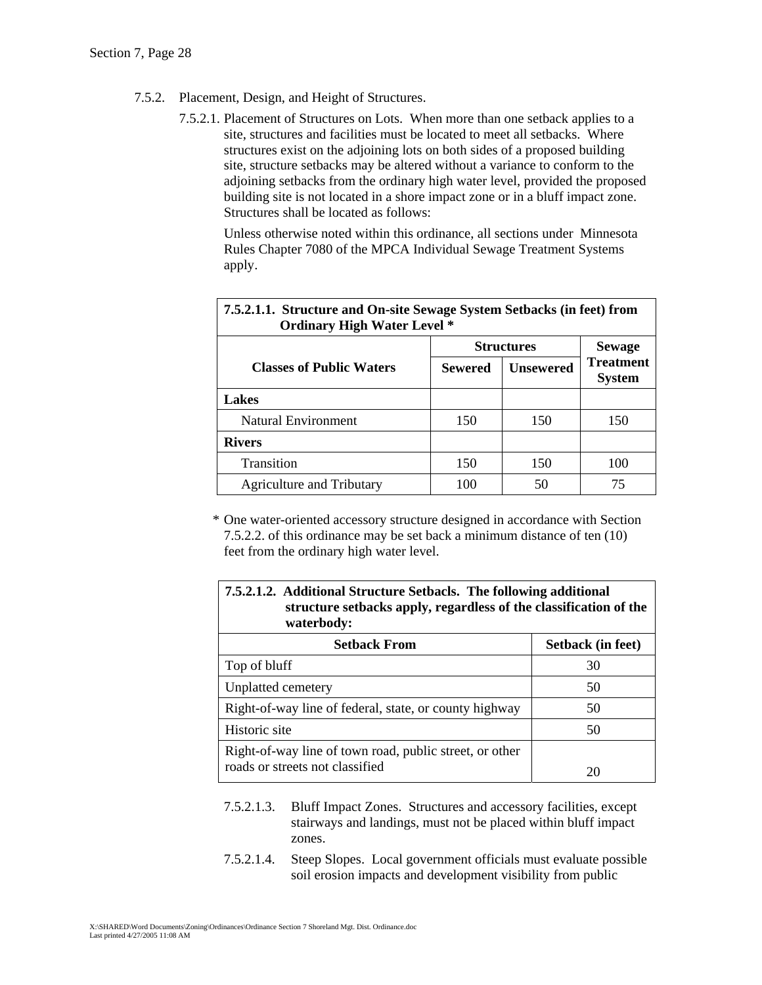- 7.5.2. Placement, Design, and Height of Structures.
	- 7.5.2.1. Placement of Structures on Lots. When more than one setback applies to a site, structures and facilities must be located to meet all setbacks. Where structures exist on the adjoining lots on both sides of a proposed building site, structure setbacks may be altered without a variance to conform to the adjoining setbacks from the ordinary high water level, provided the proposed building site is not located in a shore impact zone or in a bluff impact zone. Structures shall be located as follows:

 Unless otherwise noted within this ordinance, all sections under Minnesota Rules Chapter 7080 of the MPCA Individual Sewage Treatment Systems apply.

| <b>Ordinary High Water Level *</b> |                   |                  |                                   |  |
|------------------------------------|-------------------|------------------|-----------------------------------|--|
|                                    | <b>Structures</b> | <b>Sewage</b>    |                                   |  |
| <b>Classes of Public Waters</b>    | <b>Sewered</b>    | <b>Unsewered</b> | <b>Treatment</b><br><b>System</b> |  |
| <b>Lakes</b>                       |                   |                  |                                   |  |
| <b>Natural Environment</b>         | 150               | 150              | 150                               |  |
| <b>Rivers</b>                      |                   |                  |                                   |  |
| Transition                         | 150               | 150              | 100                               |  |
| <b>Agriculture and Tributary</b>   | 100               | 50               | 75                                |  |

# **7.5.2.1.1. Structure and On-site Sewage System Setbacks (in feet) from**

\* One water-oriented accessory structure designed in accordance with Section 7.5.2.2. of this ordinance may be set back a minimum distance of ten (10) feet from the ordinary high water level.

| 7.5.2.1.2. Additional Structure Setbacls. The following additional<br>structure setbacks apply, regardless of the classification of the<br>waterbody: |                   |  |
|-------------------------------------------------------------------------------------------------------------------------------------------------------|-------------------|--|
| <b>Setback From</b>                                                                                                                                   | Setback (in feet) |  |
| Top of bluff                                                                                                                                          | 30                |  |
| Unplatted cemetery                                                                                                                                    | 50                |  |
| Right-of-way line of federal, state, or county highway                                                                                                | 50                |  |
| Historic site                                                                                                                                         | 50                |  |
| Right-of-way line of town road, public street, or other<br>roads or streets not classified                                                            | 20                |  |

- 7.5.2.1.3. Bluff Impact Zones. Structures and accessory facilities, except stairways and landings, must not be placed within bluff impact zones.
- 7.5.2.1.4. Steep Slopes. Local government officials must evaluate possible soil erosion impacts and development visibility from public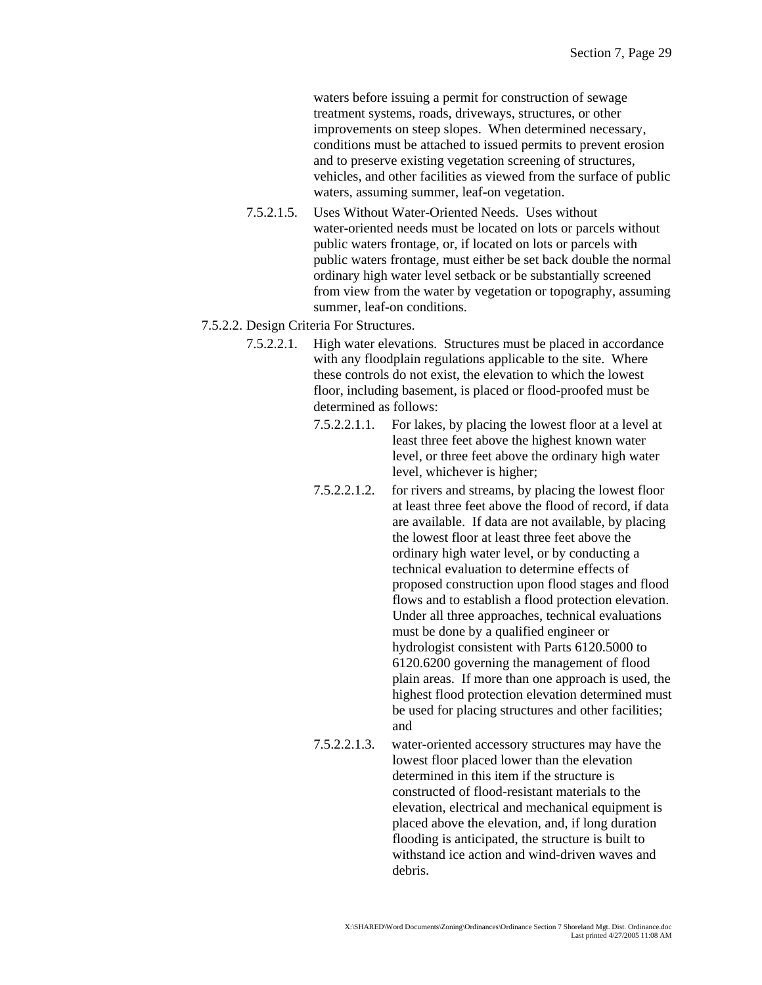waters before issuing a permit for construction of sewage treatment systems, roads, driveways, structures, or other improvements on steep slopes. When determined necessary, conditions must be attached to issued permits to prevent erosion and to preserve existing vegetation screening of structures, vehicles, and other facilities as viewed from the surface of public waters, assuming summer, leaf-on vegetation.

7.5.2.1.5. Uses Without Water-Oriented Needs. Uses without water-oriented needs must be located on lots or parcels without public waters frontage, or, if located on lots or parcels with public waters frontage, must either be set back double the normal ordinary high water level setback or be substantially screened from view from the water by vegetation or topography, assuming summer, leaf-on conditions.

### 7.5.2.2. Design Criteria For Structures.

- 7.5.2.2.1. High water elevations. Structures must be placed in accordance with any floodplain regulations applicable to the site. Where these controls do not exist, the elevation to which the lowest floor, including basement, is placed or flood-proofed must be determined as follows:
	- 7.5.2.2.1.1. For lakes, by placing the lowest floor at a level at least three feet above the highest known water level, or three feet above the ordinary high water level, whichever is higher;
	- 7.5.2.2.1.2. for rivers and streams, by placing the lowest floor at least three feet above the flood of record, if data are available. If data are not available, by placing the lowest floor at least three feet above the ordinary high water level, or by conducting a technical evaluation to determine effects of proposed construction upon flood stages and flood flows and to establish a flood protection elevation. Under all three approaches, technical evaluations must be done by a qualified engineer or hydrologist consistent with Parts 6120.5000 to 6120.6200 governing the management of flood plain areas. If more than one approach is used, the highest flood protection elevation determined must be used for placing structures and other facilities; and
	- 7.5.2.2.1.3. water-oriented accessory structures may have the lowest floor placed lower than the elevation determined in this item if the structure is constructed of flood-resistant materials to the elevation, electrical and mechanical equipment is placed above the elevation, and, if long duration flooding is anticipated, the structure is built to withstand ice action and wind-driven waves and debris.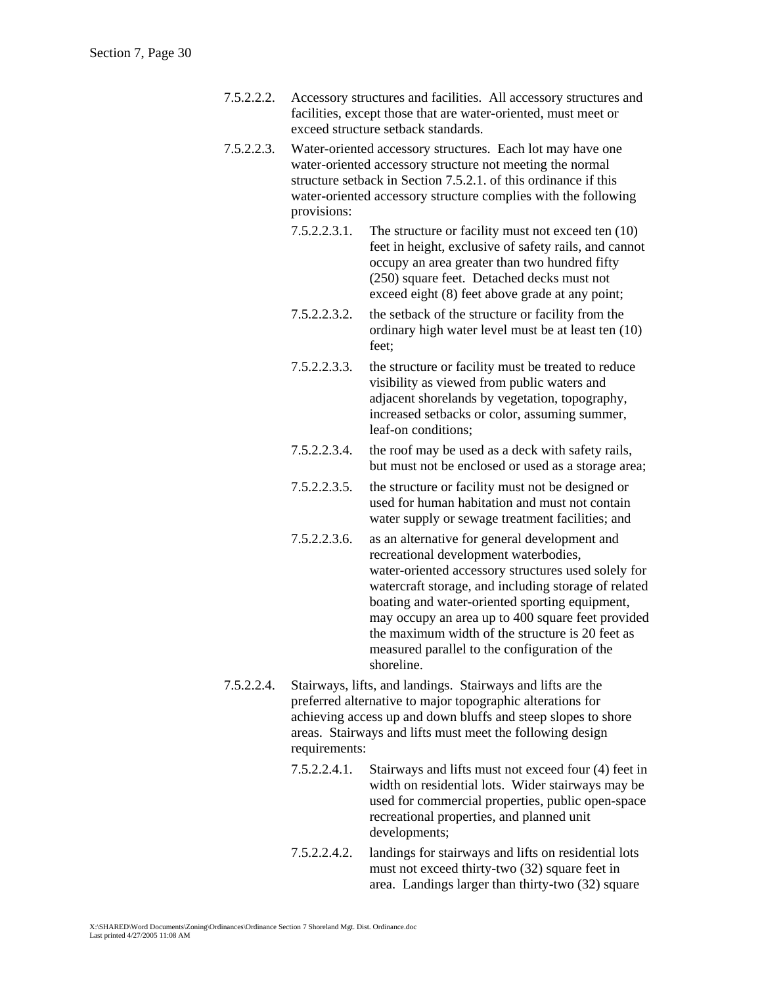- 7.5.2.2.2. Accessory structures and facilities. All accessory structures and facilities, except those that are water-oriented, must meet or exceed structure setback standards.
- 7.5.2.2.3. Water-oriented accessory structures. Each lot may have one water-oriented accessory structure not meeting the normal structure setback in Section 7.5.2.1. of this ordinance if this water-oriented accessory structure complies with the following provisions:
	- 7.5.2.2.3.1. The structure or facility must not exceed ten (10) feet in height, exclusive of safety rails, and cannot occupy an area greater than two hundred fifty (250) square feet. Detached decks must not exceed eight (8) feet above grade at any point;
	- 7.5.2.2.3.2. the setback of the structure or facility from the ordinary high water level must be at least ten (10) feet;
	- 7.5.2.2.3.3. the structure or facility must be treated to reduce visibility as viewed from public waters and adjacent shorelands by vegetation, topography, increased setbacks or color, assuming summer, leaf-on conditions;
	- 7.5.2.2.3.4. the roof may be used as a deck with safety rails, but must not be enclosed or used as a storage area;
	- 7.5.2.2.3.5. the structure or facility must not be designed or used for human habitation and must not contain water supply or sewage treatment facilities; and
	- 7.5.2.2.3.6. as an alternative for general development and recreational development waterbodies, water-oriented accessory structures used solely for watercraft storage, and including storage of related boating and water-oriented sporting equipment, may occupy an area up to 400 square feet provided the maximum width of the structure is 20 feet as measured parallel to the configuration of the shoreline.
- 7.5.2.2.4. Stairways, lifts, and landings. Stairways and lifts are the preferred alternative to major topographic alterations for achieving access up and down bluffs and steep slopes to shore areas. Stairways and lifts must meet the following design requirements:
	- 7.5.2.2.4.1. Stairways and lifts must not exceed four (4) feet in width on residential lots. Wider stairways may be used for commercial properties, public open-space recreational properties, and planned unit developments;
	- 7.5.2.2.4.2. landings for stairways and lifts on residential lots must not exceed thirty-two (32) square feet in area. Landings larger than thirty-two (32) square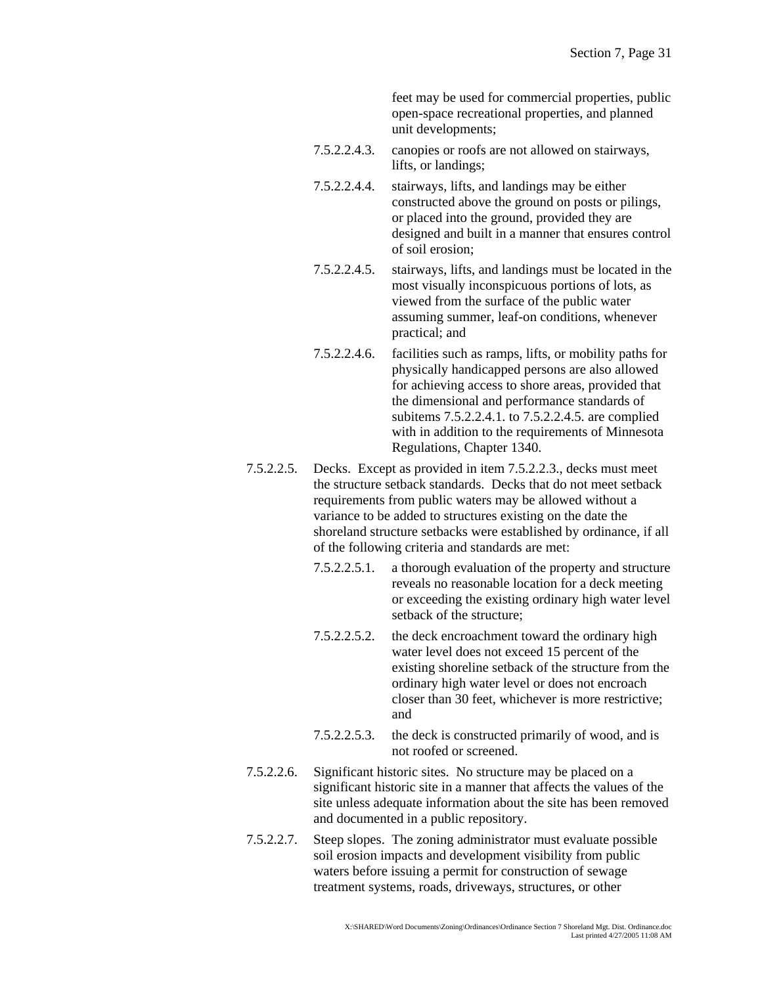feet may be used for commercial properties, public open-space recreational properties, and planned unit developments;

- 7.5.2.2.4.3. canopies or roofs are not allowed on stairways, lifts, or landings;
- 7.5.2.2.4.4. stairways, lifts, and landings may be either constructed above the ground on posts or pilings, or placed into the ground, provided they are designed and built in a manner that ensures control of soil erosion;
- 7.5.2.2.4.5. stairways, lifts, and landings must be located in the most visually inconspicuous portions of lots, as viewed from the surface of the public water assuming summer, leaf-on conditions, whenever practical; and
- 7.5.2.2.4.6. facilities such as ramps, lifts, or mobility paths for physically handicapped persons are also allowed for achieving access to shore areas, provided that the dimensional and performance standards of subitems 7.5.2.2.4.1. to 7.5.2.2.4.5. are complied with in addition to the requirements of Minnesota Regulations, Chapter 1340.
- 7.5.2.2.5. Decks. Except as provided in item 7.5.2.2.3., decks must meet the structure setback standards. Decks that do not meet setback requirements from public waters may be allowed without a variance to be added to structures existing on the date the shoreland structure setbacks were established by ordinance, if all of the following criteria and standards are met:
	- 7.5.2.2.5.1. a thorough evaluation of the property and structure reveals no reasonable location for a deck meeting or exceeding the existing ordinary high water level setback of the structure;
	- 7.5.2.2.5.2. the deck encroachment toward the ordinary high water level does not exceed 15 percent of the existing shoreline setback of the structure from the ordinary high water level or does not encroach closer than 30 feet, whichever is more restrictive; and
	- 7.5.2.2.5.3. the deck is constructed primarily of wood, and is not roofed or screened.
- 7.5.2.2.6. Significant historic sites. No structure may be placed on a significant historic site in a manner that affects the values of the site unless adequate information about the site has been removed and documented in a public repository.
- 7.5.2.2.7. Steep slopes. The zoning administrator must evaluate possible soil erosion impacts and development visibility from public waters before issuing a permit for construction of sewage treatment systems, roads, driveways, structures, or other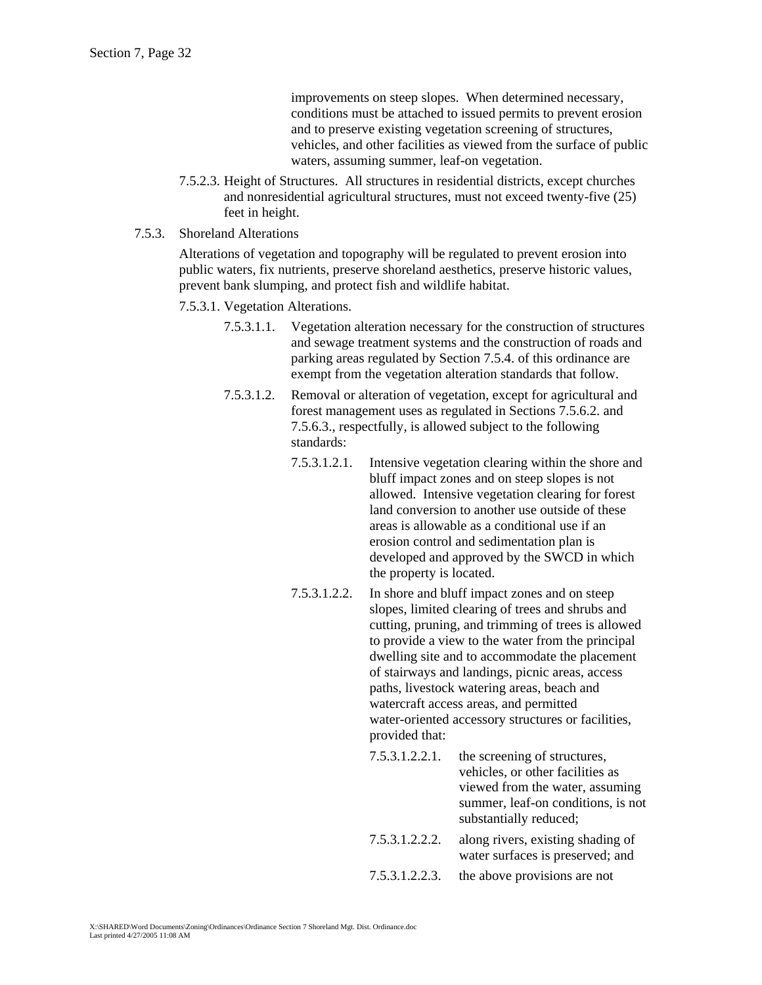improvements on steep slopes. When determined necessary, conditions must be attached to issued permits to prevent erosion and to preserve existing vegetation screening of structures, vehicles, and other facilities as viewed from the surface of public waters, assuming summer, leaf-on vegetation.

- 7.5.2.3. Height of Structures. All structures in residential districts, except churches and nonresidential agricultural structures, must not exceed twenty-five (25) feet in height.
- 7.5.3. Shoreland Alterations

Alterations of vegetation and topography will be regulated to prevent erosion into public waters, fix nutrients, preserve shoreland aesthetics, preserve historic values, prevent bank slumping, and protect fish and wildlife habitat.

- 7.5.3.1. Vegetation Alterations.
	- 7.5.3.1.1. Vegetation alteration necessary for the construction of structures and sewage treatment systems and the construction of roads and parking areas regulated by Section 7.5.4. of this ordinance are exempt from the vegetation alteration standards that follow.
	- 7.5.3.1.2. Removal or alteration of vegetation, except for agricultural and forest management uses as regulated in Sections 7.5.6.2. and 7.5.6.3., respectfully, is allowed subject to the following standards:
		- 7.5.3.1.2.1. Intensive vegetation clearing within the shore and bluff impact zones and on steep slopes is not allowed. Intensive vegetation clearing for forest land conversion to another use outside of these areas is allowable as a conditional use if an erosion control and sedimentation plan is developed and approved by the SWCD in which the property is located.
		- 7.5.3.1.2.2. In shore and bluff impact zones and on steep slopes, limited clearing of trees and shrubs and cutting, pruning, and trimming of trees is allowed to provide a view to the water from the principal dwelling site and to accommodate the placement of stairways and landings, picnic areas, access paths, livestock watering areas, beach and watercraft access areas, and permitted water-oriented accessory structures or facilities, provided that:
			- 7.5.3.1.2.2.1. the screening of structures, vehicles, or other facilities as viewed from the water, assuming summer, leaf-on conditions, is not substantially reduced; 7.5.3.1.2.2.2. along rivers, existing shading of water surfaces is preserved; and
			- 7.5.3.1.2.2.3. the above provisions are not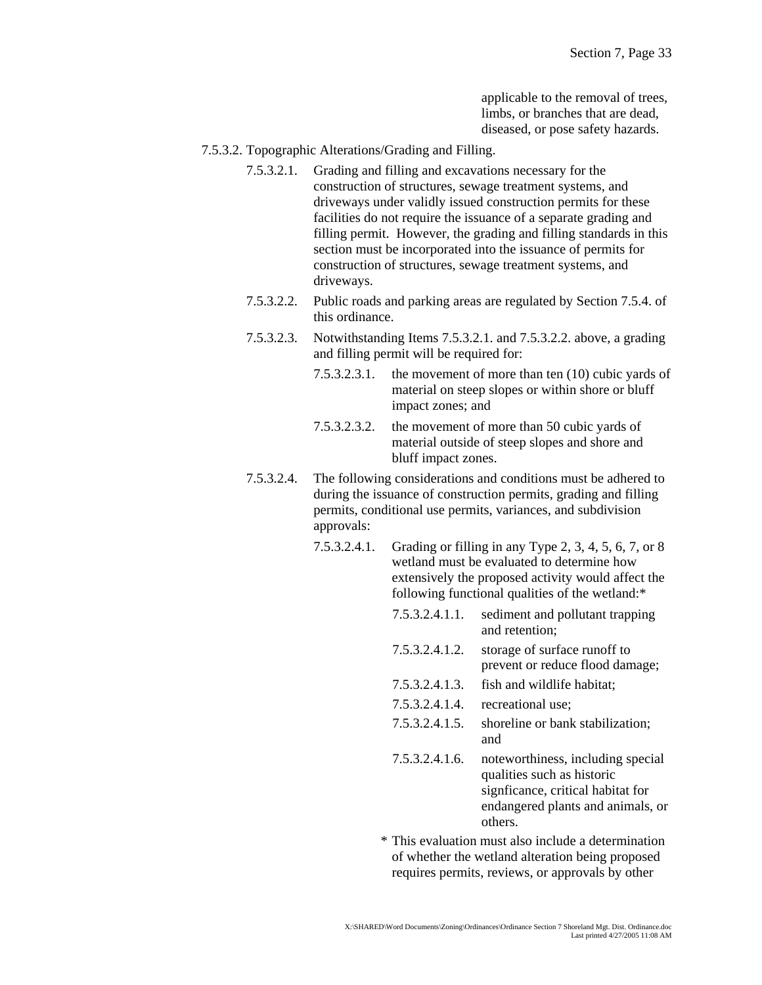applicable to the removal of trees, limbs, or branches that are dead, diseased, or pose safety hazards.

- 7.5.3.2. Topographic Alterations/Grading and Filling.
	- 7.5.3.2.1. Grading and filling and excavations necessary for the construction of structures, sewage treatment systems, and driveways under validly issued construction permits for these facilities do not require the issuance of a separate grading and filling permit. However, the grading and filling standards in this section must be incorporated into the issuance of permits for construction of structures, sewage treatment systems, and driveways.
	- 7.5.3.2.2. Public roads and parking areas are regulated by Section 7.5.4. of this ordinance.
	- 7.5.3.2.3. Notwithstanding Items 7.5.3.2.1. and 7.5.3.2.2. above, a grading and filling permit will be required for:
		- 7.5.3.2.3.1. the movement of more than ten (10) cubic yards of material on steep slopes or within shore or bluff impact zones; and
		- 7.5.3.2.3.2. the movement of more than 50 cubic yards of material outside of steep slopes and shore and bluff impact zones.
	- 7.5.3.2.4. The following considerations and conditions must be adhered to during the issuance of construction permits, grading and filling permits, conditional use permits, variances, and subdivision approvals:
		- 7.5.3.2.4.1. Grading or filling in any Type 2, 3, 4, 5, 6, 7, or 8 wetland must be evaluated to determine how extensively the proposed activity would affect the following functional qualities of the wetland:\*
			- 7.5.3.2.4.1.1. sediment and pollutant trapping and retention;
			- 7.5.3.2.4.1.2. storage of surface runoff to prevent or reduce flood damage;
			- 7.5.3.2.4.1.3. fish and wildlife habitat;
			- 7.5.3.2.4.1.4. recreational use;
			- 7.5.3.2.4.1.5. shoreline or bank stabilization; and
			- 7.5.3.2.4.1.6. noteworthiness, including special qualities such as historic signficance, critical habitat for endangered plants and animals, or others.
			- \* This evaluation must also include a determination of whether the wetland alteration being proposed requires permits, reviews, or approvals by other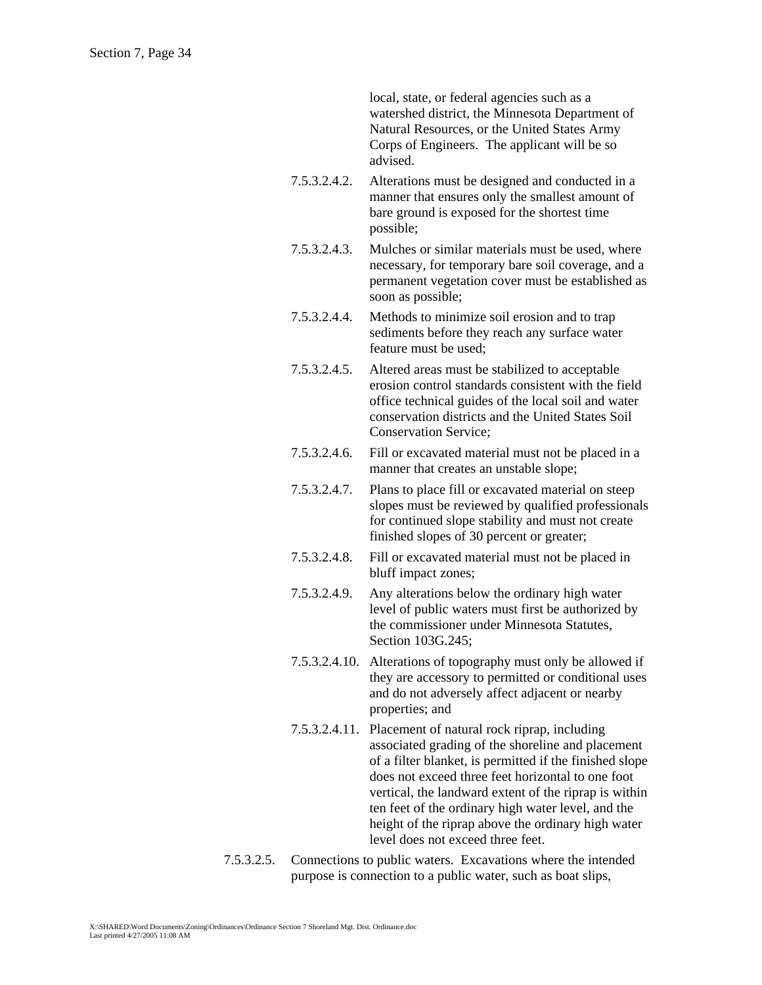local, state, or federal agencies such as a watershed district, the Minnesota Department of Natural Resources, or the United States Army Corps of Engineers. The applicant will be so advised.

- 7.5.3.2.4.2. Alterations must be designed and conducted in a manner that ensures only the smallest amount of bare ground is exposed for the shortest time possible;
- 7.5.3.2.4.3. Mulches or similar materials must be used, where necessary, for temporary bare soil coverage, and a permanent vegetation cover must be established as soon as possible;
- 7.5.3.2.4.4. Methods to minimize soil erosion and to trap sediments before they reach any surface water feature must be used;
- 7.5.3.2.4.5. Altered areas must be stabilized to acceptable erosion control standards consistent with the field office technical guides of the local soil and water conservation districts and the United States Soil Conservation Service;
- 7.5.3.2.4.6. Fill or excavated material must not be placed in a manner that creates an unstable slope;
- 7.5.3.2.4.7. Plans to place fill or excavated material on steep slopes must be reviewed by qualified professionals for continued slope stability and must not create finished slopes of 30 percent or greater;
- 7.5.3.2.4.8. Fill or excavated material must not be placed in bluff impact zones;
- 7.5.3.2.4.9. Any alterations below the ordinary high water level of public waters must first be authorized by the commissioner under Minnesota Statutes, Section 103G.245;
- 7.5.3.2.4.10. Alterations of topography must only be allowed if they are accessory to permitted or conditional uses and do not adversely affect adjacent or nearby properties; and
- 7.5.3.2.4.11. Placement of natural rock riprap, including associated grading of the shoreline and placement of a filter blanket, is permitted if the finished slope does not exceed three feet horizontal to one foot vertical, the landward extent of the riprap is within ten feet of the ordinary high water level, and the height of the riprap above the ordinary high water level does not exceed three feet.
- 7.5.3.2.5. Connections to public waters. Excavations where the intended purpose is connection to a public water, such as boat slips,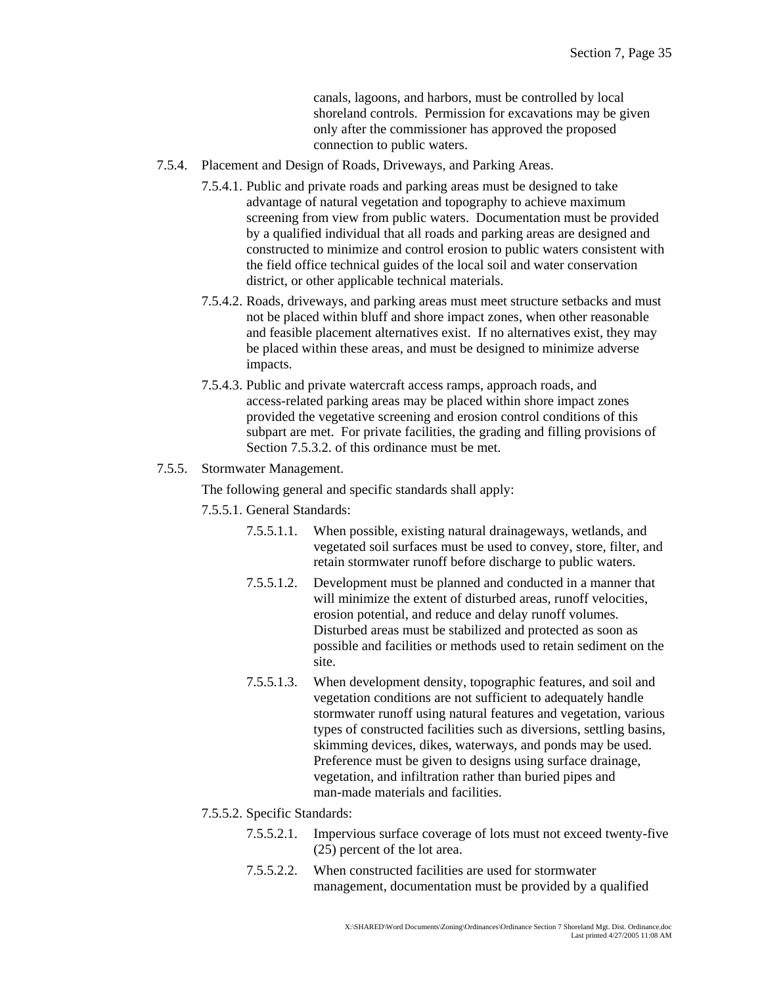canals, lagoons, and harbors, must be controlled by local shoreland controls. Permission for excavations may be given only after the commissioner has approved the proposed connection to public waters.

- 7.5.4. Placement and Design of Roads, Driveways, and Parking Areas.
	- 7.5.4.1. Public and private roads and parking areas must be designed to take advantage of natural vegetation and topography to achieve maximum screening from view from public waters. Documentation must be provided by a qualified individual that all roads and parking areas are designed and constructed to minimize and control erosion to public waters consistent with the field office technical guides of the local soil and water conservation district, or other applicable technical materials.
	- 7.5.4.2. Roads, driveways, and parking areas must meet structure setbacks and must not be placed within bluff and shore impact zones, when other reasonable and feasible placement alternatives exist. If no alternatives exist, they may be placed within these areas, and must be designed to minimize adverse impacts.
	- 7.5.4.3. Public and private watercraft access ramps, approach roads, and access-related parking areas may be placed within shore impact zones provided the vegetative screening and erosion control conditions of this subpart are met. For private facilities, the grading and filling provisions of Section 7.5.3.2. of this ordinance must be met.

### 7.5.5. Stormwater Management.

The following general and specific standards shall apply:

- 7.5.5.1. General Standards:
	- 7.5.5.1.1. When possible, existing natural drainageways, wetlands, and vegetated soil surfaces must be used to convey, store, filter, and retain stormwater runoff before discharge to public waters.
	- 7.5.5.1.2. Development must be planned and conducted in a manner that will minimize the extent of disturbed areas, runoff velocities, erosion potential, and reduce and delay runoff volumes. Disturbed areas must be stabilized and protected as soon as possible and facilities or methods used to retain sediment on the site.
	- 7.5.5.1.3. When development density, topographic features, and soil and vegetation conditions are not sufficient to adequately handle stormwater runoff using natural features and vegetation, various types of constructed facilities such as diversions, settling basins, skimming devices, dikes, waterways, and ponds may be used. Preference must be given to designs using surface drainage, vegetation, and infiltration rather than buried pipes and man-made materials and facilities.
- 7.5.5.2. Specific Standards:
	- 7.5.5.2.1. Impervious surface coverage of lots must not exceed twenty-five (25) percent of the lot area.
	- 7.5.5.2.2. When constructed facilities are used for stormwater management, documentation must be provided by a qualified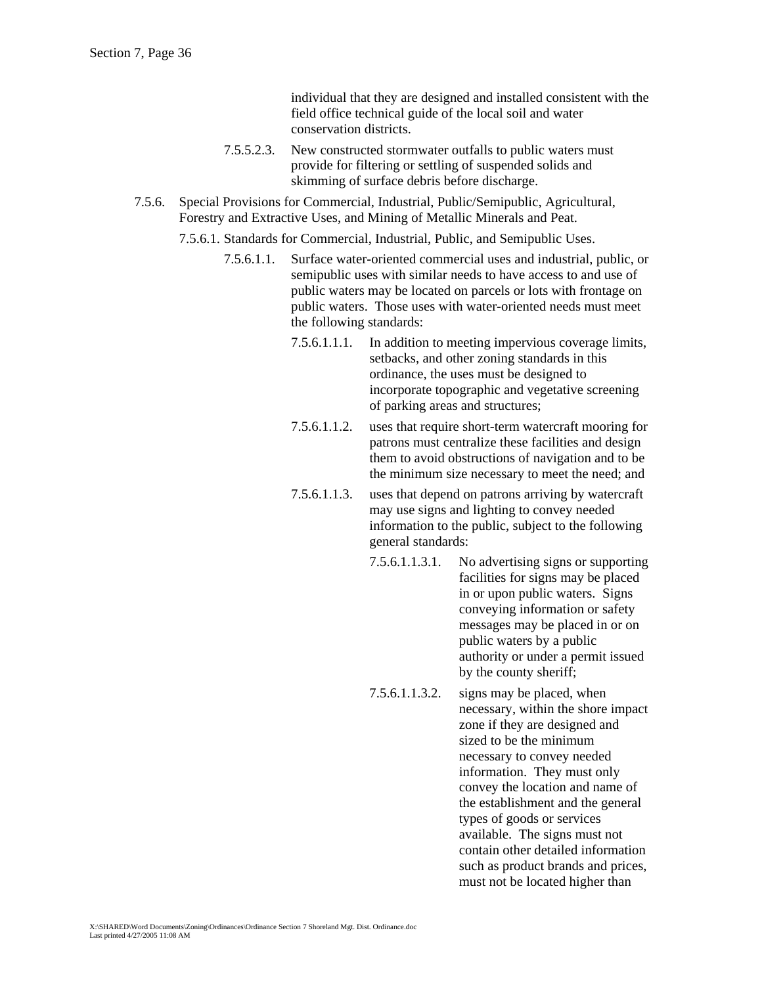individual that they are designed and installed consistent with the field office technical guide of the local soil and water conservation districts.

- 7.5.5.2.3. New constructed stormwater outfalls to public waters must provide for filtering or settling of suspended solids and skimming of surface debris before discharge.
- 7.5.6. Special Provisions for Commercial, Industrial, Public/Semipublic, Agricultural, Forestry and Extractive Uses, and Mining of Metallic Minerals and Peat.
	- 7.5.6.1. Standards for Commercial, Industrial, Public, and Semipublic Uses.
		- 7.5.6.1.1. Surface water-oriented commercial uses and industrial, public, or semipublic uses with similar needs to have access to and use of public waters may be located on parcels or lots with frontage on public waters. Those uses with water-oriented needs must meet the following standards:
			- 7.5.6.1.1.1. In addition to meeting impervious coverage limits, setbacks, and other zoning standards in this ordinance, the uses must be designed to incorporate topographic and vegetative screening of parking areas and structures;
			- 7.5.6.1.1.2. uses that require short-term watercraft mooring for patrons must centralize these facilities and design them to avoid obstructions of navigation and to be the minimum size necessary to meet the need; and
			- 7.5.6.1.1.3. uses that depend on patrons arriving by watercraft may use signs and lighting to convey needed information to the public, subject to the following general standards:
				- 7.5.6.1.1.3.1. No advertising signs or supporting facilities for signs may be placed in or upon public waters. Signs conveying information or safety messages may be placed in or on public waters by a public authority or under a permit issued by the county sheriff;
				- 7.5.6.1.1.3.2. signs may be placed, when necessary, within the shore impact zone if they are designed and sized to be the minimum necessary to convey needed information. They must only convey the location and name of the establishment and the general types of goods or services available. The signs must not contain other detailed information such as product brands and prices, must not be located higher than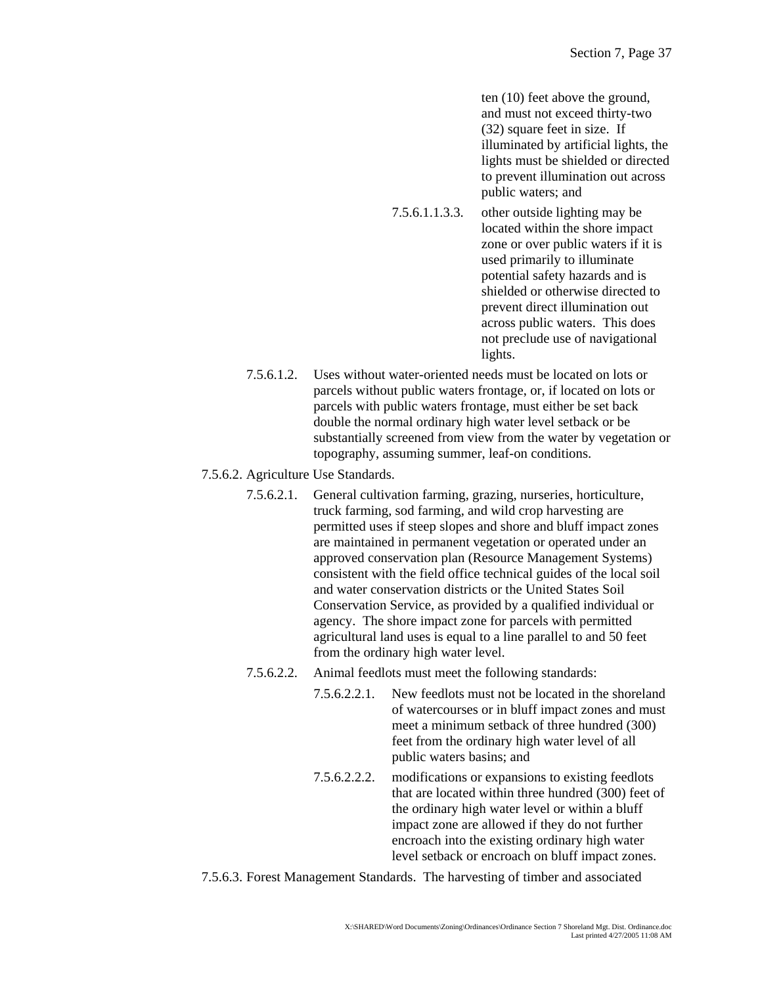ten (10) feet above the ground, and must not exceed thirty-two (32) square feet in size. If illuminated by artificial lights, the lights must be shielded or directed to prevent illumination out across public waters; and

- 7.5.6.1.1.3.3. other outside lighting may be located within the shore impact zone or over public waters if it is used primarily to illuminate potential safety hazards and is shielded or otherwise directed to prevent direct illumination out across public waters. This does not preclude use of navigational lights.
- 7.5.6.1.2. Uses without water-oriented needs must be located on lots or parcels without public waters frontage, or, if located on lots or parcels with public waters frontage, must either be set back double the normal ordinary high water level setback or be substantially screened from view from the water by vegetation or topography, assuming summer, leaf-on conditions.
- 7.5.6.2. Agriculture Use Standards.
	- 7.5.6.2.1. General cultivation farming, grazing, nurseries, horticulture, truck farming, sod farming, and wild crop harvesting are permitted uses if steep slopes and shore and bluff impact zones are maintained in permanent vegetation or operated under an approved conservation plan (Resource Management Systems) consistent with the field office technical guides of the local soil and water conservation districts or the United States Soil Conservation Service, as provided by a qualified individual or agency. The shore impact zone for parcels with permitted agricultural land uses is equal to a line parallel to and 50 feet from the ordinary high water level.
	- 7.5.6.2.2. Animal feedlots must meet the following standards:
		- 7.5.6.2.2.1. New feedlots must not be located in the shoreland of watercourses or in bluff impact zones and must meet a minimum setback of three hundred (300) feet from the ordinary high water level of all public waters basins; and
		- 7.5.6.2.2.2. modifications or expansions to existing feedlots that are located within three hundred (300) feet of the ordinary high water level or within a bluff impact zone are allowed if they do not further encroach into the existing ordinary high water level setback or encroach on bluff impact zones.
- 7.5.6.3. Forest Management Standards. The harvesting of timber and associated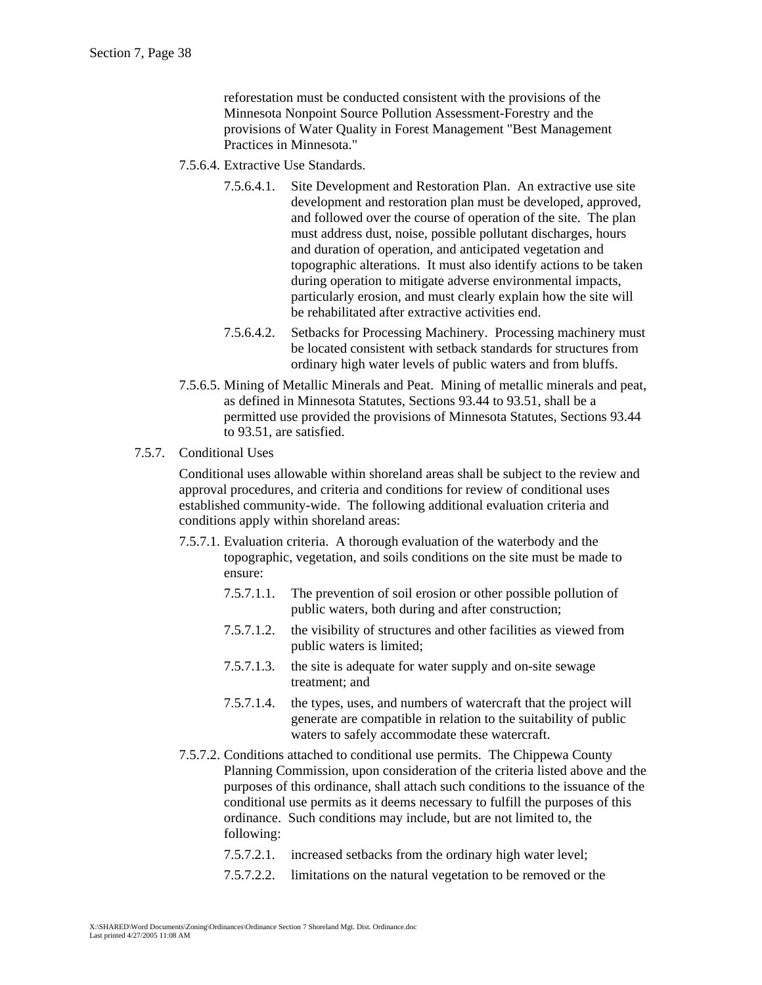reforestation must be conducted consistent with the provisions of the Minnesota Nonpoint Source Pollution Assessment-Forestry and the provisions of Water Quality in Forest Management "Best Management Practices in Minnesota."

- 7.5.6.4. Extractive Use Standards.
	- 7.5.6.4.1. Site Development and Restoration Plan. An extractive use site development and restoration plan must be developed, approved, and followed over the course of operation of the site. The plan must address dust, noise, possible pollutant discharges, hours and duration of operation, and anticipated vegetation and topographic alterations. It must also identify actions to be taken during operation to mitigate adverse environmental impacts, particularly erosion, and must clearly explain how the site will be rehabilitated after extractive activities end.
	- 7.5.6.4.2. Setbacks for Processing Machinery. Processing machinery must be located consistent with setback standards for structures from ordinary high water levels of public waters and from bluffs.
- 7.5.6.5. Mining of Metallic Minerals and Peat. Mining of metallic minerals and peat, as defined in Minnesota Statutes, Sections 93.44 to 93.51, shall be a permitted use provided the provisions of Minnesota Statutes, Sections 93.44 to 93.51, are satisfied.
- 7.5.7. Conditional Uses

Conditional uses allowable within shoreland areas shall be subject to the review and approval procedures, and criteria and conditions for review of conditional uses established community-wide. The following additional evaluation criteria and conditions apply within shoreland areas:

- 7.5.7.1. Evaluation criteria. A thorough evaluation of the waterbody and the topographic, vegetation, and soils conditions on the site must be made to ensure:
	- 7.5.7.1.1. The prevention of soil erosion or other possible pollution of public waters, both during and after construction;
	- 7.5.7.1.2. the visibility of structures and other facilities as viewed from public waters is limited;
	- 7.5.7.1.3. the site is adequate for water supply and on-site sewage treatment; and
	- 7.5.7.1.4. the types, uses, and numbers of watercraft that the project will generate are compatible in relation to the suitability of public waters to safely accommodate these watercraft.
- 7.5.7.2. Conditions attached to conditional use permits. The Chippewa County Planning Commission, upon consideration of the criteria listed above and the purposes of this ordinance, shall attach such conditions to the issuance of the conditional use permits as it deems necessary to fulfill the purposes of this ordinance. Such conditions may include, but are not limited to, the following:
	- 7.5.7.2.1. increased setbacks from the ordinary high water level;
	- 7.5.7.2.2. limitations on the natural vegetation to be removed or the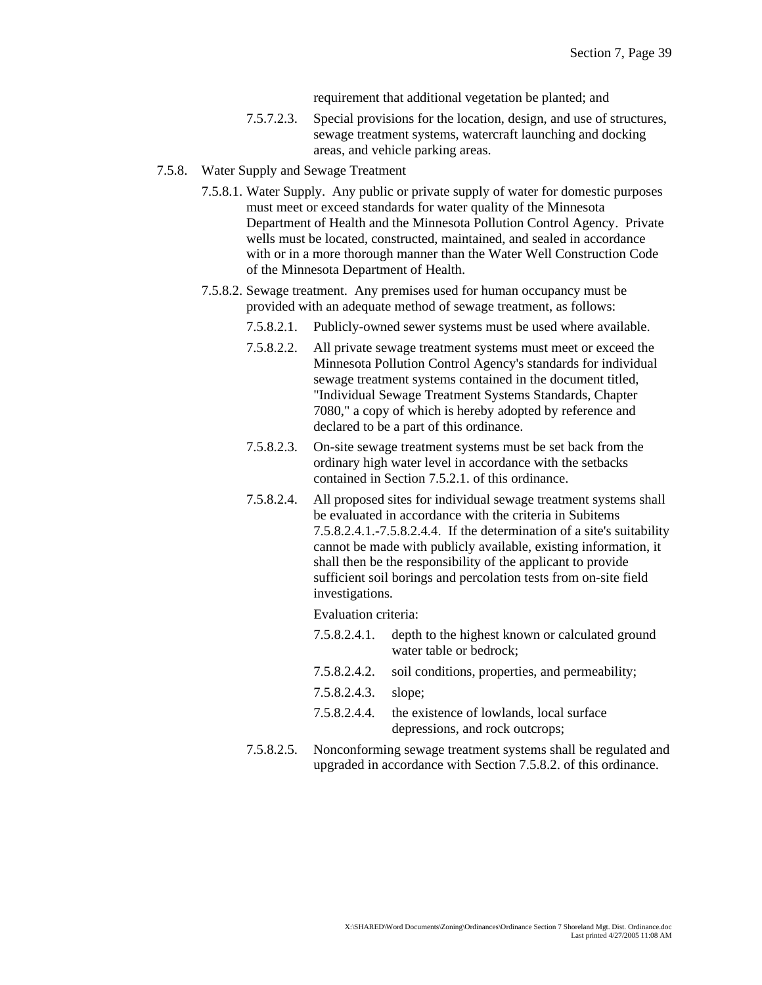requirement that additional vegetation be planted; and

- 7.5.7.2.3. Special provisions for the location, design, and use of structures, sewage treatment systems, watercraft launching and docking areas, and vehicle parking areas.
- 7.5.8. Water Supply and Sewage Treatment
	- 7.5.8.1. Water Supply. Any public or private supply of water for domestic purposes must meet or exceed standards for water quality of the Minnesota Department of Health and the Minnesota Pollution Control Agency. Private wells must be located, constructed, maintained, and sealed in accordance with or in a more thorough manner than the Water Well Construction Code of the Minnesota Department of Health.
	- 7.5.8.2. Sewage treatment. Any premises used for human occupancy must be provided with an adequate method of sewage treatment, as follows:
		- 7.5.8.2.1. Publicly-owned sewer systems must be used where available.
		- 7.5.8.2.2. All private sewage treatment systems must meet or exceed the Minnesota Pollution Control Agency's standards for individual sewage treatment systems contained in the document titled, "Individual Sewage Treatment Systems Standards, Chapter 7080," a copy of which is hereby adopted by reference and declared to be a part of this ordinance.
		- 7.5.8.2.3. On-site sewage treatment systems must be set back from the ordinary high water level in accordance with the setbacks contained in Section 7.5.2.1. of this ordinance.
		- 7.5.8.2.4. All proposed sites for individual sewage treatment systems shall be evaluated in accordance with the criteria in Subitems 7.5.8.2.4.1.-7.5.8.2.4.4. If the determination of a site's suitability cannot be made with publicly available, existing information, it shall then be the responsibility of the applicant to provide sufficient soil borings and percolation tests from on-site field investigations.

### Evaluation criteria:

- 7.5.8.2.4.1. depth to the highest known or calculated ground water table or bedrock; 7.5.8.2.4.2. soil conditions, properties, and permeability; 7.5.8.2.4.3. slope;
- 7.5.8.2.4.4. the existence of lowlands, local surface depressions, and rock outcrops;
- 7.5.8.2.5. Nonconforming sewage treatment systems shall be regulated and upgraded in accordance with Section 7.5.8.2. of this ordinance.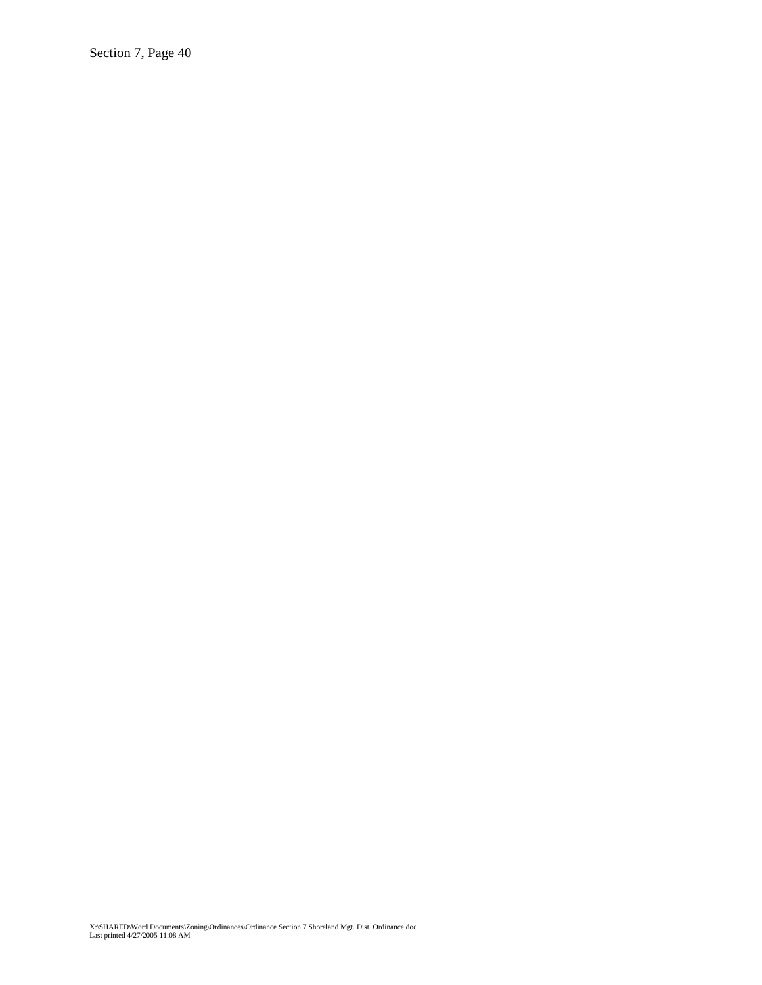Section 7, Page 40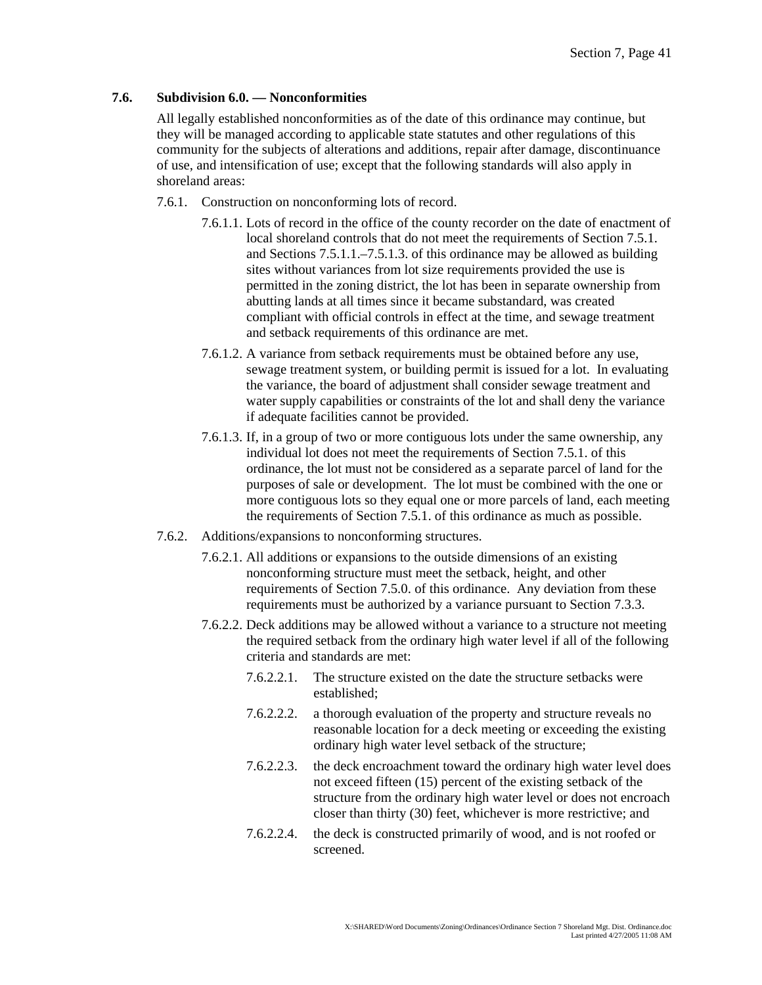### **7.6. Subdivision 6.0. — Nonconformities**

All legally established nonconformities as of the date of this ordinance may continue, but they will be managed according to applicable state statutes and other regulations of this community for the subjects of alterations and additions, repair after damage, discontinuance of use, and intensification of use; except that the following standards will also apply in shoreland areas:

- 7.6.1. Construction on nonconforming lots of record.
	- 7.6.1.1. Lots of record in the office of the county recorder on the date of enactment of local shoreland controls that do not meet the requirements of Section 7.5.1. and Sections 7.5.1.1.–7.5.1.3. of this ordinance may be allowed as building sites without variances from lot size requirements provided the use is permitted in the zoning district, the lot has been in separate ownership from abutting lands at all times since it became substandard, was created compliant with official controls in effect at the time, and sewage treatment and setback requirements of this ordinance are met.
	- 7.6.1.2. A variance from setback requirements must be obtained before any use, sewage treatment system, or building permit is issued for a lot. In evaluating the variance, the board of adjustment shall consider sewage treatment and water supply capabilities or constraints of the lot and shall deny the variance if adequate facilities cannot be provided.
	- 7.6.1.3. If, in a group of two or more contiguous lots under the same ownership, any individual lot does not meet the requirements of Section 7.5.1. of this ordinance, the lot must not be considered as a separate parcel of land for the purposes of sale or development. The lot must be combined with the one or more contiguous lots so they equal one or more parcels of land, each meeting the requirements of Section 7.5.1. of this ordinance as much as possible.
- 7.6.2. Additions/expansions to nonconforming structures.
	- 7.6.2.1. All additions or expansions to the outside dimensions of an existing nonconforming structure must meet the setback, height, and other requirements of Section 7.5.0. of this ordinance. Any deviation from these requirements must be authorized by a variance pursuant to Section 7.3.3.
	- 7.6.2.2. Deck additions may be allowed without a variance to a structure not meeting the required setback from the ordinary high water level if all of the following criteria and standards are met:
		- 7.6.2.2.1. The structure existed on the date the structure setbacks were established;
		- 7.6.2.2.2. a thorough evaluation of the property and structure reveals no reasonable location for a deck meeting or exceeding the existing ordinary high water level setback of the structure;
		- 7.6.2.2.3. the deck encroachment toward the ordinary high water level does not exceed fifteen (15) percent of the existing setback of the structure from the ordinary high water level or does not encroach closer than thirty (30) feet, whichever is more restrictive; and
		- 7.6.2.2.4. the deck is constructed primarily of wood, and is not roofed or screened.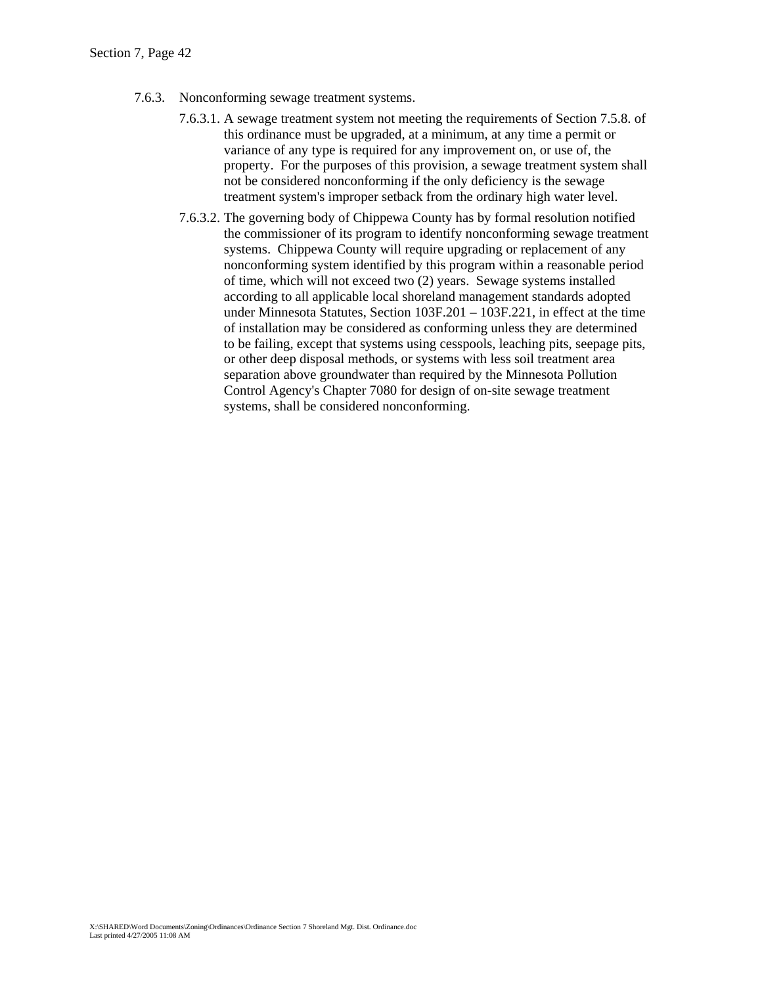- 7.6.3. Nonconforming sewage treatment systems.
	- 7.6.3.1. A sewage treatment system not meeting the requirements of Section 7.5.8. of this ordinance must be upgraded, at a minimum, at any time a permit or variance of any type is required for any improvement on, or use of, the property. For the purposes of this provision, a sewage treatment system shall not be considered nonconforming if the only deficiency is the sewage treatment system's improper setback from the ordinary high water level.
	- 7.6.3.2. The governing body of Chippewa County has by formal resolution notified the commissioner of its program to identify nonconforming sewage treatment systems. Chippewa County will require upgrading or replacement of any nonconforming system identified by this program within a reasonable period of time, which will not exceed two (2) years. Sewage systems installed according to all applicable local shoreland management standards adopted under Minnesota Statutes, Section 103F.201 – 103F.221, in effect at the time of installation may be considered as conforming unless they are determined to be failing, except that systems using cesspools, leaching pits, seepage pits, or other deep disposal methods, or systems with less soil treatment area separation above groundwater than required by the Minnesota Pollution Control Agency's Chapter 7080 for design of on-site sewage treatment systems, shall be considered nonconforming.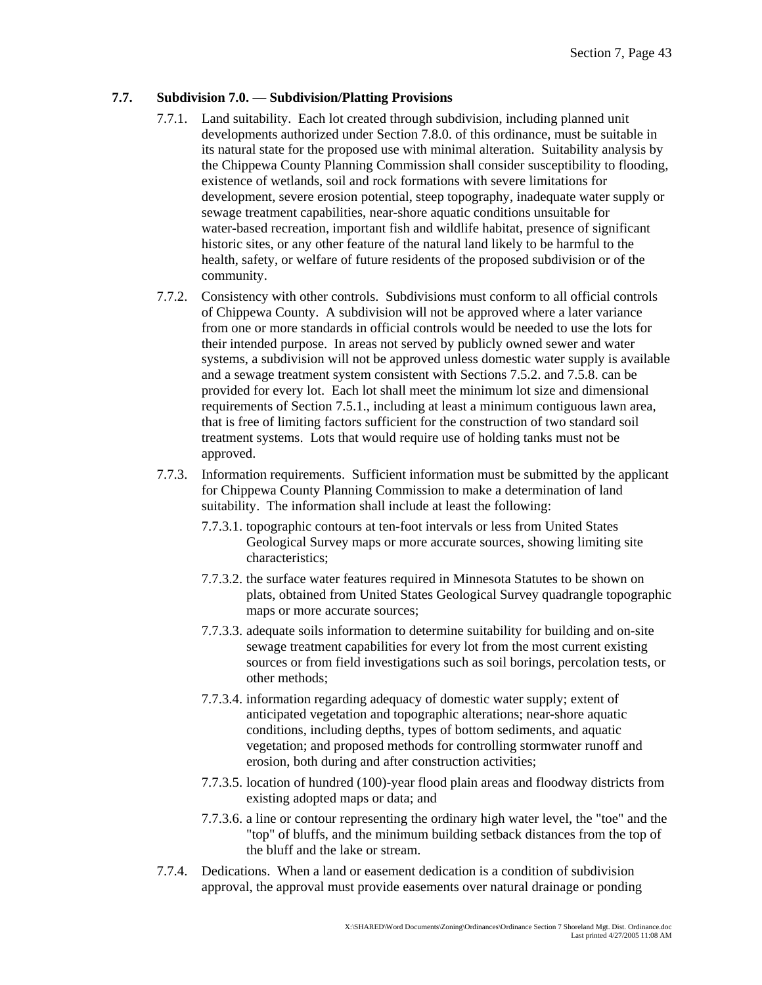### **7.7. Subdivision 7.0. — Subdivision/Platting Provisions**

- 7.7.1. Land suitability. Each lot created through subdivision, including planned unit developments authorized under Section 7.8.0. of this ordinance, must be suitable in its natural state for the proposed use with minimal alteration. Suitability analysis by the Chippewa County Planning Commission shall consider susceptibility to flooding, existence of wetlands, soil and rock formations with severe limitations for development, severe erosion potential, steep topography, inadequate water supply or sewage treatment capabilities, near-shore aquatic conditions unsuitable for water-based recreation, important fish and wildlife habitat, presence of significant historic sites, or any other feature of the natural land likely to be harmful to the health, safety, or welfare of future residents of the proposed subdivision or of the community.
- 7.7.2. Consistency with other controls. Subdivisions must conform to all official controls of Chippewa County. A subdivision will not be approved where a later variance from one or more standards in official controls would be needed to use the lots for their intended purpose. In areas not served by publicly owned sewer and water systems, a subdivision will not be approved unless domestic water supply is available and a sewage treatment system consistent with Sections 7.5.2. and 7.5.8. can be provided for every lot. Each lot shall meet the minimum lot size and dimensional requirements of Section 7.5.1., including at least a minimum contiguous lawn area, that is free of limiting factors sufficient for the construction of two standard soil treatment systems. Lots that would require use of holding tanks must not be approved.
- 7.7.3. Information requirements. Sufficient information must be submitted by the applicant for Chippewa County Planning Commission to make a determination of land suitability. The information shall include at least the following:
	- 7.7.3.1. topographic contours at ten-foot intervals or less from United States Geological Survey maps or more accurate sources, showing limiting site characteristics;
	- 7.7.3.2. the surface water features required in Minnesota Statutes to be shown on plats, obtained from United States Geological Survey quadrangle topographic maps or more accurate sources;
	- 7.7.3.3. adequate soils information to determine suitability for building and on-site sewage treatment capabilities for every lot from the most current existing sources or from field investigations such as soil borings, percolation tests, or other methods;
	- 7.7.3.4. information regarding adequacy of domestic water supply; extent of anticipated vegetation and topographic alterations; near-shore aquatic conditions, including depths, types of bottom sediments, and aquatic vegetation; and proposed methods for controlling stormwater runoff and erosion, both during and after construction activities;
	- 7.7.3.5. location of hundred (100)-year flood plain areas and floodway districts from existing adopted maps or data; and
	- 7.7.3.6. a line or contour representing the ordinary high water level, the "toe" and the "top" of bluffs, and the minimum building setback distances from the top of the bluff and the lake or stream.
- 7.7.4. Dedications. When a land or easement dedication is a condition of subdivision approval, the approval must provide easements over natural drainage or ponding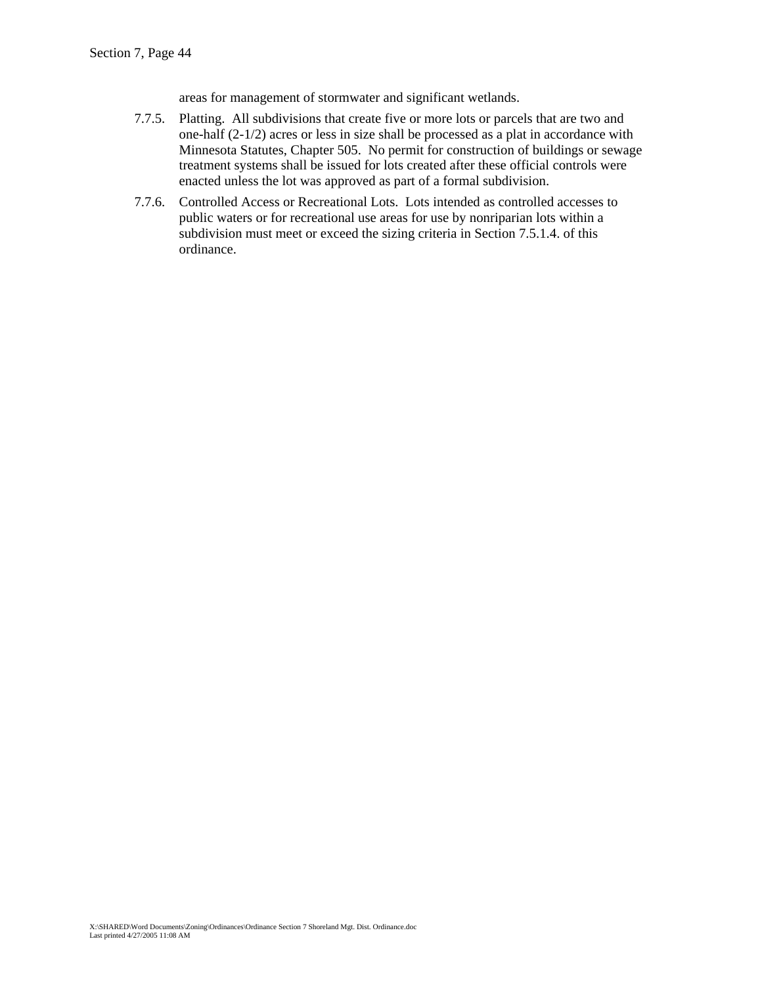areas for management of stormwater and significant wetlands.

- 7.7.5. Platting. All subdivisions that create five or more lots or parcels that are two and one-half (2-1/2) acres or less in size shall be processed as a plat in accordance with Minnesota Statutes, Chapter 505. No permit for construction of buildings or sewage treatment systems shall be issued for lots created after these official controls were enacted unless the lot was approved as part of a formal subdivision.
- 7.7.6. Controlled Access or Recreational Lots. Lots intended as controlled accesses to public waters or for recreational use areas for use by nonriparian lots within a subdivision must meet or exceed the sizing criteria in Section 7.5.1.4. of this ordinance.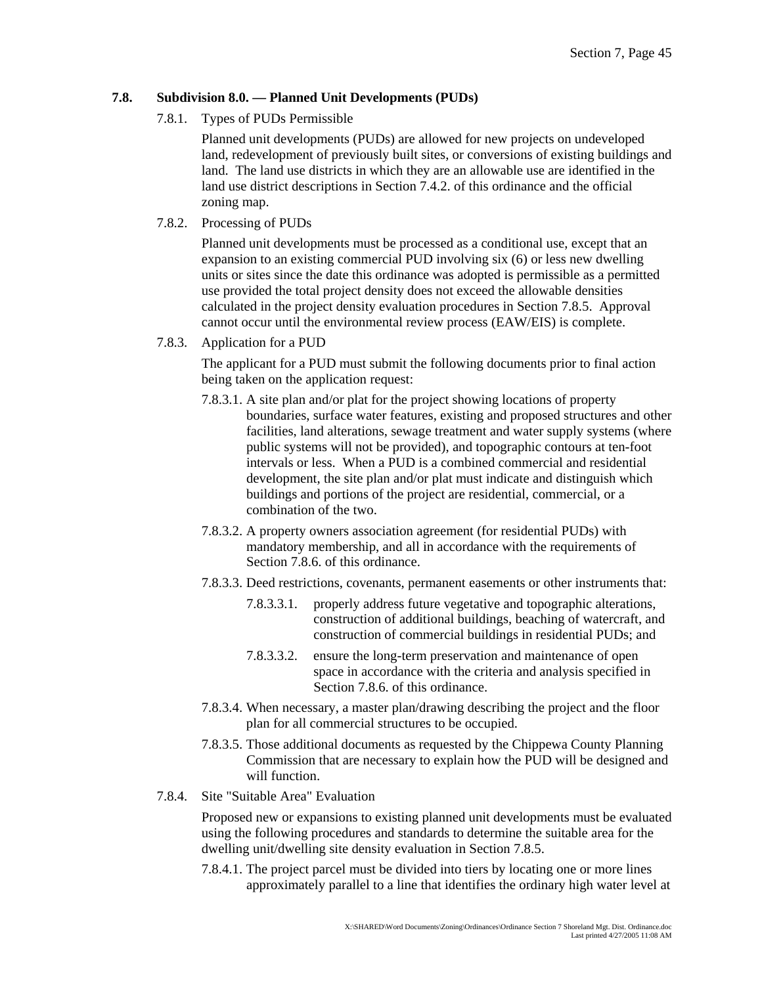### **7.8. Subdivision 8.0. — Planned Unit Developments (PUDs)**

7.8.1. Types of PUDs Permissible

Planned unit developments (PUDs) are allowed for new projects on undeveloped land, redevelopment of previously built sites, or conversions of existing buildings and land. The land use districts in which they are an allowable use are identified in the land use district descriptions in Section 7.4.2. of this ordinance and the official zoning map.

7.8.2. Processing of PUDs

Planned unit developments must be processed as a conditional use, except that an expansion to an existing commercial PUD involving six (6) or less new dwelling units or sites since the date this ordinance was adopted is permissible as a permitted use provided the total project density does not exceed the allowable densities calculated in the project density evaluation procedures in Section 7.8.5. Approval cannot occur until the environmental review process (EAW/EIS) is complete.

7.8.3. Application for a PUD

The applicant for a PUD must submit the following documents prior to final action being taken on the application request:

- 7.8.3.1. A site plan and/or plat for the project showing locations of property boundaries, surface water features, existing and proposed structures and other facilities, land alterations, sewage treatment and water supply systems (where public systems will not be provided), and topographic contours at ten-foot intervals or less. When a PUD is a combined commercial and residential development, the site plan and/or plat must indicate and distinguish which buildings and portions of the project are residential, commercial, or a combination of the two.
- 7.8.3.2. A property owners association agreement (for residential PUDs) with mandatory membership, and all in accordance with the requirements of Section 7.8.6. of this ordinance.
- 7.8.3.3. Deed restrictions, covenants, permanent easements or other instruments that:
	- 7.8.3.3.1. properly address future vegetative and topographic alterations, construction of additional buildings, beaching of watercraft, and construction of commercial buildings in residential PUDs; and
	- 7.8.3.3.2. ensure the long-term preservation and maintenance of open space in accordance with the criteria and analysis specified in Section 7.8.6. of this ordinance.
- 7.8.3.4. When necessary, a master plan/drawing describing the project and the floor plan for all commercial structures to be occupied.
- 7.8.3.5. Those additional documents as requested by the Chippewa County Planning Commission that are necessary to explain how the PUD will be designed and will function.
- 7.8.4. Site "Suitable Area" Evaluation

Proposed new or expansions to existing planned unit developments must be evaluated using the following procedures and standards to determine the suitable area for the dwelling unit/dwelling site density evaluation in Section 7.8.5.

7.8.4.1. The project parcel must be divided into tiers by locating one or more lines approximately parallel to a line that identifies the ordinary high water level at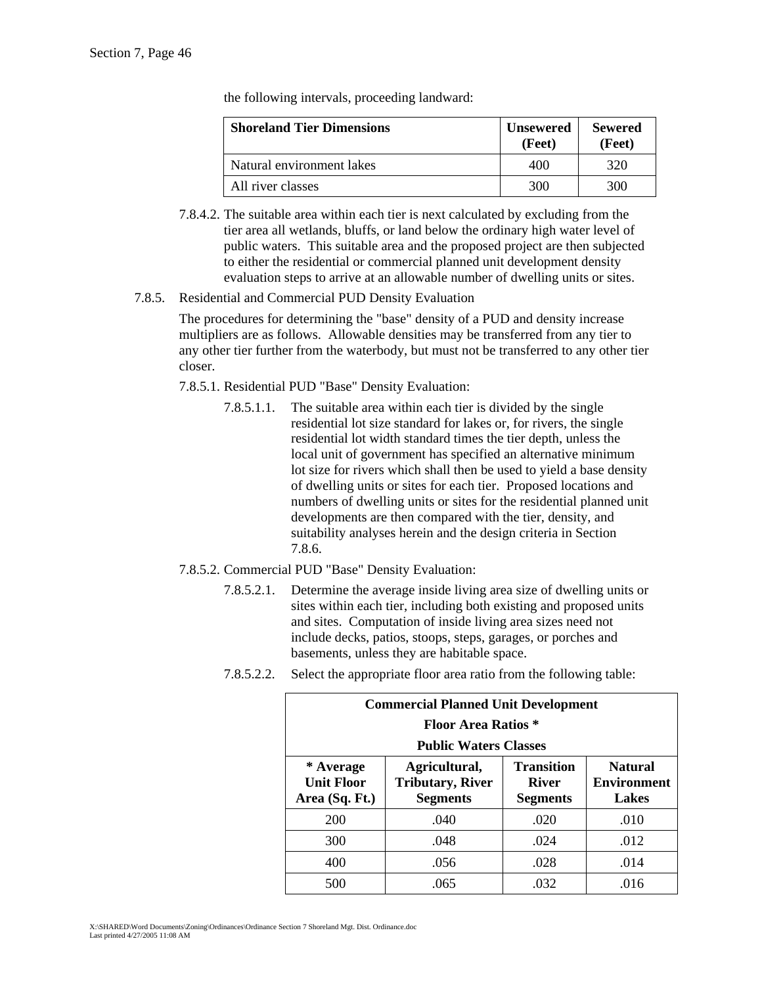the following intervals, proceeding landward:

| <b>Shoreland Tier Dimensions</b> | <b>Unsewered</b><br>(Feet) | <b>Sewered</b><br>(Feet) |
|----------------------------------|----------------------------|--------------------------|
| Natural environment lakes        | 400                        | 320                      |
| All river classes                | 300                        | 300                      |

7.8.4.2. The suitable area within each tier is next calculated by excluding from the tier area all wetlands, bluffs, or land below the ordinary high water level of public waters. This suitable area and the proposed project are then subjected to either the residential or commercial planned unit development density evaluation steps to arrive at an allowable number of dwelling units or sites.

### 7.8.5. Residential and Commercial PUD Density Evaluation

The procedures for determining the "base" density of a PUD and density increase multipliers are as follows. Allowable densities may be transferred from any tier to any other tier further from the waterbody, but must not be transferred to any other tier closer.

### 7.8.5.1. Residential PUD "Base" Density Evaluation:

- 7.8.5.1.1. The suitable area within each tier is divided by the single residential lot size standard for lakes or, for rivers, the single residential lot width standard times the tier depth, unless the local unit of government has specified an alternative minimum lot size for rivers which shall then be used to yield a base density of dwelling units or sites for each tier. Proposed locations and numbers of dwelling units or sites for the residential planned unit developments are then compared with the tier, density, and suitability analyses herein and the design criteria in Section 7.8.6.
- 7.8.5.2. Commercial PUD "Base" Density Evaluation:
	- 7.8.5.2.1. Determine the average inside living area size of dwelling units or sites within each tier, including both existing and proposed units and sites. Computation of inside living area sizes need not include decks, patios, stoops, steps, garages, or porches and basements, unless they are habitable space.

| <b>Commercial Planned Unit Development</b>                                                                                                                                                         |                              |      |                    |  |  |
|----------------------------------------------------------------------------------------------------------------------------------------------------------------------------------------------------|------------------------------|------|--------------------|--|--|
|                                                                                                                                                                                                    | <b>Floor Area Ratios</b> *   |      |                    |  |  |
|                                                                                                                                                                                                    | <b>Public Waters Classes</b> |      |                    |  |  |
| * Average<br><b>Transition</b><br><b>Natural</b><br>Agricultural,<br><b>Tributary, River</b><br><b>Unit Floor</b><br><b>River</b><br>Area (Sq. Ft.)<br><b>Segments</b><br><b>Segments</b><br>Lakes |                              |      | <b>Environment</b> |  |  |
| 200                                                                                                                                                                                                | .040                         | .020 | .010               |  |  |
| 300                                                                                                                                                                                                | .048                         | .024 | .012               |  |  |
| 400                                                                                                                                                                                                | .056                         | .028 | .014               |  |  |
| 500                                                                                                                                                                                                | .065                         | .032 | .016               |  |  |

7.8.5.2.2. Select the appropriate floor area ratio from the following table: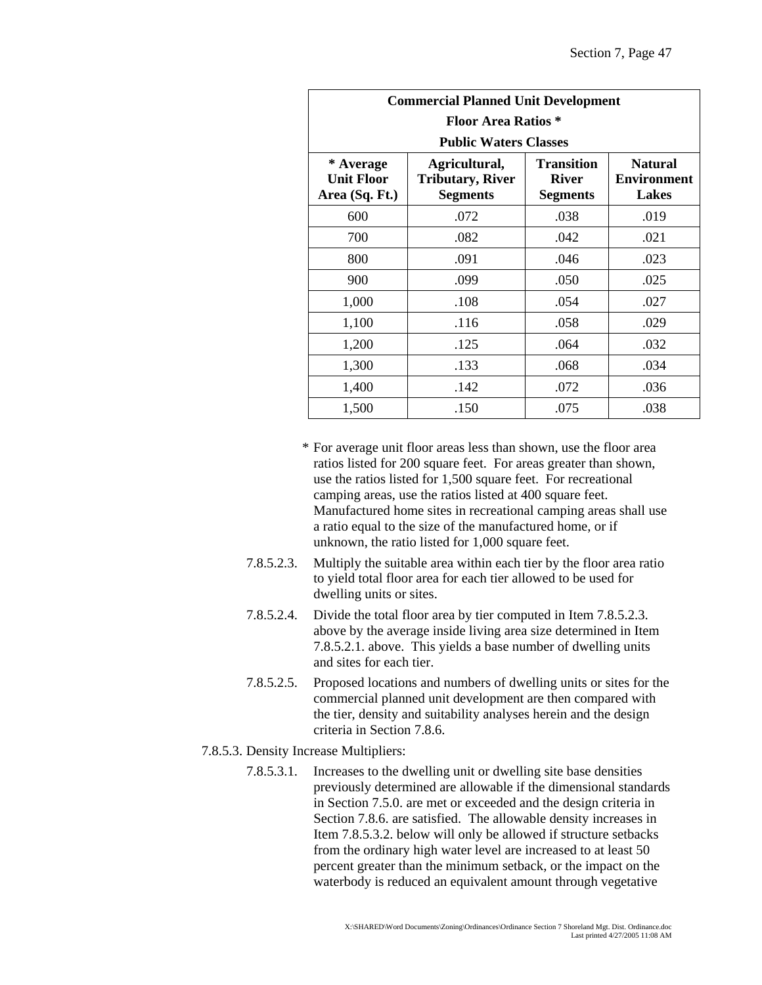| <b>Commercial Planned Unit Development</b>                                                                                                                                                                        |                              |      |      |  |  |
|-------------------------------------------------------------------------------------------------------------------------------------------------------------------------------------------------------------------|------------------------------|------|------|--|--|
|                                                                                                                                                                                                                   | <b>Floor Area Ratios</b> *   |      |      |  |  |
|                                                                                                                                                                                                                   | <b>Public Waters Classes</b> |      |      |  |  |
| Agricultural,<br>Transition<br><b>Natural</b><br>* Average<br><b>Unit Floor</b><br><b>Tributary, River</b><br><b>River</b><br><b>Environment</b><br>Area (Sq. Ft.)<br><b>Segments</b><br>Lakes<br><b>Segments</b> |                              |      |      |  |  |
| 600                                                                                                                                                                                                               | .072                         | .038 | .019 |  |  |
| 700                                                                                                                                                                                                               | .082                         | .042 | .021 |  |  |
| 800                                                                                                                                                                                                               | .091                         | .046 | .023 |  |  |
| 900                                                                                                                                                                                                               | .099                         | .050 | .025 |  |  |
| 1,000                                                                                                                                                                                                             | .108                         | .054 | .027 |  |  |
| 1,100                                                                                                                                                                                                             | .116                         | .058 | .029 |  |  |
| 1,200                                                                                                                                                                                                             | .125                         | .064 | .032 |  |  |
| 1,300                                                                                                                                                                                                             | .133                         | .068 | .034 |  |  |
| 1,400                                                                                                                                                                                                             | .142                         | .072 | .036 |  |  |
| 1,500                                                                                                                                                                                                             | .150                         | .075 | .038 |  |  |

- \* For average unit floor areas less than shown, use the floor area ratios listed for 200 square feet. For areas greater than shown, use the ratios listed for 1,500 square feet. For recreational camping areas, use the ratios listed at 400 square feet. Manufactured home sites in recreational camping areas shall use a ratio equal to the size of the manufactured home, or if unknown, the ratio listed for 1,000 square feet.
- 7.8.5.2.3. Multiply the suitable area within each tier by the floor area ratio to yield total floor area for each tier allowed to be used for dwelling units or sites.
- 7.8.5.2.4. Divide the total floor area by tier computed in Item 7.8.5.2.3. above by the average inside living area size determined in Item 7.8.5.2.1. above. This yields a base number of dwelling units and sites for each tier.
- 7.8.5.2.5. Proposed locations and numbers of dwelling units or sites for the commercial planned unit development are then compared with the tier, density and suitability analyses herein and the design criteria in Section 7.8.6.
- 7.8.5.3. Density Increase Multipliers:
	- 7.8.5.3.1. Increases to the dwelling unit or dwelling site base densities previously determined are allowable if the dimensional standards in Section 7.5.0. are met or exceeded and the design criteria in Section 7.8.6. are satisfied. The allowable density increases in Item 7.8.5.3.2. below will only be allowed if structure setbacks from the ordinary high water level are increased to at least 50 percent greater than the minimum setback, or the impact on the waterbody is reduced an equivalent amount through vegetative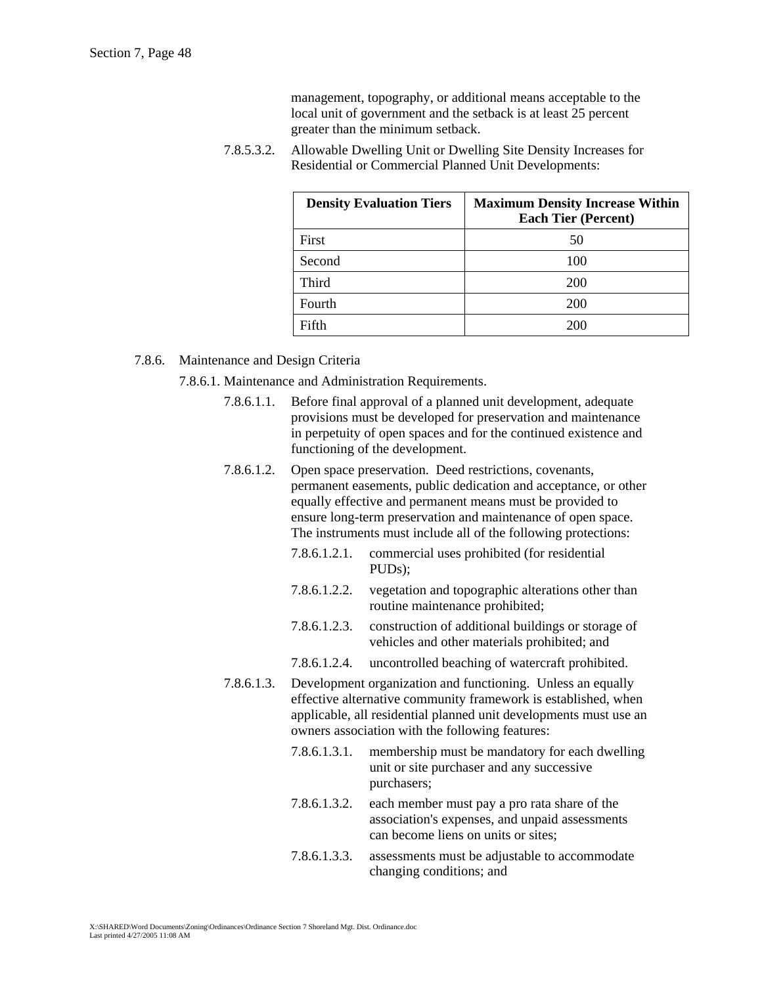management, topography, or additional means acceptable to the local unit of government and the setback is at least 25 percent greater than the minimum setback.

7.8.5.3.2. Allowable Dwelling Unit or Dwelling Site Density Increases for Residential or Commercial Planned Unit Developments:

| <b>Density Evaluation Tiers</b> | <b>Maximum Density Increase Within</b><br><b>Each Tier (Percent)</b> |
|---------------------------------|----------------------------------------------------------------------|
| First                           | 50                                                                   |
| Second                          | 100                                                                  |
| Third                           | 200                                                                  |
| Fourth                          | 200                                                                  |
| Fifth                           | 200                                                                  |

### 7.8.6. Maintenance and Design Criteria

7.8.6.1. Maintenance and Administration Requirements.

- 7.8.6.1.1. Before final approval of a planned unit development, adequate provisions must be developed for preservation and maintenance in perpetuity of open spaces and for the continued existence and functioning of the development.
- 7.8.6.1.2. Open space preservation. Deed restrictions, covenants, permanent easements, public dedication and acceptance, or other equally effective and permanent means must be provided to ensure long-term preservation and maintenance of open space. The instruments must include all of the following protections:
	- 7.8.6.1.2.1. commercial uses prohibited (for residential PUDs);
	- 7.8.6.1.2.2. vegetation and topographic alterations other than routine maintenance prohibited;
	- 7.8.6.1.2.3. construction of additional buildings or storage of vehicles and other materials prohibited; and
	- 7.8.6.1.2.4. uncontrolled beaching of watercraft prohibited.
- 7.8.6.1.3. Development organization and functioning. Unless an equally effective alternative community framework is established, when applicable, all residential planned unit developments must use an owners association with the following features:
	- 7.8.6.1.3.1. membership must be mandatory for each dwelling unit or site purchaser and any successive purchasers;
	- 7.8.6.1.3.2. each member must pay a pro rata share of the association's expenses, and unpaid assessments can become liens on units or sites;
	- 7.8.6.1.3.3. assessments must be adjustable to accommodate changing conditions; and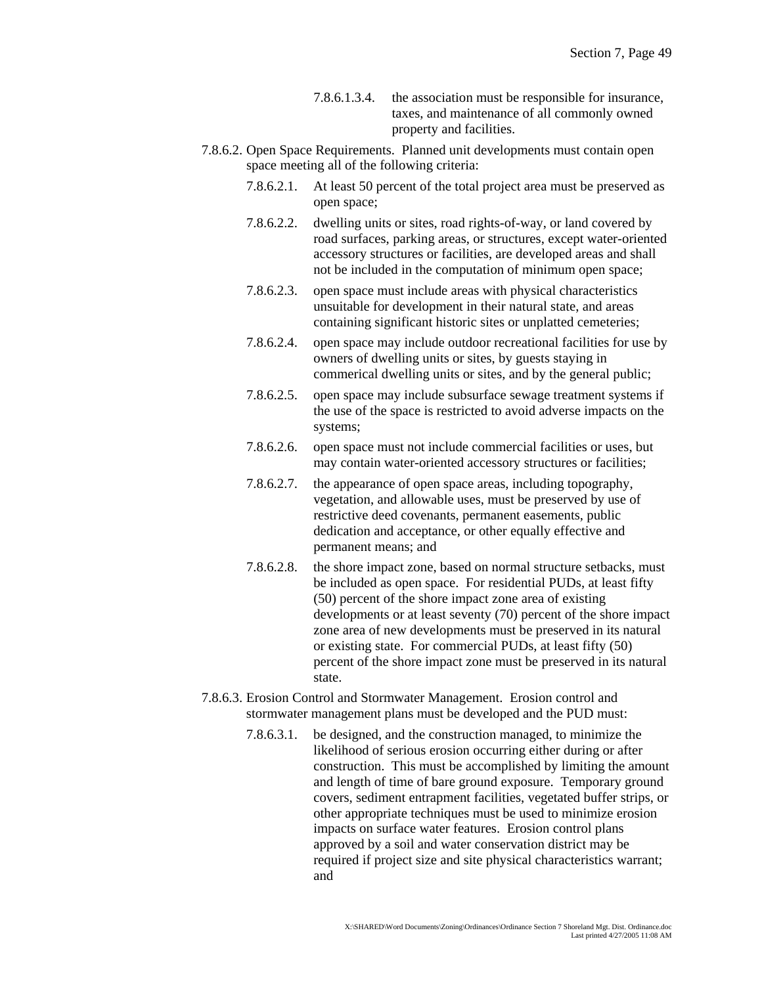7.8.6.1.3.4. the association must be responsible for insurance, taxes, and maintenance of all commonly owned property and facilities.

- 7.8.6.2. Open Space Requirements. Planned unit developments must contain open space meeting all of the following criteria:
	- 7.8.6.2.1. At least 50 percent of the total project area must be preserved as open space;
	- 7.8.6.2.2. dwelling units or sites, road rights-of-way, or land covered by road surfaces, parking areas, or structures, except water-oriented accessory structures or facilities, are developed areas and shall not be included in the computation of minimum open space;
	- 7.8.6.2.3. open space must include areas with physical characteristics unsuitable for development in their natural state, and areas containing significant historic sites or unplatted cemeteries;
	- 7.8.6.2.4. open space may include outdoor recreational facilities for use by owners of dwelling units or sites, by guests staying in commerical dwelling units or sites, and by the general public;
	- 7.8.6.2.5. open space may include subsurface sewage treatment systems if the use of the space is restricted to avoid adverse impacts on the systems;
	- 7.8.6.2.6. open space must not include commercial facilities or uses, but may contain water-oriented accessory structures or facilities;
	- 7.8.6.2.7. the appearance of open space areas, including topography, vegetation, and allowable uses, must be preserved by use of restrictive deed covenants, permanent easements, public dedication and acceptance, or other equally effective and permanent means; and
	- 7.8.6.2.8. the shore impact zone, based on normal structure setbacks, must be included as open space. For residential PUDs, at least fifty (50) percent of the shore impact zone area of existing developments or at least seventy (70) percent of the shore impact zone area of new developments must be preserved in its natural or existing state. For commercial PUDs, at least fifty (50) percent of the shore impact zone must be preserved in its natural state.
- 7.8.6.3. Erosion Control and Stormwater Management. Erosion control and stormwater management plans must be developed and the PUD must:
	- 7.8.6.3.1. be designed, and the construction managed, to minimize the likelihood of serious erosion occurring either during or after construction. This must be accomplished by limiting the amount and length of time of bare ground exposure. Temporary ground covers, sediment entrapment facilities, vegetated buffer strips, or other appropriate techniques must be used to minimize erosion impacts on surface water features. Erosion control plans approved by a soil and water conservation district may be required if project size and site physical characteristics warrant; and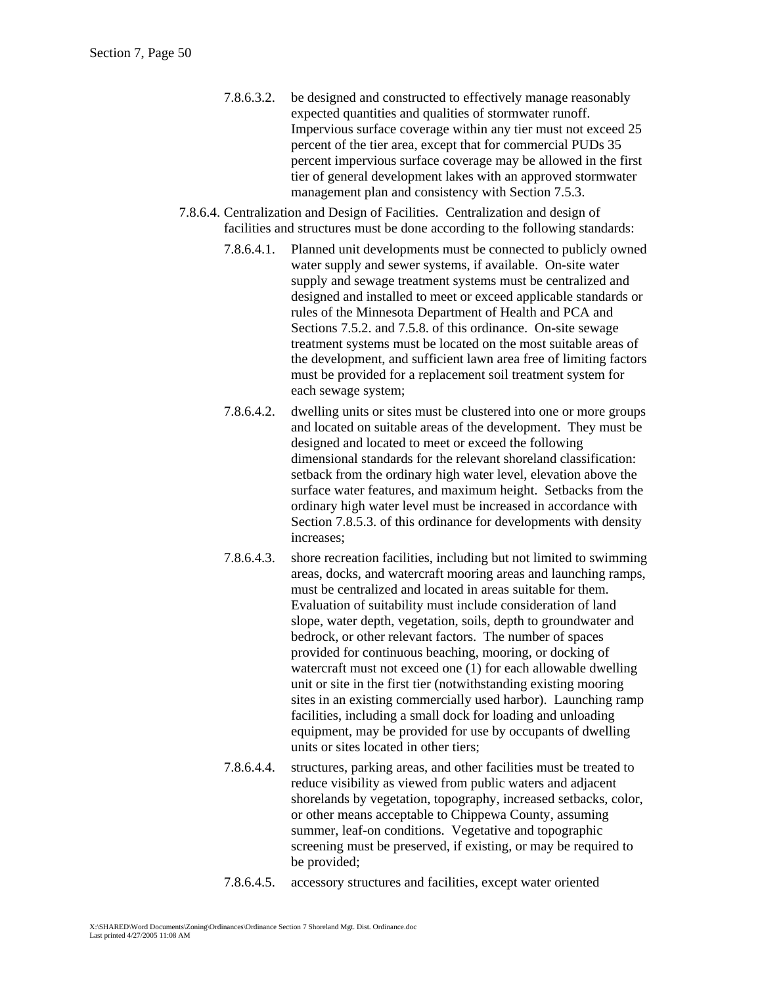- 7.8.6.3.2. be designed and constructed to effectively manage reasonably expected quantities and qualities of stormwater runoff. Impervious surface coverage within any tier must not exceed 25 percent of the tier area, except that for commercial PUDs 35 percent impervious surface coverage may be allowed in the first tier of general development lakes with an approved stormwater management plan and consistency with Section 7.5.3.
- 7.8.6.4. Centralization and Design of Facilities. Centralization and design of facilities and structures must be done according to the following standards:
	- 7.8.6.4.1. Planned unit developments must be connected to publicly owned water supply and sewer systems, if available. On-site water supply and sewage treatment systems must be centralized and designed and installed to meet or exceed applicable standards or rules of the Minnesota Department of Health and PCA and Sections 7.5.2. and 7.5.8. of this ordinance. On-site sewage treatment systems must be located on the most suitable areas of the development, and sufficient lawn area free of limiting factors must be provided for a replacement soil treatment system for each sewage system;
	- 7.8.6.4.2. dwelling units or sites must be clustered into one or more groups and located on suitable areas of the development. They must be designed and located to meet or exceed the following dimensional standards for the relevant shoreland classification: setback from the ordinary high water level, elevation above the surface water features, and maximum height. Setbacks from the ordinary high water level must be increased in accordance with Section 7.8.5.3. of this ordinance for developments with density increases;
	- 7.8.6.4.3. shore recreation facilities, including but not limited to swimming areas, docks, and watercraft mooring areas and launching ramps, must be centralized and located in areas suitable for them. Evaluation of suitability must include consideration of land slope, water depth, vegetation, soils, depth to groundwater and bedrock, or other relevant factors. The number of spaces provided for continuous beaching, mooring, or docking of watercraft must not exceed one (1) for each allowable dwelling unit or site in the first tier (notwithstanding existing mooring sites in an existing commercially used harbor). Launching ramp facilities, including a small dock for loading and unloading equipment, may be provided for use by occupants of dwelling units or sites located in other tiers;
	- 7.8.6.4.4. structures, parking areas, and other facilities must be treated to reduce visibility as viewed from public waters and adjacent shorelands by vegetation, topography, increased setbacks, color, or other means acceptable to Chippewa County, assuming summer, leaf-on conditions. Vegetative and topographic screening must be preserved, if existing, or may be required to be provided;
	- 7.8.6.4.5. accessory structures and facilities, except water oriented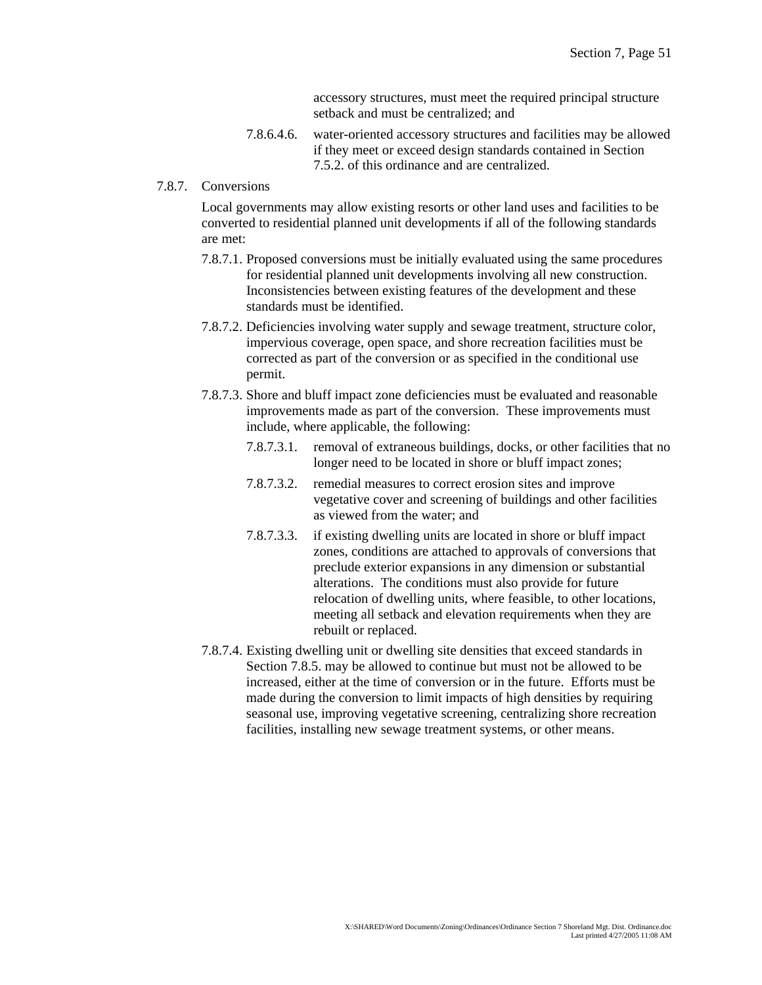accessory structures, must meet the required principal structure setback and must be centralized; and

7.8.6.4.6. water-oriented accessory structures and facilities may be allowed if they meet or exceed design standards contained in Section 7.5.2. of this ordinance and are centralized.

### 7.8.7. Conversions

Local governments may allow existing resorts or other land uses and facilities to be converted to residential planned unit developments if all of the following standards are met:

- 7.8.7.1. Proposed conversions must be initially evaluated using the same procedures for residential planned unit developments involving all new construction. Inconsistencies between existing features of the development and these standards must be identified.
- 7.8.7.2. Deficiencies involving water supply and sewage treatment, structure color, impervious coverage, open space, and shore recreation facilities must be corrected as part of the conversion or as specified in the conditional use permit.
- 7.8.7.3. Shore and bluff impact zone deficiencies must be evaluated and reasonable improvements made as part of the conversion. These improvements must include, where applicable, the following:
	- 7.8.7.3.1. removal of extraneous buildings, docks, or other facilities that no longer need to be located in shore or bluff impact zones;
	- 7.8.7.3.2. remedial measures to correct erosion sites and improve vegetative cover and screening of buildings and other facilities as viewed from the water; and
	- 7.8.7.3.3. if existing dwelling units are located in shore or bluff impact zones, conditions are attached to approvals of conversions that preclude exterior expansions in any dimension or substantial alterations. The conditions must also provide for future relocation of dwelling units, where feasible, to other locations, meeting all setback and elevation requirements when they are rebuilt or replaced.
- 7.8.7.4. Existing dwelling unit or dwelling site densities that exceed standards in Section 7.8.5. may be allowed to continue but must not be allowed to be increased, either at the time of conversion or in the future. Efforts must be made during the conversion to limit impacts of high densities by requiring seasonal use, improving vegetative screening, centralizing shore recreation facilities, installing new sewage treatment systems, or other means.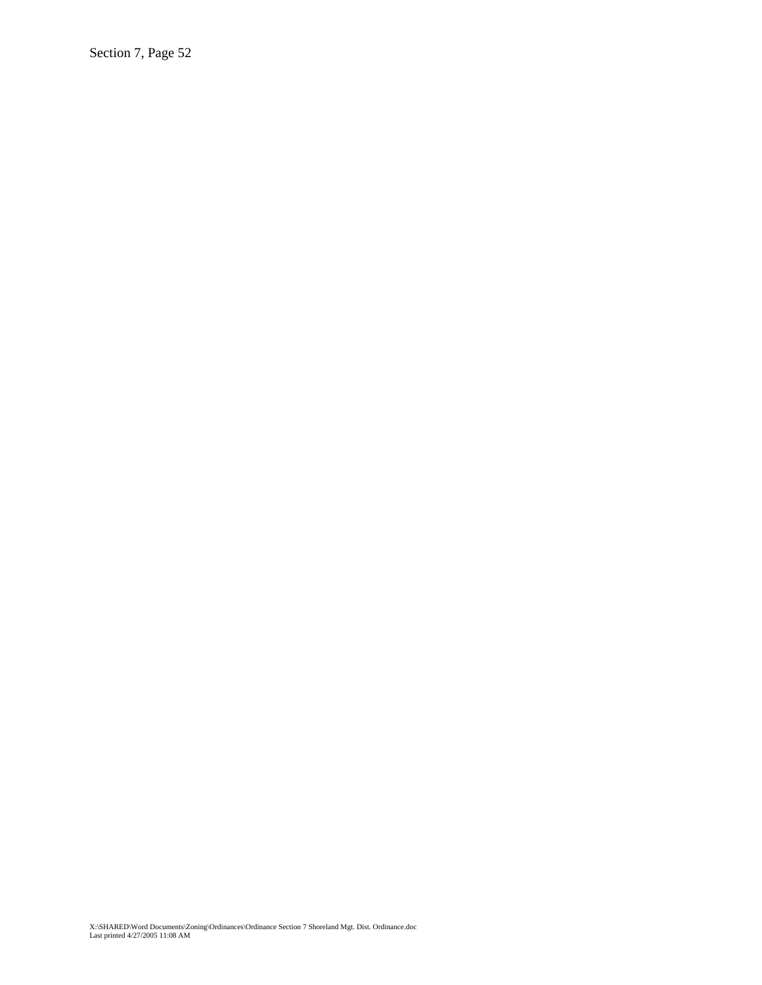Section 7, Page 52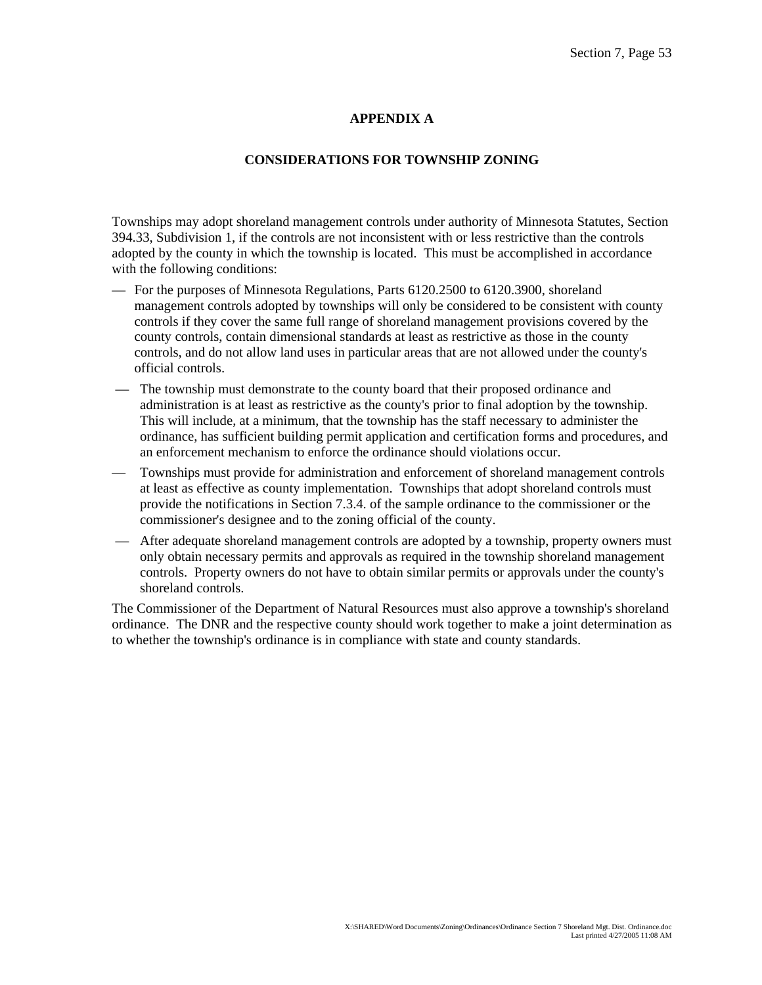### **APPENDIX A**

### **CONSIDERATIONS FOR TOWNSHIP ZONING**

Townships may adopt shoreland management controls under authority of Minnesota Statutes, Section 394.33, Subdivision 1, if the controls are not inconsistent with or less restrictive than the controls adopted by the county in which the township is located. This must be accomplished in accordance with the following conditions:

- For the purposes of Minnesota Regulations, Parts 6120.2500 to 6120.3900, shoreland management controls adopted by townships will only be considered to be consistent with county controls if they cover the same full range of shoreland management provisions covered by the county controls, contain dimensional standards at least as restrictive as those in the county controls, and do not allow land uses in particular areas that are not allowed under the county's official controls.
- The township must demonstrate to the county board that their proposed ordinance and administration is at least as restrictive as the county's prior to final adoption by the township. This will include, at a minimum, that the township has the staff necessary to administer the ordinance, has sufficient building permit application and certification forms and procedures, and an enforcement mechanism to enforce the ordinance should violations occur.
- Townships must provide for administration and enforcement of shoreland management controls at least as effective as county implementation. Townships that adopt shoreland controls must provide the notifications in Section 7.3.4. of the sample ordinance to the commissioner or the commissioner's designee and to the zoning official of the county.
- After adequate shoreland management controls are adopted by a township, property owners must only obtain necessary permits and approvals as required in the township shoreland management controls. Property owners do not have to obtain similar permits or approvals under the county's shoreland controls.

The Commissioner of the Department of Natural Resources must also approve a township's shoreland ordinance. The DNR and the respective county should work together to make a joint determination as to whether the township's ordinance is in compliance with state and county standards.